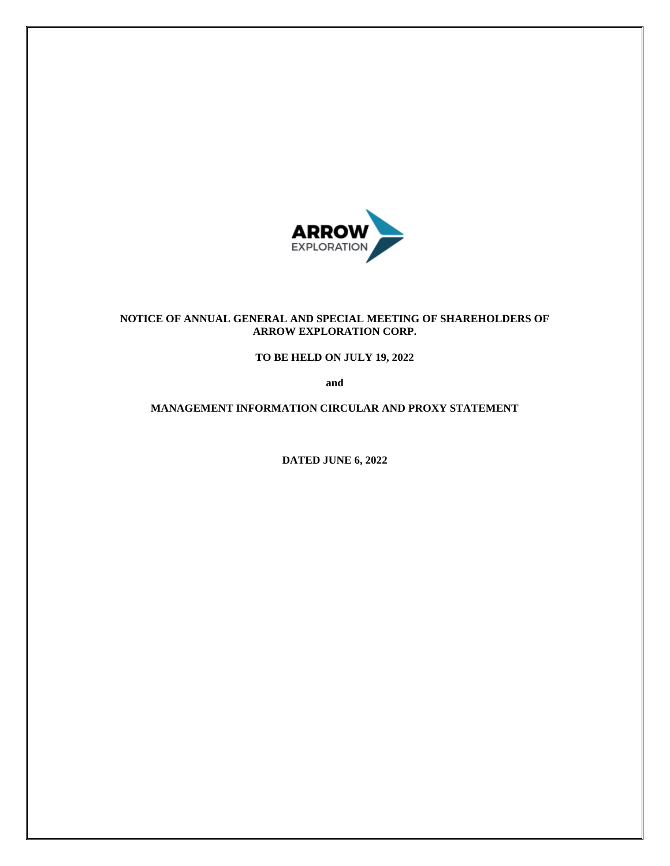

## **NOTICE OF ANNUAL GENERAL AND SPECIAL MEETING OF SHAREHOLDERS OF ARROW EXPLORATION CORP.**

**TO BE HELD ON JULY 19, 2022**

**and**

**MANAGEMENT INFORMATION CIRCULAR AND PROXY STATEMENT**

**DATED JUNE 6, 2022**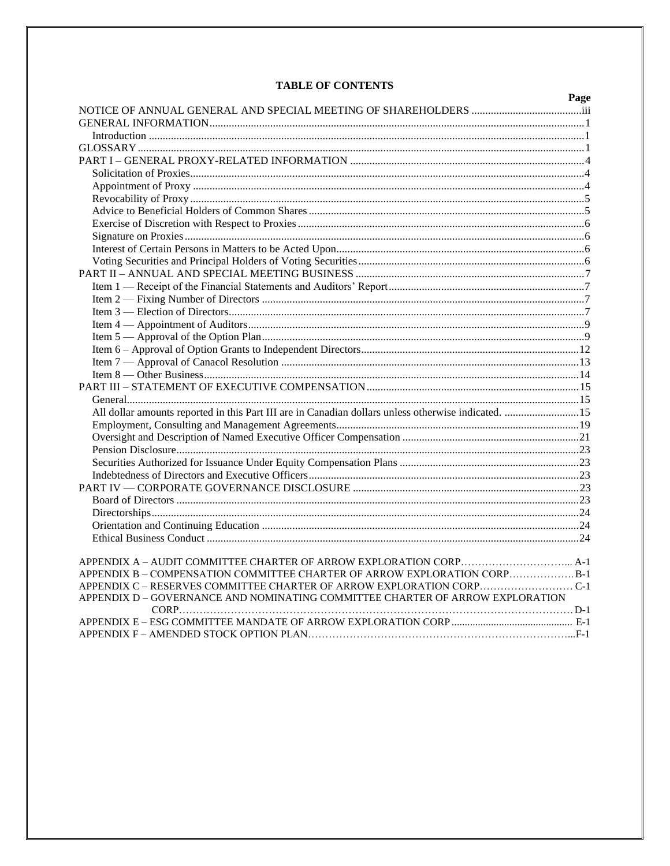## **TABLE OF CONTENTS**

|                                                                                                     | Page |
|-----------------------------------------------------------------------------------------------------|------|
|                                                                                                     |      |
|                                                                                                     |      |
|                                                                                                     |      |
|                                                                                                     |      |
|                                                                                                     |      |
|                                                                                                     |      |
|                                                                                                     |      |
|                                                                                                     |      |
|                                                                                                     |      |
|                                                                                                     |      |
|                                                                                                     |      |
|                                                                                                     |      |
|                                                                                                     |      |
|                                                                                                     |      |
|                                                                                                     |      |
|                                                                                                     |      |
|                                                                                                     |      |
|                                                                                                     |      |
|                                                                                                     |      |
|                                                                                                     |      |
|                                                                                                     |      |
|                                                                                                     |      |
|                                                                                                     |      |
|                                                                                                     |      |
| All dollar amounts reported in this Part III are in Canadian dollars unless otherwise indicated. 15 |      |
|                                                                                                     |      |
|                                                                                                     |      |
|                                                                                                     |      |
|                                                                                                     |      |
|                                                                                                     |      |
|                                                                                                     |      |
|                                                                                                     |      |
|                                                                                                     |      |
|                                                                                                     |      |
|                                                                                                     |      |
|                                                                                                     |      |
|                                                                                                     |      |
| APPENDIX B - COMPENSATION COMMITTEE CHARTER OF ARROW EXPLORATION CORPB-1                            |      |
|                                                                                                     |      |
| APPENDIX D - GOVERNANCE AND NOMINATING COMMITTEE CHARTER OF ARROW EXPLORATION                       |      |
|                                                                                                     |      |
|                                                                                                     |      |
|                                                                                                     |      |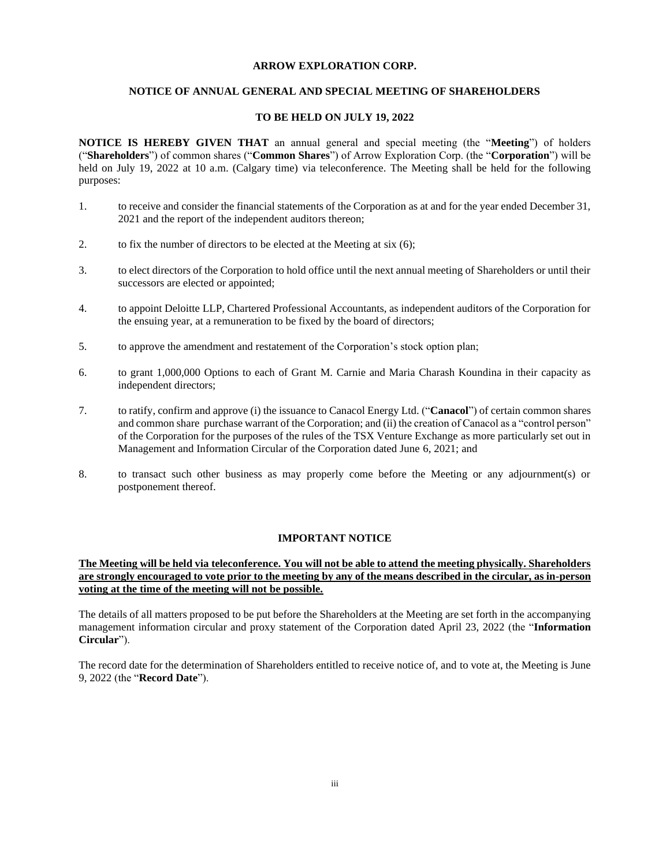### **ARROW EXPLORATION CORP.**

## **NOTICE OF ANNUAL GENERAL AND SPECIAL MEETING OF SHAREHOLDERS**

### **TO BE HELD ON JULY 19, 2022**

**NOTICE IS HEREBY GIVEN THAT** an annual general and special meeting (the "**Meeting**") of holders ("**Shareholders**") of common shares ("**Common Shares**") of Arrow Exploration Corp. (the "**Corporation**") will be held on July 19, 2022 at 10 a.m. (Calgary time) via teleconference. The Meeting shall be held for the following purposes:

- 1. to receive and consider the financial statements of the Corporation as at and for the year ended December 31, 2021 and the report of the independent auditors thereon;
- 2. to fix the number of directors to be elected at the Meeting at six  $(6)$ ;
- 3. to elect directors of the Corporation to hold office until the next annual meeting of Shareholders or until their successors are elected or appointed;
- 4. to appoint Deloitte LLP, Chartered Professional Accountants, as independent auditors of the Corporation for the ensuing year, at a remuneration to be fixed by the board of directors;
- 5. to approve the amendment and restatement of the Corporation's stock option plan;
- 6. to grant 1,000,000 Options to each of Grant M. Carnie and Maria Charash Koundina in their capacity as independent directors;
- 7. to ratify, confirm and approve (i) the issuance to Canacol Energy Ltd. ("**Canacol**") of certain common shares and common share purchase warrant of the Corporation; and (ii) the creation of Canacol as a "control person" of the Corporation for the purposes of the rules of the TSX Venture Exchange as more particularly set out in Management and Information Circular of the Corporation dated June 6, 2021; and
- 8. to transact such other business as may properly come before the Meeting or any adjournment(s) or postponement thereof.

## **IMPORTANT NOTICE**

## **The Meeting will be held via teleconference. You will not be able to attend the meeting physically. Shareholders are strongly encouraged to vote prior to the meeting by any of the means described in the circular, as in-person voting at the time of the meeting will not be possible.**

The details of all matters proposed to be put before the Shareholders at the Meeting are set forth in the accompanying management information circular and proxy statement of the Corporation dated April 23, 2022 (the "**Information Circular**").

The record date for the determination of Shareholders entitled to receive notice of, and to vote at, the Meeting is June 9, 2022 (the "**Record Date**").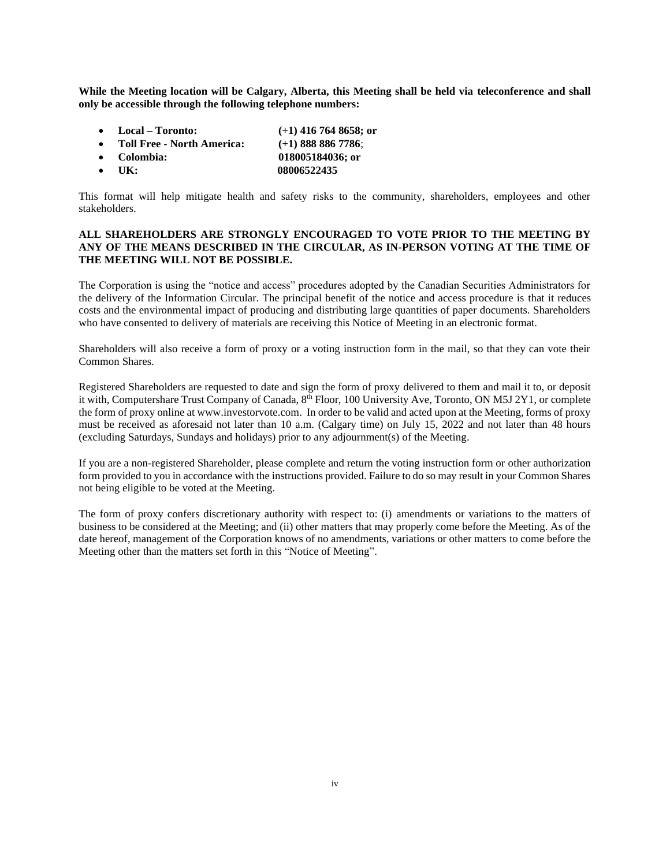**While the Meeting location will be Calgary, Alberta, this Meeting shall be held via teleconference and shall only be accessible through the following telephone numbers:** 

- **Local – Toronto: (+1) 416 764 8658; or**
- **Toll Free - North America: (+1) 888 886 7786**;
- **Colombia: 018005184036; or**
- UK: 08006522435

This format will help mitigate health and safety risks to the community, shareholders, employees and other stakeholders.

## **ALL SHAREHOLDERS ARE STRONGLY ENCOURAGED TO VOTE PRIOR TO THE MEETING BY ANY OF THE MEANS DESCRIBED IN THE CIRCULAR, AS IN-PERSON VOTING AT THE TIME OF THE MEETING WILL NOT BE POSSIBLE.**

The Corporation is using the "notice and access" procedures adopted by the Canadian Securities Administrators for the delivery of the Information Circular. The principal benefit of the notice and access procedure is that it reduces costs and the environmental impact of producing and distributing large quantities of paper documents. Shareholders who have consented to delivery of materials are receiving this Notice of Meeting in an electronic format.

Shareholders will also receive a form of proxy or a voting instruction form in the mail, so that they can vote their Common Shares.

Registered Shareholders are requested to date and sign the form of proxy delivered to them and mail it to, or deposit it with, Computershare Trust Company of Canada, 8<sup>th</sup> Floor, 100 University Ave, Toronto, ON M5J 2Y1, or complete the form of proxy online at www.investorvote.com. In order to be valid and acted upon at the Meeting, forms of proxy must be received as aforesaid not later than 10 a.m. (Calgary time) on July 15, 2022 and not later than 48 hours (excluding Saturdays, Sundays and holidays) prior to any adjournment(s) of the Meeting.

If you are a non-registered Shareholder, please complete and return the voting instruction form or other authorization form provided to you in accordance with the instructions provided. Failure to do so may result in your Common Shares not being eligible to be voted at the Meeting.

The form of proxy confers discretionary authority with respect to: (i) amendments or variations to the matters of business to be considered at the Meeting; and (ii) other matters that may properly come before the Meeting. As of the date hereof, management of the Corporation knows of no amendments, variations or other matters to come before the Meeting other than the matters set forth in this "Notice of Meeting".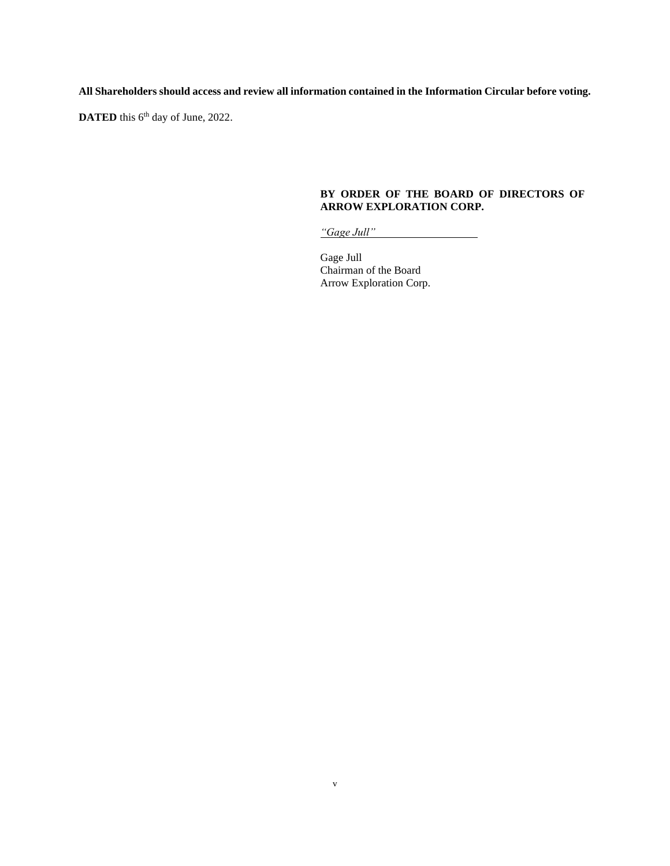**All Shareholders should access and review all information contained in the Information Circular before voting.**

DATED this 6<sup>th</sup> day of June, 2022.

## **BY ORDER OF THE BOARD OF DIRECTORS OF ARROW EXPLORATION CORP.**

*"Gage Jull"* 

Gage Jull Chairman of the Board Arrow Exploration Corp.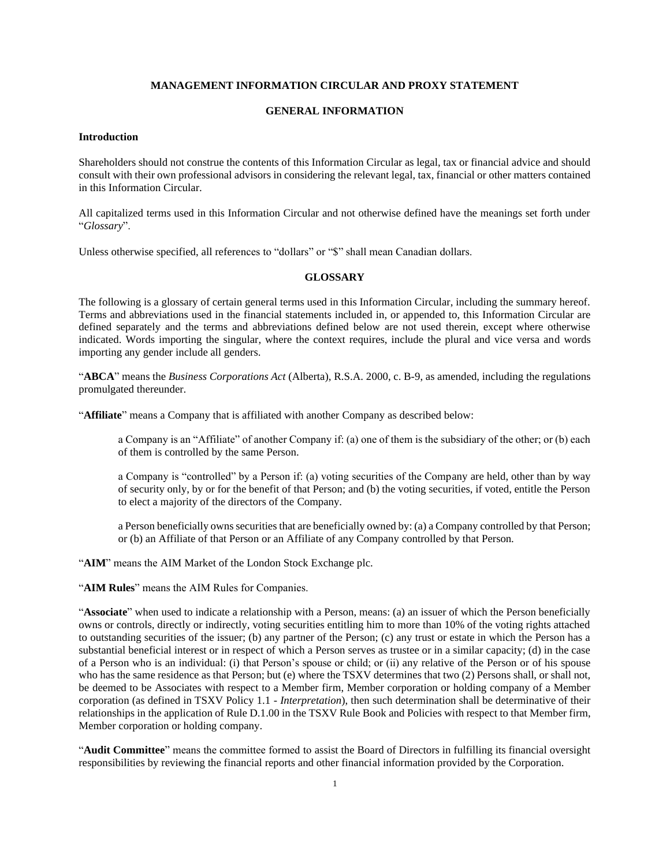## **MANAGEMENT INFORMATION CIRCULAR AND PROXY STATEMENT**

## **GENERAL INFORMATION**

#### **Introduction**

Shareholders should not construe the contents of this Information Circular as legal, tax or financial advice and should consult with their own professional advisors in considering the relevant legal, tax, financial or other matters contained in this Information Circular.

All capitalized terms used in this Information Circular and not otherwise defined have the meanings set forth under "*Glossary*".

Unless otherwise specified, all references to "dollars" or "\$" shall mean Canadian dollars.

## **GLOSSARY**

The following is a glossary of certain general terms used in this Information Circular, including the summary hereof. Terms and abbreviations used in the financial statements included in, or appended to, this Information Circular are defined separately and the terms and abbreviations defined below are not used therein, except where otherwise indicated. Words importing the singular, where the context requires, include the plural and vice versa and words importing any gender include all genders.

"**ABCA**" means the *Business Corporations Act* (Alberta), R.S.A. 2000, c. B-9, as amended, including the regulations promulgated thereunder.

"**Affiliate**" means a Company that is affiliated with another Company as described below:

a Company is an "Affiliate" of another Company if: (a) one of them is the subsidiary of the other; or (b) each of them is controlled by the same Person.

a Company is "controlled" by a Person if: (a) voting securities of the Company are held, other than by way of security only, by or for the benefit of that Person; and (b) the voting securities, if voted, entitle the Person to elect a majority of the directors of the Company.

a Person beneficially owns securities that are beneficially owned by: (a) a Company controlled by that Person; or (b) an Affiliate of that Person or an Affiliate of any Company controlled by that Person.

"**AIM**" means the AIM Market of the London Stock Exchange plc.

"**AIM Rules**" means the AIM Rules for Companies.

"**Associate**" when used to indicate a relationship with a Person, means: (a) an issuer of which the Person beneficially owns or controls, directly or indirectly, voting securities entitling him to more than 10% of the voting rights attached to outstanding securities of the issuer; (b) any partner of the Person; (c) any trust or estate in which the Person has a substantial beneficial interest or in respect of which a Person serves as trustee or in a similar capacity; (d) in the case of a Person who is an individual: (i) that Person's spouse or child; or (ii) any relative of the Person or of his spouse who has the same residence as that Person; but (e) where the TSXV determines that two (2) Persons shall, or shall not, be deemed to be Associates with respect to a Member firm, Member corporation or holding company of a Member corporation (as defined in TSXV Policy 1.1 - *Interpretation*), then such determination shall be determinative of their relationships in the application of Rule D.1.00 in the TSXV Rule Book and Policies with respect to that Member firm, Member corporation or holding company.

"**Audit Committee**" means the committee formed to assist the Board of Directors in fulfilling its financial oversight responsibilities by reviewing the financial reports and other financial information provided by the Corporation.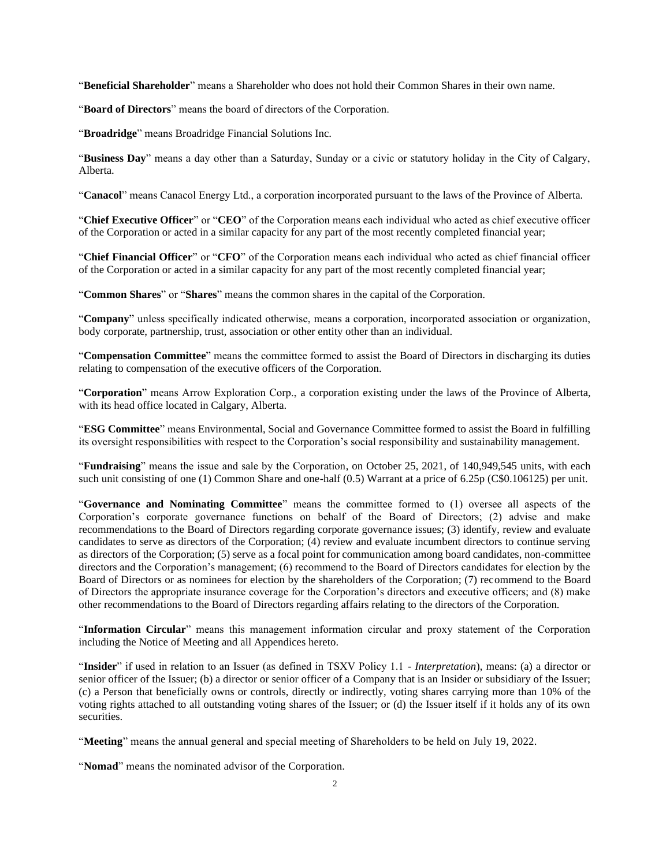"**Beneficial Shareholder**" means a Shareholder who does not hold their Common Shares in their own name.

"**Board of Directors**" means the board of directors of the Corporation.

"**Broadridge**" means Broadridge Financial Solutions Inc.

"**Business Day**" means a day other than a Saturday, Sunday or a civic or statutory holiday in the City of Calgary, Alberta.

"**Canacol**" means Canacol Energy Ltd., a corporation incorporated pursuant to the laws of the Province of Alberta.

"**Chief Executive Officer**" or "**CEO**" of the Corporation means each individual who acted as chief executive officer of the Corporation or acted in a similar capacity for any part of the most recently completed financial year;

"**Chief Financial Officer**" or "**CFO**" of the Corporation means each individual who acted as chief financial officer of the Corporation or acted in a similar capacity for any part of the most recently completed financial year;

"**Common Shares**" or "**Shares**" means the common shares in the capital of the Corporation.

"**Company**" unless specifically indicated otherwise, means a corporation, incorporated association or organization, body corporate, partnership, trust, association or other entity other than an individual.

"**Compensation Committee**" means the committee formed to assist the Board of Directors in discharging its duties relating to compensation of the executive officers of the Corporation.

"**Corporation**" means Arrow Exploration Corp., a corporation existing under the laws of the Province of Alberta, with its head office located in Calgary, Alberta.

"**ESG Committee**" means Environmental, Social and Governance Committee formed to assist the Board in fulfilling its oversight responsibilities with respect to the Corporation's social responsibility and sustainability management.

"**Fundraising**" means the issue and sale by the Corporation, on October 25, 2021, of 140,949,545 units, with each such unit consisting of one  $(1)$  Common Share and one-half  $(0.5)$  Warrant at a price of 6.25p (C\$0.106125) per unit.

"**Governance and Nominating Committee**" means the committee formed to (1) oversee all aspects of the Corporation's corporate governance functions on behalf of the Board of Directors; (2) advise and make recommendations to the Board of Directors regarding corporate governance issues; (3) identify, review and evaluate candidates to serve as directors of the Corporation; (4) review and evaluate incumbent directors to continue serving as directors of the Corporation; (5) serve as a focal point for communication among board candidates, non-committee directors and the Corporation's management; (6) recommend to the Board of Directors candidates for election by the Board of Directors or as nominees for election by the shareholders of the Corporation; (7) recommend to the Board of Directors the appropriate insurance coverage for the Corporation's directors and executive officers; and (8) make other recommendations to the Board of Directors regarding affairs relating to the directors of the Corporation.

"**Information Circular**" means this management information circular and proxy statement of the Corporation including the Notice of Meeting and all Appendices hereto.

"**Insider**" if used in relation to an Issuer (as defined in TSXV Policy 1.1 - *Interpretation*), means: (a) a director or senior officer of the Issuer; (b) a director or senior officer of a Company that is an Insider or subsidiary of the Issuer; (c) a Person that beneficially owns or controls, directly or indirectly, voting shares carrying more than 10% of the voting rights attached to all outstanding voting shares of the Issuer; or (d) the Issuer itself if it holds any of its own securities.

"**Meeting**" means the annual general and special meeting of Shareholders to be held on July 19, 2022.

"**Nomad**" means the nominated advisor of the Corporation.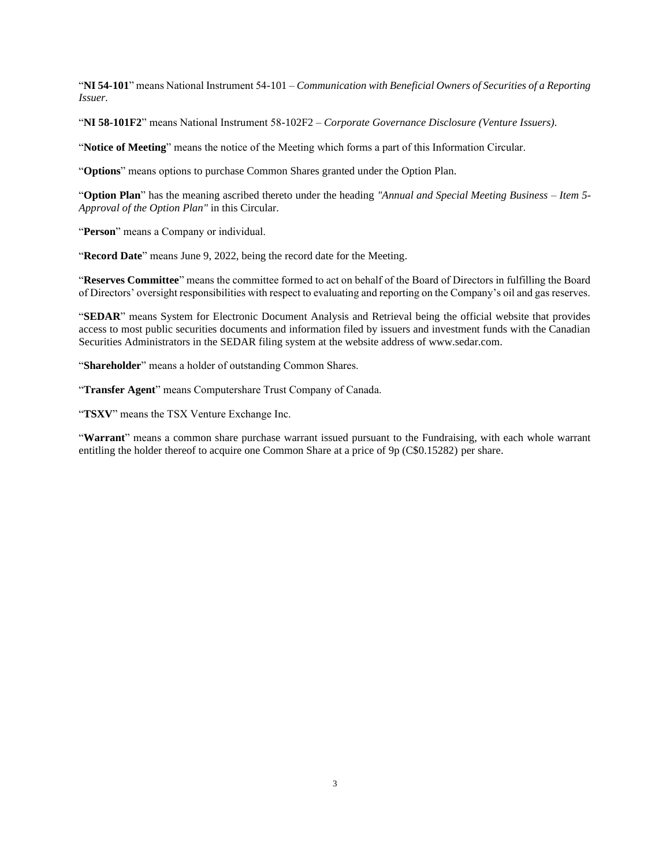"**NI 54-101**" means National Instrument 54-101 – *Communication with Beneficial Owners of Securities of a Reporting Issuer.*

"**NI 58-101F2**" means National Instrument 58-102F2 – *Corporate Governance Disclosure (Venture Issuers)*.

"**Notice of Meeting**" means the notice of the Meeting which forms a part of this Information Circular.

"**Options**" means options to purchase Common Shares granted under the Option Plan.

"**Option Plan**" has the meaning ascribed thereto under the heading *"Annual and Special Meeting Business – Item 5- Approval of the Option Plan"* in this Circular.

"**Person**" means a Company or individual.

"**Record Date**" means June 9, 2022, being the record date for the Meeting.

"**Reserves Committee**" means the committee formed to act on behalf of the Board of Directors in fulfilling the Board of Directors' oversight responsibilities with respect to evaluating and reporting on the Company's oil and gas reserves.

"**SEDAR**" means System for Electronic Document Analysis and Retrieval being the official website that provides access to most public securities documents and information filed by issuers and investment funds with the Canadian Securities Administrators in the SEDAR filing system at the website address of www.sedar.com.

"**Shareholder**" means a holder of outstanding Common Shares.

"**Transfer Agent**" means Computershare Trust Company of Canada.

"**TSXV**" means the TSX Venture Exchange Inc.

"**Warrant**" means a common share purchase warrant issued pursuant to the Fundraising, with each whole warrant entitling the holder thereof to acquire one Common Share at a price of 9p (C\$0.15282) per share.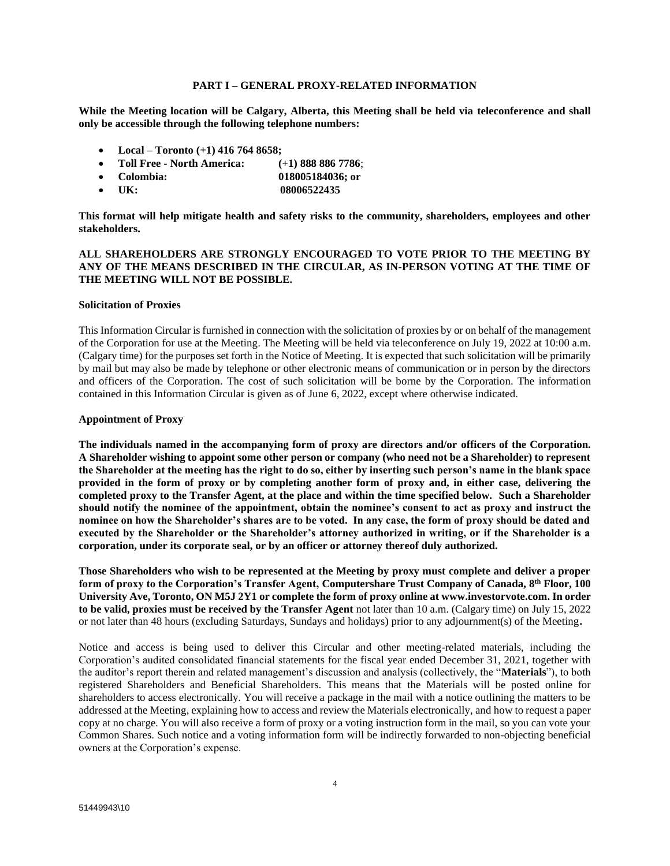### **PART I – GENERAL PROXY-RELATED INFORMATION**

**While the Meeting location will be Calgary, Alberta, this Meeting shall be held via teleconference and shall only be accessible through the following telephone numbers:** 

- **Local – Toronto (+1) 416 764 8658;**
- **Toll Free - North America: (+1) 888 886 7786**;
- **Colombia: 018005184036; or**
- UK: 08006522435

**This format will help mitigate health and safety risks to the community, shareholders, employees and other stakeholders.** 

## **ALL SHAREHOLDERS ARE STRONGLY ENCOURAGED TO VOTE PRIOR TO THE MEETING BY ANY OF THE MEANS DESCRIBED IN THE CIRCULAR, AS IN-PERSON VOTING AT THE TIME OF THE MEETING WILL NOT BE POSSIBLE.**

#### **Solicitation of Proxies**

This Information Circular is furnished in connection with the solicitation of proxies by or on behalf of the management of the Corporation for use at the Meeting. The Meeting will be held via teleconference on July 19, 2022 at 10:00 a.m. (Calgary time) for the purposes set forth in the Notice of Meeting. It is expected that such solicitation will be primarily by mail but may also be made by telephone or other electronic means of communication or in person by the directors and officers of the Corporation. The cost of such solicitation will be borne by the Corporation. The information contained in this Information Circular is given as of June 6, 2022, except where otherwise indicated.

#### **Appointment of Proxy**

**The individuals named in the accompanying form of proxy are directors and/or officers of the Corporation. A Shareholder wishing to appoint some other person or company (who need not be a Shareholder) to represent the Shareholder at the meeting has the right to do so, either by inserting such person's name in the blank space provided in the form of proxy or by completing another form of proxy and, in either case, delivering the completed proxy to the Transfer Agent, at the place and within the time specified below. Such a Shareholder should notify the nominee of the appointment, obtain the nominee's consent to act as proxy and instruct the nominee on how the Shareholder's shares are to be voted. In any case, the form of proxy should be dated and executed by the Shareholder or the Shareholder's attorney authorized in writing, or if the Shareholder is a corporation, under its corporate seal, or by an officer or attorney thereof duly authorized.**

**Those Shareholders who wish to be represented at the Meeting by proxy must complete and deliver a proper form of proxy to the Corporation's Transfer Agent, Computershare Trust Company of Canada, 8 th Floor, 100 University Ave, Toronto, ON M5J 2Y1 or complete the form of proxy online at www.investorvote.com. In order to be valid, proxies must be received by the Transfer Agent** not later than 10 a.m. (Calgary time) on July 15, 2022 or not later than 48 hours (excluding Saturdays, Sundays and holidays) prior to any adjournment(s) of the Meeting**.**

Notice and access is being used to deliver this Circular and other meeting-related materials, including the Corporation's audited consolidated financial statements for the fiscal year ended December 31, 2021, together with the auditor's report therein and related management's discussion and analysis (collectively, the "**Materials**"), to both registered Shareholders and Beneficial Shareholders. This means that the Materials will be posted online for shareholders to access electronically. You will receive a package in the mail with a notice outlining the matters to be addressed at the Meeting, explaining how to access and review the Materials electronically, and how to request a paper copy at no charge. You will also receive a form of proxy or a voting instruction form in the mail, so you can vote your Common Shares. Such notice and a voting information form will be indirectly forwarded to non-objecting beneficial owners at the Corporation's expense.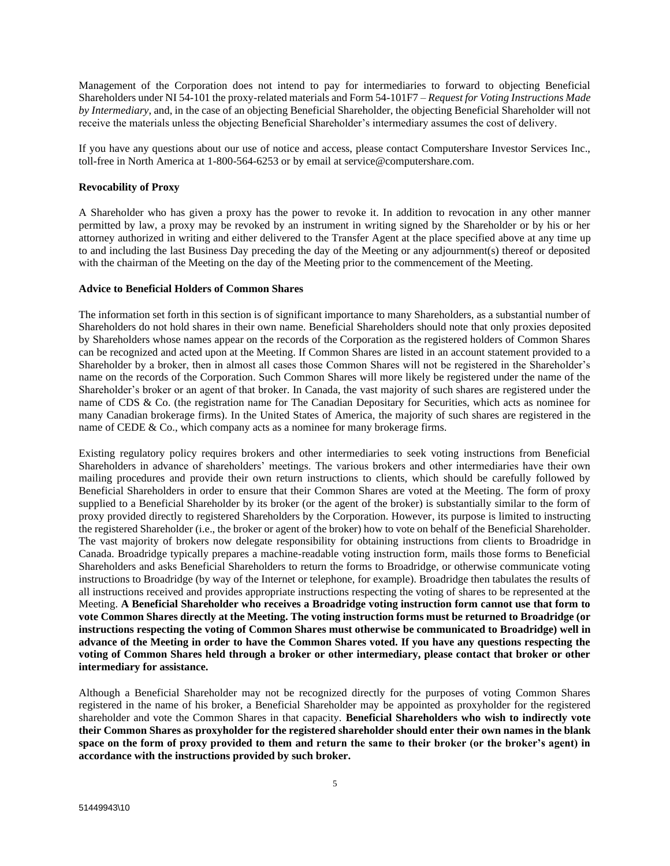Management of the Corporation does not intend to pay for intermediaries to forward to objecting Beneficial Shareholders under NI 54-101 the proxy-related materials and Form 54-101F7 – *Request for Voting Instructions Made by Intermediary*, and, in the case of an objecting Beneficial Shareholder, the objecting Beneficial Shareholder will not receive the materials unless the objecting Beneficial Shareholder's intermediary assumes the cost of delivery.

If you have any questions about our use of notice and access, please contact Computershare Investor Services Inc., toll-free in North America at 1-800-564-6253 or by email at service@computershare.com.

### **Revocability of Proxy**

A Shareholder who has given a proxy has the power to revoke it. In addition to revocation in any other manner permitted by law, a proxy may be revoked by an instrument in writing signed by the Shareholder or by his or her attorney authorized in writing and either delivered to the Transfer Agent at the place specified above at any time up to and including the last Business Day preceding the day of the Meeting or any adjournment(s) thereof or deposited with the chairman of the Meeting on the day of the Meeting prior to the commencement of the Meeting.

## **Advice to Beneficial Holders of Common Shares**

The information set forth in this section is of significant importance to many Shareholders, as a substantial number of Shareholders do not hold shares in their own name. Beneficial Shareholders should note that only proxies deposited by Shareholders whose names appear on the records of the Corporation as the registered holders of Common Shares can be recognized and acted upon at the Meeting. If Common Shares are listed in an account statement provided to a Shareholder by a broker, then in almost all cases those Common Shares will not be registered in the Shareholder's name on the records of the Corporation. Such Common Shares will more likely be registered under the name of the Shareholder's broker or an agent of that broker. In Canada, the vast majority of such shares are registered under the name of CDS & Co. (the registration name for The Canadian Depositary for Securities, which acts as nominee for many Canadian brokerage firms). In the United States of America, the majority of such shares are registered in the name of CEDE & Co., which company acts as a nominee for many brokerage firms.

Existing regulatory policy requires brokers and other intermediaries to seek voting instructions from Beneficial Shareholders in advance of shareholders' meetings. The various brokers and other intermediaries have their own mailing procedures and provide their own return instructions to clients, which should be carefully followed by Beneficial Shareholders in order to ensure that their Common Shares are voted at the Meeting. The form of proxy supplied to a Beneficial Shareholder by its broker (or the agent of the broker) is substantially similar to the form of proxy provided directly to registered Shareholders by the Corporation. However, its purpose is limited to instructing the registered Shareholder (i.e., the broker or agent of the broker) how to vote on behalf of the Beneficial Shareholder. The vast majority of brokers now delegate responsibility for obtaining instructions from clients to Broadridge in Canada. Broadridge typically prepares a machine-readable voting instruction form, mails those forms to Beneficial Shareholders and asks Beneficial Shareholders to return the forms to Broadridge, or otherwise communicate voting instructions to Broadridge (by way of the Internet or telephone, for example). Broadridge then tabulates the results of all instructions received and provides appropriate instructions respecting the voting of shares to be represented at the Meeting. **A Beneficial Shareholder who receives a Broadridge voting instruction form cannot use that form to vote Common Shares directly at the Meeting. The voting instruction forms must be returned to Broadridge (or instructions respecting the voting of Common Shares must otherwise be communicated to Broadridge) well in advance of the Meeting in order to have the Common Shares voted. If you have any questions respecting the voting of Common Shares held through a broker or other intermediary, please contact that broker or other intermediary for assistance.**

Although a Beneficial Shareholder may not be recognized directly for the purposes of voting Common Shares registered in the name of his broker, a Beneficial Shareholder may be appointed as proxyholder for the registered shareholder and vote the Common Shares in that capacity. **Beneficial Shareholders who wish to indirectly vote their Common Shares as proxyholder for the registered shareholder should enter their own names in the blank space on the form of proxy provided to them and return the same to their broker (or the broker's agent) in accordance with the instructions provided by such broker.**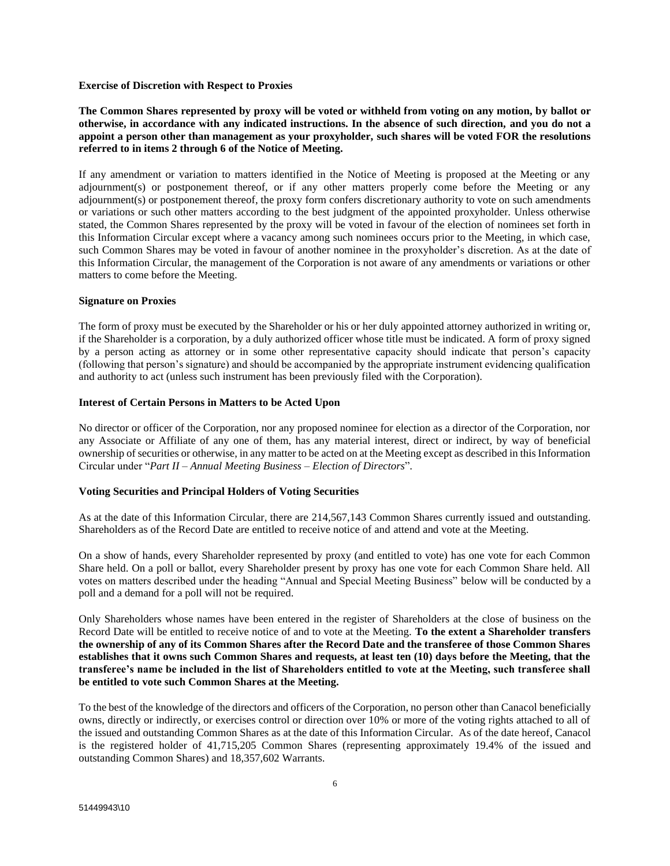#### **Exercise of Discretion with Respect to Proxies**

**The Common Shares represented by proxy will be voted or withheld from voting on any motion, by ballot or otherwise, in accordance with any indicated instructions. In the absence of such direction, and you do not a appoint a person other than management as your proxyholder, such shares will be voted FOR the resolutions referred to in items 2 through 6 of the Notice of Meeting.** 

If any amendment or variation to matters identified in the Notice of Meeting is proposed at the Meeting or any adjournment(s) or postponement thereof, or if any other matters properly come before the Meeting or any adjournment(s) or postponement thereof, the proxy form confers discretionary authority to vote on such amendments or variations or such other matters according to the best judgment of the appointed proxyholder. Unless otherwise stated, the Common Shares represented by the proxy will be voted in favour of the election of nominees set forth in this Information Circular except where a vacancy among such nominees occurs prior to the Meeting, in which case, such Common Shares may be voted in favour of another nominee in the proxyholder's discretion. As at the date of this Information Circular, the management of the Corporation is not aware of any amendments or variations or other matters to come before the Meeting.

## **Signature on Proxies**

The form of proxy must be executed by the Shareholder or his or her duly appointed attorney authorized in writing or, if the Shareholder is a corporation, by a duly authorized officer whose title must be indicated. A form of proxy signed by a person acting as attorney or in some other representative capacity should indicate that person's capacity (following that person's signature) and should be accompanied by the appropriate instrument evidencing qualification and authority to act (unless such instrument has been previously filed with the Corporation).

## **Interest of Certain Persons in Matters to be Acted Upon**

No director or officer of the Corporation, nor any proposed nominee for election as a director of the Corporation, nor any Associate or Affiliate of any one of them, has any material interest, direct or indirect, by way of beneficial ownership of securities or otherwise, in any matter to be acted on at the Meeting except as described in this Information Circular under "*Part II – Annual Meeting Business – Election of Directors*".

## **Voting Securities and Principal Holders of Voting Securities**

As at the date of this Information Circular, there are 214,567,143 Common Shares currently issued and outstanding. Shareholders as of the Record Date are entitled to receive notice of and attend and vote at the Meeting.

On a show of hands, every Shareholder represented by proxy (and entitled to vote) has one vote for each Common Share held. On a poll or ballot, every Shareholder present by proxy has one vote for each Common Share held. All votes on matters described under the heading "Annual and Special Meeting Business" below will be conducted by a poll and a demand for a poll will not be required.

Only Shareholders whose names have been entered in the register of Shareholders at the close of business on the Record Date will be entitled to receive notice of and to vote at the Meeting. **To the extent a Shareholder transfers the ownership of any of its Common Shares after the Record Date and the transferee of those Common Shares establishes that it owns such Common Shares and requests, at least ten (10) days before the Meeting, that the transferee's name be included in the list of Shareholders entitled to vote at the Meeting, such transferee shall be entitled to vote such Common Shares at the Meeting.**

To the best of the knowledge of the directors and officers of the Corporation, no person other than Canacol beneficially owns, directly or indirectly, or exercises control or direction over 10% or more of the voting rights attached to all of the issued and outstanding Common Shares as at the date of this Information Circular. As of the date hereof, Canacol is the registered holder of 41,715,205 Common Shares (representing approximately 19.4% of the issued and outstanding Common Shares) and 18,357,602 Warrants.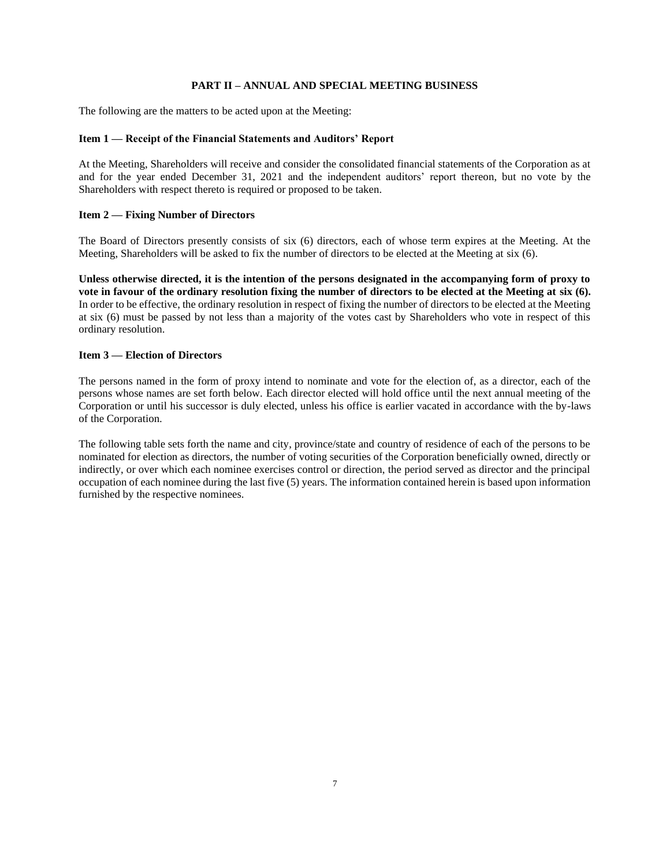## **PART II – ANNUAL AND SPECIAL MEETING BUSINESS**

The following are the matters to be acted upon at the Meeting:

## **Item 1 — Receipt of the Financial Statements and Auditors' Report**

At the Meeting, Shareholders will receive and consider the consolidated financial statements of the Corporation as at and for the year ended December 31, 2021 and the independent auditors' report thereon, but no vote by the Shareholders with respect thereto is required or proposed to be taken.

## **Item 2 — Fixing Number of Directors**

The Board of Directors presently consists of six (6) directors, each of whose term expires at the Meeting. At the Meeting, Shareholders will be asked to fix the number of directors to be elected at the Meeting at six (6).

**Unless otherwise directed, it is the intention of the persons designated in the accompanying form of proxy to vote in favour of the ordinary resolution fixing the number of directors to be elected at the Meeting at six (6).**  In order to be effective, the ordinary resolution in respect of fixing the number of directors to be elected at the Meeting at six (6) must be passed by not less than a majority of the votes cast by Shareholders who vote in respect of this ordinary resolution.

## **Item 3 — Election of Directors**

The persons named in the form of proxy intend to nominate and vote for the election of, as a director, each of the persons whose names are set forth below. Each director elected will hold office until the next annual meeting of the Corporation or until his successor is duly elected, unless his office is earlier vacated in accordance with the by-laws of the Corporation.

The following table sets forth the name and city, province/state and country of residence of each of the persons to be nominated for election as directors, the number of voting securities of the Corporation beneficially owned, directly or indirectly, or over which each nominee exercises control or direction, the period served as director and the principal occupation of each nominee during the last five (5) years. The information contained herein is based upon information furnished by the respective nominees.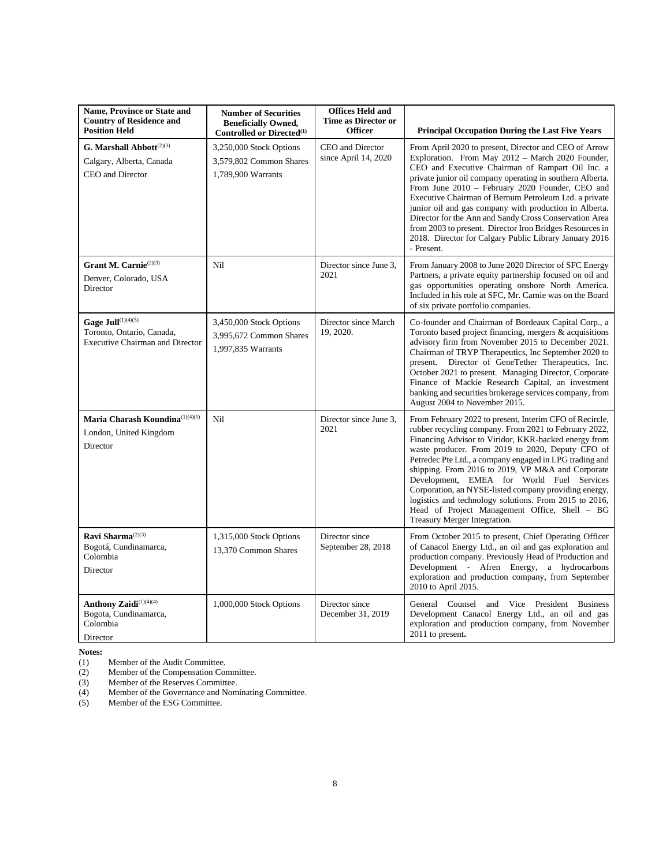| Name, Province or State and<br><b>Country of Residence and</b>                                                 | <b>Number of Securities</b><br><b>Beneficially Owned,</b>                                                         | <b>Offices Held and</b><br><b>Time as Director or</b>      |                                                                                                                                                                                                                                                                                                                                                                                                                                                                                                                                                                                                                                                          |
|----------------------------------------------------------------------------------------------------------------|-------------------------------------------------------------------------------------------------------------------|------------------------------------------------------------|----------------------------------------------------------------------------------------------------------------------------------------------------------------------------------------------------------------------------------------------------------------------------------------------------------------------------------------------------------------------------------------------------------------------------------------------------------------------------------------------------------------------------------------------------------------------------------------------------------------------------------------------------------|
| <b>Position Held</b><br>G. Marshall $\mathbf{Abbott}^{(2)(3)}$<br>Calgary, Alberta, Canada<br>CEO and Director | Controlled or Directed <sup>(1)</sup><br>3,250,000 Stock Options<br>3,579,802 Common Shares<br>1,789,900 Warrants | <b>Officer</b><br>CEO and Director<br>since April 14, 2020 | <b>Principal Occupation During the Last Five Years</b><br>From April 2020 to present, Director and CEO of Arrow<br>Exploration. From May 2012 - March 2020 Founder,<br>CEO and Executive Chairman of Rampart Oil Inc. a<br>private junior oil company operating in southern Alberta.<br>From June 2010 - February 2020 Founder, CEO and<br>Executive Chairman of Bernum Petroleum Ltd. a private<br>junior oil and gas company with production in Alberta.<br>Director for the Ann and Sandy Cross Conservation Area<br>from 2003 to present. Director Iron Bridges Resources in<br>2018. Director for Calgary Public Library January 2016<br>- Present. |
| Grant M. Carnie <sup>(2)(3)</sup><br>Denver, Colorado, USA<br>Director                                         | Nil                                                                                                               | Director since June 3.<br>2021                             | From January 2008 to June 2020 Director of SFC Energy<br>Partners, a private equity partnership focused on oil and<br>gas opportunities operating onshore North America.<br>Included in his role at SFC, Mr. Carnie was on the Board<br>of six private portfolio companies.                                                                                                                                                                                                                                                                                                                                                                              |
| Gage Jull <sup>(1)(4)(5)</sup><br>Toronto, Ontario, Canada,<br><b>Executive Chairman and Director</b>          | 3,450,000 Stock Options<br>3,995,672 Common Shares<br>1,997,835 Warrants                                          | Director since March<br>19, 2020.                          | Co-founder and Chairman of Bordeaux Capital Corp., a<br>Toronto based project financing, mergers & acquisitions<br>advisory firm from November 2015 to December 2021.<br>Chairman of TRYP Therapeutics, Inc September 2020 to<br>present. Director of GeneTether Therapeutics, Inc.<br>October 2021 to present. Managing Director, Corporate<br>Finance of Mackie Research Capital, an investment<br>banking and securities brokerage services company, from<br>August 2004 to November 2015.                                                                                                                                                            |
| Maria Charash Koundina(1)(4)(5)<br>London, United Kingdom<br>Director                                          | Nil                                                                                                               | Director since June 3,<br>2021                             | From February 2022 to present, Interim CFO of Recircle,<br>rubber recycling company. From 2021 to February 2022,<br>Financing Advisor to Viridor, KKR-backed energy from<br>waste producer. From 2019 to 2020, Deputy CFO of<br>Petredec Pte Ltd., a company engaged in LPG trading and<br>shipping. From 2016 to 2019, VP M&A and Corporate<br>Development, EMEA for World Fuel Services<br>Corporation, an NYSE-listed company providing energy,<br>logistics and technology solutions. From 2015 to 2016,<br>Head of Project Management Office, Shell - BG<br>Treasury Merger Integration.                                                            |
| Ravi Sharma <sup>(2)(3)</sup><br>Bogotá, Cundinamarca,<br>Colombia<br>Director                                 | 1,315,000 Stock Options<br>13,370 Common Shares                                                                   | Director since<br>September 28, 2018                       | From October 2015 to present, Chief Operating Officer<br>of Canacol Energy Ltd., an oil and gas exploration and<br>production company. Previously Head of Production and<br>Development - Afren Energy, a hydrocarbons<br>exploration and production company, from September<br>2010 to April 2015.                                                                                                                                                                                                                                                                                                                                                      |
| Anthony Zaidi <sup>(1)(4)(4)</sup><br>Bogota, Cundinamarca,<br>Colombia<br>Director                            | 1,000,000 Stock Options                                                                                           | Director since<br>December 31, 2019                        | General Counsel and Vice President Business<br>Development Canacol Energy Ltd., an oil and gas<br>exploration and production company, from November<br>2011 to present.                                                                                                                                                                                                                                                                                                                                                                                                                                                                                  |

**Notes:**<br>(1)<br>(2) (1) Member of the Audit Committee.

(2) Member of the Compensation Committee.

(3) Member of the Reserves Committee.

(4) Member of the Governance and Nominating Committee.

(2) Member of the Compensation Co.<br>
(3) Member of the Reserves Committee.<br>
(5) Member of the ESG Committee.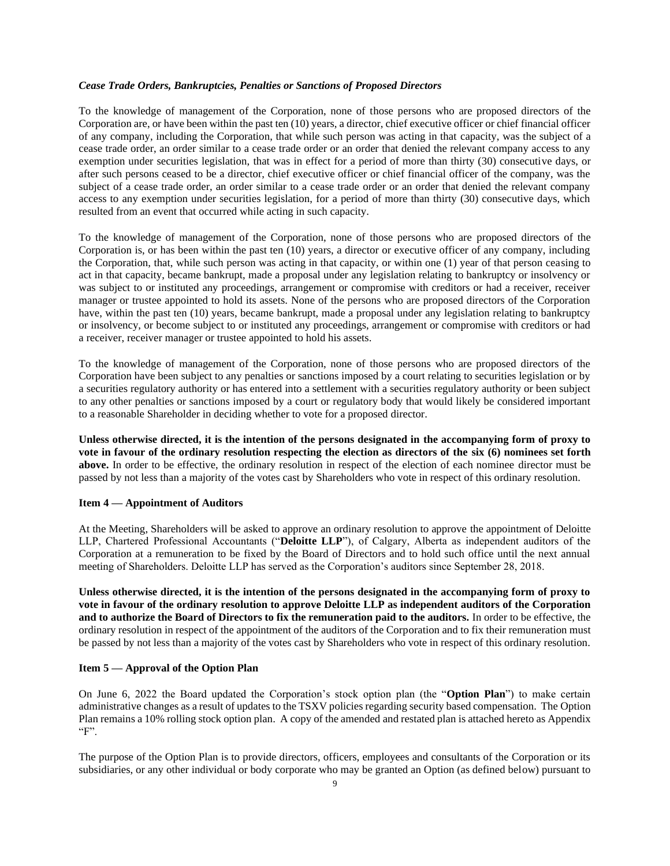#### *Cease Trade Orders, Bankruptcies, Penalties or Sanctions of Proposed Directors*

To the knowledge of management of the Corporation, none of those persons who are proposed directors of the Corporation are, or have been within the past ten (10) years, a director, chief executive officer or chief financial officer of any company, including the Corporation, that while such person was acting in that capacity, was the subject of a cease trade order, an order similar to a cease trade order or an order that denied the relevant company access to any exemption under securities legislation, that was in effect for a period of more than thirty (30) consecutive days, or after such persons ceased to be a director, chief executive officer or chief financial officer of the company, was the subject of a cease trade order, an order similar to a cease trade order or an order that denied the relevant company access to any exemption under securities legislation, for a period of more than thirty (30) consecutive days, which resulted from an event that occurred while acting in such capacity.

To the knowledge of management of the Corporation, none of those persons who are proposed directors of the Corporation is, or has been within the past ten (10) years, a director or executive officer of any company, including the Corporation, that, while such person was acting in that capacity, or within one (1) year of that person ceasing to act in that capacity, became bankrupt, made a proposal under any legislation relating to bankruptcy or insolvency or was subject to or instituted any proceedings, arrangement or compromise with creditors or had a receiver, receiver manager or trustee appointed to hold its assets. None of the persons who are proposed directors of the Corporation have, within the past ten (10) years, became bankrupt, made a proposal under any legislation relating to bankruptcy or insolvency, or become subject to or instituted any proceedings, arrangement or compromise with creditors or had a receiver, receiver manager or trustee appointed to hold his assets.

To the knowledge of management of the Corporation, none of those persons who are proposed directors of the Corporation have been subject to any penalties or sanctions imposed by a court relating to securities legislation or by a securities regulatory authority or has entered into a settlement with a securities regulatory authority or been subject to any other penalties or sanctions imposed by a court or regulatory body that would likely be considered important to a reasonable Shareholder in deciding whether to vote for a proposed director.

**Unless otherwise directed, it is the intention of the persons designated in the accompanying form of proxy to vote in favour of the ordinary resolution respecting the election as directors of the six (6) nominees set forth above.** In order to be effective, the ordinary resolution in respect of the election of each nominee director must be passed by not less than a majority of the votes cast by Shareholders who vote in respect of this ordinary resolution.

## **Item 4 — Appointment of Auditors**

At the Meeting, Shareholders will be asked to approve an ordinary resolution to approve the appointment of Deloitte LLP, Chartered Professional Accountants ("**Deloitte LLP**"), of Calgary, Alberta as independent auditors of the Corporation at a remuneration to be fixed by the Board of Directors and to hold such office until the next annual meeting of Shareholders. Deloitte LLP has served as the Corporation's auditors since September 28, 2018.

**Unless otherwise directed, it is the intention of the persons designated in the accompanying form of proxy to vote in favour of the ordinary resolution to approve Deloitte LLP as independent auditors of the Corporation and to authorize the Board of Directors to fix the remuneration paid to the auditors.** In order to be effective, the ordinary resolution in respect of the appointment of the auditors of the Corporation and to fix their remuneration must be passed by not less than a majority of the votes cast by Shareholders who vote in respect of this ordinary resolution.

## **Item 5 — Approval of the Option Plan**

On June 6, 2022 the Board updated the Corporation's stock option plan (the "**Option Plan**") to make certain administrative changes as a result of updates to the TSXV policies regarding security based compensation. The Option Plan remains a 10% rolling stock option plan. A copy of the amended and restated plan is attached hereto as Appendix "F".

The purpose of the Option Plan is to provide directors, officers, employees and consultants of the Corporation or its subsidiaries, or any other individual or body corporate who may be granted an Option (as defined below) pursuant to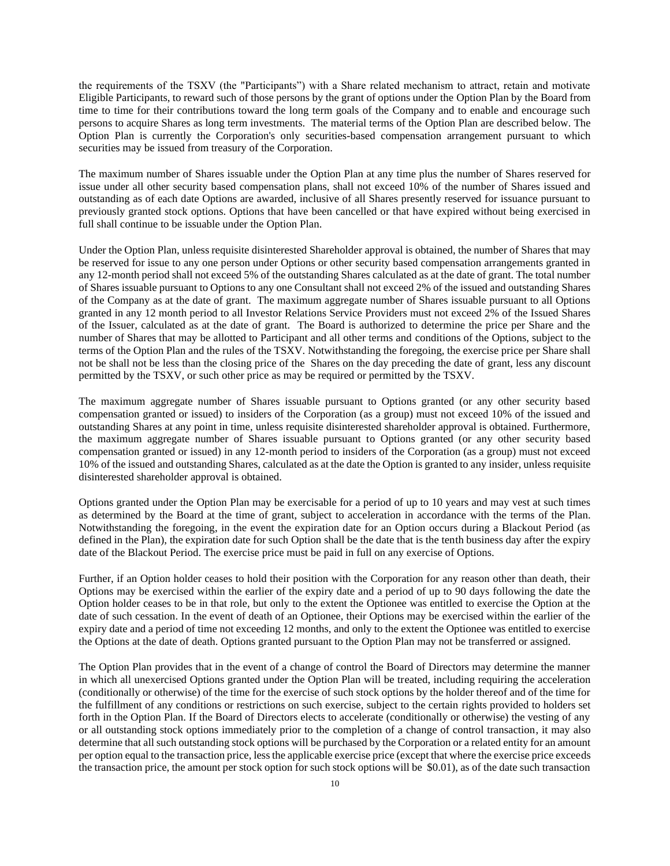the requirements of the TSXV (the "Participants") with a Share related mechanism to attract, retain and motivate Eligible Participants, to reward such of those persons by the grant of options under the Option Plan by the Board from time to time for their contributions toward the long term goals of the Company and to enable and encourage such persons to acquire Shares as long term investments. The material terms of the Option Plan are described below. The Option Plan is currently the Corporation's only securities-based compensation arrangement pursuant to which securities may be issued from treasury of the Corporation.

The maximum number of Shares issuable under the Option Plan at any time plus the number of Shares reserved for issue under all other security based compensation plans, shall not exceed 10% of the number of Shares issued and outstanding as of each date Options are awarded, inclusive of all Shares presently reserved for issuance pursuant to previously granted stock options. Options that have been cancelled or that have expired without being exercised in full shall continue to be issuable under the Option Plan.

Under the Option Plan, unless requisite disinterested Shareholder approval is obtained, the number of Shares that may be reserved for issue to any one person under Options or other security based compensation arrangements granted in any 12-month period shall not exceed 5% of the outstanding Shares calculated as at the date of grant. The total number of Shares issuable pursuant to Options to any one Consultant shall not exceed 2% of the issued and outstanding Shares of the Company as at the date of grant. The maximum aggregate number of Shares issuable pursuant to all Options granted in any 12 month period to all Investor Relations Service Providers must not exceed 2% of the Issued Shares of the Issuer, calculated as at the date of grant. The Board is authorized to determine the price per Share and the number of Shares that may be allotted to Participant and all other terms and conditions of the Options, subject to the terms of the Option Plan and the rules of the TSXV. Notwithstanding the foregoing, the exercise price per Share shall not be shall not be less than the closing price of the Shares on the day preceding the date of grant, less any discount permitted by the TSXV, or such other price as may be required or permitted by the TSXV.

The maximum aggregate number of Shares issuable pursuant to Options granted (or any other security based compensation granted or issued) to insiders of the Corporation (as a group) must not exceed 10% of the issued and outstanding Shares at any point in time, unless requisite disinterested shareholder approval is obtained. Furthermore, the maximum aggregate number of Shares issuable pursuant to Options granted (or any other security based compensation granted or issued) in any 12-month period to insiders of the Corporation (as a group) must not exceed 10% of the issued and outstanding Shares, calculated as at the date the Option is granted to any insider, unless requisite disinterested shareholder approval is obtained.

Options granted under the Option Plan may be exercisable for a period of up to 10 years and may vest at such times as determined by the Board at the time of grant, subject to acceleration in accordance with the terms of the Plan. Notwithstanding the foregoing, in the event the expiration date for an Option occurs during a Blackout Period (as defined in the Plan), the expiration date for such Option shall be the date that is the tenth business day after the expiry date of the Blackout Period. The exercise price must be paid in full on any exercise of Options.

Further, if an Option holder ceases to hold their position with the Corporation for any reason other than death, their Options may be exercised within the earlier of the expiry date and a period of up to 90 days following the date the Option holder ceases to be in that role, but only to the extent the Optionee was entitled to exercise the Option at the date of such cessation. In the event of death of an Optionee, their Options may be exercised within the earlier of the expiry date and a period of time not exceeding 12 months, and only to the extent the Optionee was entitled to exercise the Options at the date of death. Options granted pursuant to the Option Plan may not be transferred or assigned.

The Option Plan provides that in the event of a change of control the Board of Directors may determine the manner in which all unexercised Options granted under the Option Plan will be treated, including requiring the acceleration (conditionally or otherwise) of the time for the exercise of such stock options by the holder thereof and of the time for the fulfillment of any conditions or restrictions on such exercise, subject to the certain rights provided to holders set forth in the Option Plan. If the Board of Directors elects to accelerate (conditionally or otherwise) the vesting of any or all outstanding stock options immediately prior to the completion of a change of control transaction, it may also determine that all such outstanding stock options will be purchased by the Corporation or a related entity for an amount per option equal to the transaction price, less the applicable exercise price (except that where the exercise price exceeds the transaction price, the amount per stock option for such stock options will be \$0.01), as of the date such transaction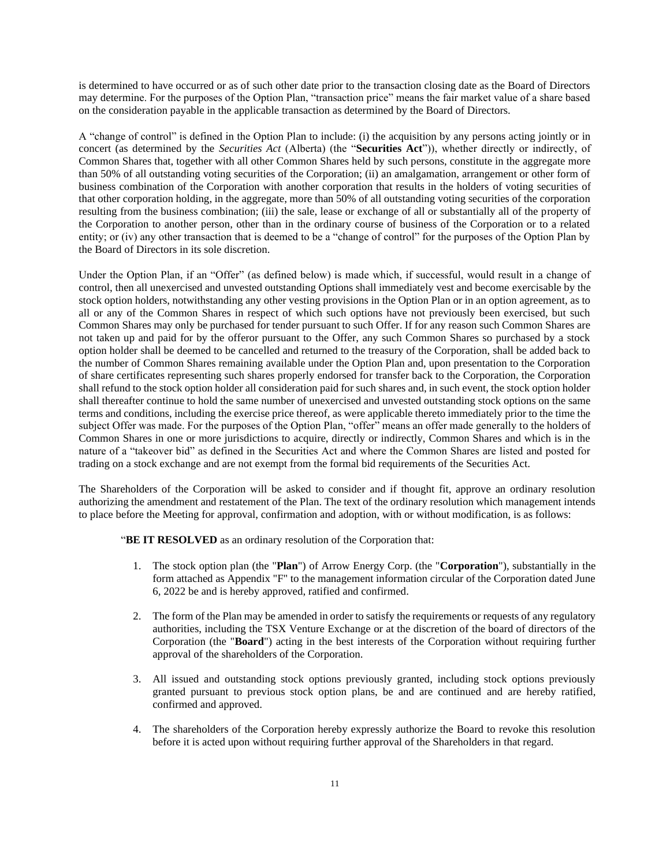is determined to have occurred or as of such other date prior to the transaction closing date as the Board of Directors may determine. For the purposes of the Option Plan, "transaction price" means the fair market value of a share based on the consideration payable in the applicable transaction as determined by the Board of Directors.

A "change of control" is defined in the Option Plan to include: (i) the acquisition by any persons acting jointly or in concert (as determined by the *Securities Act* (Alberta) (the "**Securities Act**")), whether directly or indirectly, of Common Shares that, together with all other Common Shares held by such persons, constitute in the aggregate more than 50% of all outstanding voting securities of the Corporation; (ii) an amalgamation, arrangement or other form of business combination of the Corporation with another corporation that results in the holders of voting securities of that other corporation holding, in the aggregate, more than 50% of all outstanding voting securities of the corporation resulting from the business combination; (iii) the sale, lease or exchange of all or substantially all of the property of the Corporation to another person, other than in the ordinary course of business of the Corporation or to a related entity; or (iv) any other transaction that is deemed to be a "change of control" for the purposes of the Option Plan by the Board of Directors in its sole discretion.

Under the Option Plan, if an "Offer" (as defined below) is made which, if successful, would result in a change of control, then all unexercised and unvested outstanding Options shall immediately vest and become exercisable by the stock option holders, notwithstanding any other vesting provisions in the Option Plan or in an option agreement, as to all or any of the Common Shares in respect of which such options have not previously been exercised, but such Common Shares may only be purchased for tender pursuant to such Offer. If for any reason such Common Shares are not taken up and paid for by the offeror pursuant to the Offer, any such Common Shares so purchased by a stock option holder shall be deemed to be cancelled and returned to the treasury of the Corporation, shall be added back to the number of Common Shares remaining available under the Option Plan and, upon presentation to the Corporation of share certificates representing such shares properly endorsed for transfer back to the Corporation, the Corporation shall refund to the stock option holder all consideration paid for such shares and, in such event, the stock option holder shall thereafter continue to hold the same number of unexercised and unvested outstanding stock options on the same terms and conditions, including the exercise price thereof, as were applicable thereto immediately prior to the time the subject Offer was made. For the purposes of the Option Plan, "offer" means an offer made generally to the holders of Common Shares in one or more jurisdictions to acquire, directly or indirectly, Common Shares and which is in the nature of a "takeover bid" as defined in the Securities Act and where the Common Shares are listed and posted for trading on a stock exchange and are not exempt from the formal bid requirements of the Securities Act.

The Shareholders of the Corporation will be asked to consider and if thought fit, approve an ordinary resolution authorizing the amendment and restatement of the Plan. The text of the ordinary resolution which management intends to place before the Meeting for approval, confirmation and adoption, with or without modification, is as follows:

"**BE IT RESOLVED** as an ordinary resolution of the Corporation that:

- 1. The stock option plan (the "**Plan**") of Arrow Energy Corp. (the "**Corporation**"), substantially in the form attached as Appendix "F" to the management information circular of the Corporation dated June 6, 2022 be and is hereby approved, ratified and confirmed.
- 2. The form of the Plan may be amended in order to satisfy the requirements or requests of any regulatory authorities, including the TSX Venture Exchange or at the discretion of the board of directors of the Corporation (the "**Board**") acting in the best interests of the Corporation without requiring further approval of the shareholders of the Corporation.
- 3. All issued and outstanding stock options previously granted, including stock options previously granted pursuant to previous stock option plans, be and are continued and are hereby ratified, confirmed and approved.
- 4. The shareholders of the Corporation hereby expressly authorize the Board to revoke this resolution before it is acted upon without requiring further approval of the Shareholders in that regard.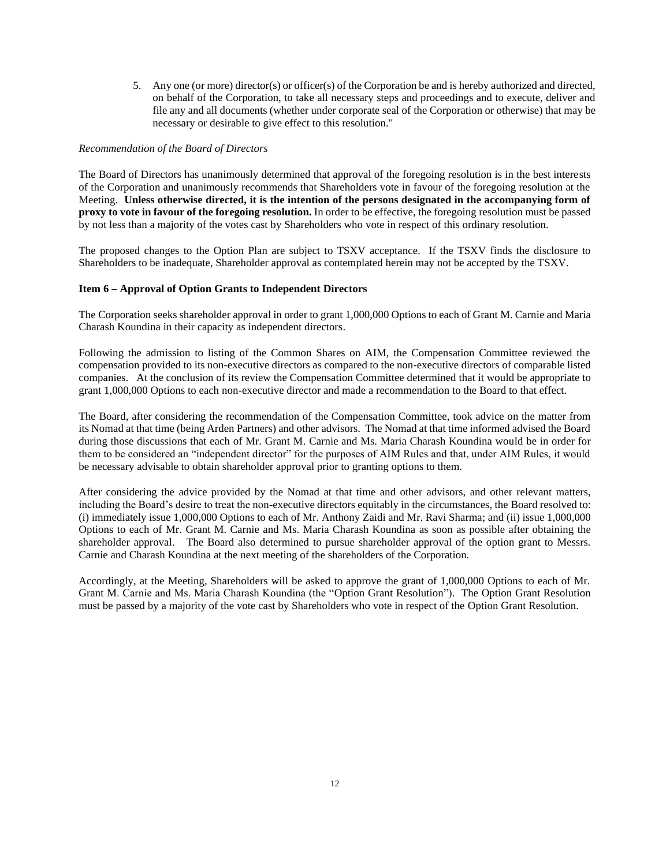5. Any one (or more) director(s) or officer(s) of the Corporation be and is hereby authorized and directed, on behalf of the Corporation, to take all necessary steps and proceedings and to execute, deliver and file any and all documents (whether under corporate seal of the Corporation or otherwise) that may be necessary or desirable to give effect to this resolution."

#### *Recommendation of the Board of Directors*

The Board of Directors has unanimously determined that approval of the foregoing resolution is in the best interests of the Corporation and unanimously recommends that Shareholders vote in favour of the foregoing resolution at the Meeting. **Unless otherwise directed, it is the intention of the persons designated in the accompanying form of proxy to vote in favour of the foregoing resolution.** In order to be effective, the foregoing resolution must be passed by not less than a majority of the votes cast by Shareholders who vote in respect of this ordinary resolution.

The proposed changes to the Option Plan are subject to TSXV acceptance. If the TSXV finds the disclosure to Shareholders to be inadequate, Shareholder approval as contemplated herein may not be accepted by the TSXV.

### **Item 6 – Approval of Option Grants to Independent Directors**

The Corporation seeks shareholder approval in order to grant 1,000,000 Options to each of Grant M. Carnie and Maria Charash Koundina in their capacity as independent directors.

Following the admission to listing of the Common Shares on AIM, the Compensation Committee reviewed the compensation provided to its non-executive directors as compared to the non-executive directors of comparable listed companies. At the conclusion of its review the Compensation Committee determined that it would be appropriate to grant 1,000,000 Options to each non-executive director and made a recommendation to the Board to that effect.

The Board, after considering the recommendation of the Compensation Committee, took advice on the matter from its Nomad at that time (being Arden Partners) and other advisors. The Nomad at that time informed advised the Board during those discussions that each of Mr. Grant M. Carnie and Ms. Maria Charash Koundina would be in order for them to be considered an "independent director" for the purposes of AIM Rules and that, under AIM Rules, it would be necessary advisable to obtain shareholder approval prior to granting options to them.

After considering the advice provided by the Nomad at that time and other advisors, and other relevant matters, including the Board's desire to treat the non-executive directors equitably in the circumstances, the Board resolved to: (i) immediately issue 1,000,000 Options to each of Mr. Anthony Zaidi and Mr. Ravi Sharma; and (ii) issue 1,000,000 Options to each of Mr. Grant M. Carnie and Ms. Maria Charash Koundina as soon as possible after obtaining the shareholder approval. The Board also determined to pursue shareholder approval of the option grant to Messrs. Carnie and Charash Koundina at the next meeting of the shareholders of the Corporation.

Accordingly, at the Meeting, Shareholders will be asked to approve the grant of 1,000,000 Options to each of Mr. Grant M. Carnie and Ms. Maria Charash Koundina (the "Option Grant Resolution"). The Option Grant Resolution must be passed by a majority of the vote cast by Shareholders who vote in respect of the Option Grant Resolution.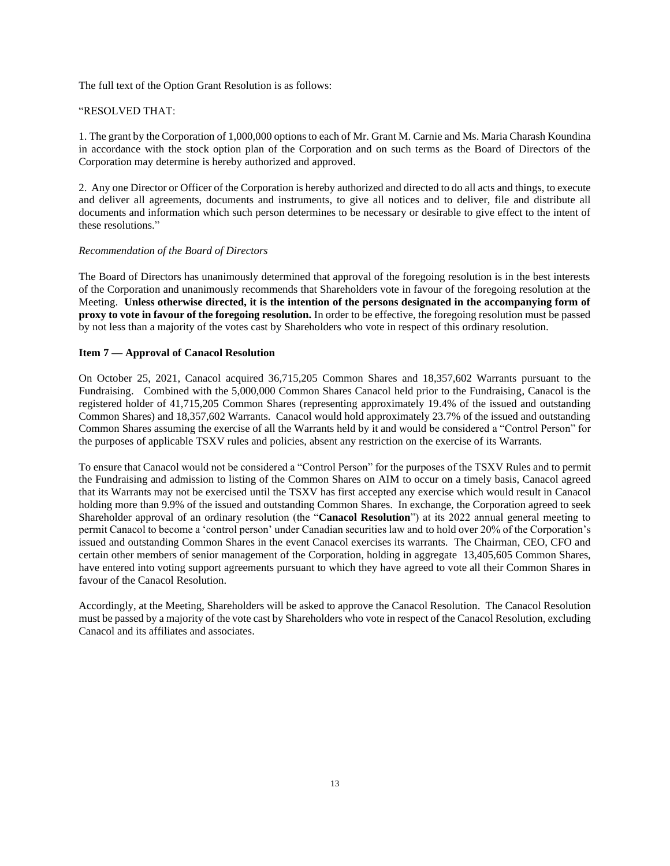The full text of the Option Grant Resolution is as follows:

### "RESOLVED THAT:

1. The grant by the Corporation of 1,000,000 options to each of Mr. Grant M. Carnie and Ms. Maria Charash Koundina in accordance with the stock option plan of the Corporation and on such terms as the Board of Directors of the Corporation may determine is hereby authorized and approved.

2. Any one Director or Officer of the Corporation is hereby authorized and directed to do all acts and things, to execute and deliver all agreements, documents and instruments, to give all notices and to deliver, file and distribute all documents and information which such person determines to be necessary or desirable to give effect to the intent of these resolutions."

#### *Recommendation of the Board of Directors*

The Board of Directors has unanimously determined that approval of the foregoing resolution is in the best interests of the Corporation and unanimously recommends that Shareholders vote in favour of the foregoing resolution at the Meeting. **Unless otherwise directed, it is the intention of the persons designated in the accompanying form of proxy to vote in favour of the foregoing resolution.** In order to be effective, the foregoing resolution must be passed by not less than a majority of the votes cast by Shareholders who vote in respect of this ordinary resolution.

## **Item 7 — Approval of Canacol Resolution**

On October 25, 2021, Canacol acquired 36,715,205 Common Shares and 18,357,602 Warrants pursuant to the Fundraising. Combined with the 5,000,000 Common Shares Canacol held prior to the Fundraising, Canacol is the registered holder of 41,715,205 Common Shares (representing approximately 19.4% of the issued and outstanding Common Shares) and 18,357,602 Warrants. Canacol would hold approximately 23.7% of the issued and outstanding Common Shares assuming the exercise of all the Warrants held by it and would be considered a "Control Person" for the purposes of applicable TSXV rules and policies, absent any restriction on the exercise of its Warrants.

To ensure that Canacol would not be considered a "Control Person" for the purposes of the TSXV Rules and to permit the Fundraising and admission to listing of the Common Shares on AIM to occur on a timely basis, Canacol agreed that its Warrants may not be exercised until the TSXV has first accepted any exercise which would result in Canacol holding more than 9.9% of the issued and outstanding Common Shares. In exchange, the Corporation agreed to seek Shareholder approval of an ordinary resolution (the "**Canacol Resolution**") at its 2022 annual general meeting to permit Canacol to become a 'control person' under Canadian securities law and to hold over 20% of the Corporation's issued and outstanding Common Shares in the event Canacol exercises its warrants. The Chairman, CEO, CFO and certain other members of senior management of the Corporation, holding in aggregate 13,405,605 Common Shares, have entered into voting support agreements pursuant to which they have agreed to vote all their Common Shares in favour of the Canacol Resolution.

Accordingly, at the Meeting, Shareholders will be asked to approve the Canacol Resolution. The Canacol Resolution must be passed by a majority of the vote cast by Shareholders who vote in respect of the Canacol Resolution, excluding Canacol and its affiliates and associates.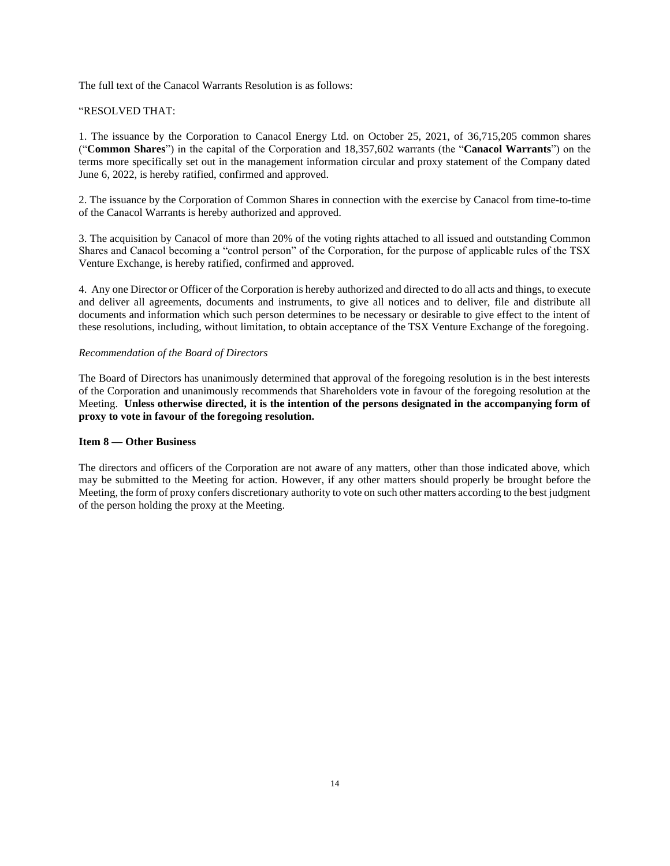The full text of the Canacol Warrants Resolution is as follows:

### "RESOLVED THAT:

1. The issuance by the Corporation to Canacol Energy Ltd. on October 25, 2021, of 36,715,205 common shares ("**Common Shares**") in the capital of the Corporation and 18,357,602 warrants (the "**Canacol Warrants**") on the terms more specifically set out in the management information circular and proxy statement of the Company dated June 6, 2022, is hereby ratified, confirmed and approved.

2. The issuance by the Corporation of Common Shares in connection with the exercise by Canacol from time-to-time of the Canacol Warrants is hereby authorized and approved.

3. The acquisition by Canacol of more than 20% of the voting rights attached to all issued and outstanding Common Shares and Canacol becoming a "control person" of the Corporation, for the purpose of applicable rules of the TSX Venture Exchange, is hereby ratified, confirmed and approved.

4. Any one Director or Officer of the Corporation is hereby authorized and directed to do all acts and things, to execute and deliver all agreements, documents and instruments, to give all notices and to deliver, file and distribute all documents and information which such person determines to be necessary or desirable to give effect to the intent of these resolutions, including, without limitation, to obtain acceptance of the TSX Venture Exchange of the foregoing.

#### *Recommendation of the Board of Directors*

The Board of Directors has unanimously determined that approval of the foregoing resolution is in the best interests of the Corporation and unanimously recommends that Shareholders vote in favour of the foregoing resolution at the Meeting. **Unless otherwise directed, it is the intention of the persons designated in the accompanying form of proxy to vote in favour of the foregoing resolution.** 

#### **Item 8 — Other Business**

The directors and officers of the Corporation are not aware of any matters, other than those indicated above, which may be submitted to the Meeting for action. However, if any other matters should properly be brought before the Meeting, the form of proxy confers discretionary authority to vote on such other matters according to the best judgment of the person holding the proxy at the Meeting.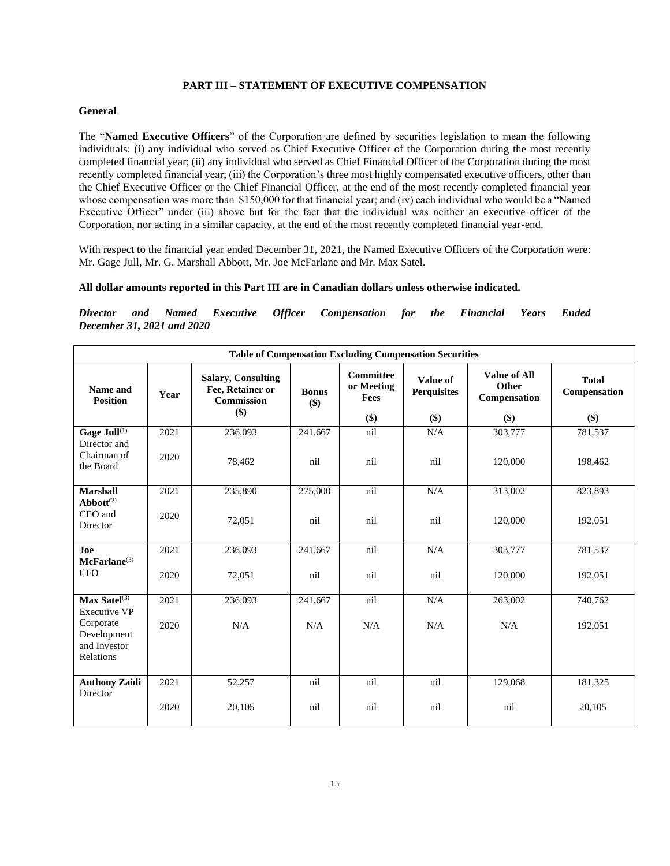## **PART III – STATEMENT OF EXECUTIVE COMPENSATION**

## **General**

The "**Named Executive Officers**" of the Corporation are defined by securities legislation to mean the following individuals: (i) any individual who served as Chief Executive Officer of the Corporation during the most recently completed financial year; (ii) any individual who served as Chief Financial Officer of the Corporation during the most recently completed financial year; (iii) the Corporation's three most highly compensated executive officers, other than the Chief Executive Officer or the Chief Financial Officer, at the end of the most recently completed financial year whose compensation was more than \$150,000 for that financial year; and (iv) each individual who would be a "Named" Executive Officer" under (iii) above but for the fact that the individual was neither an executive officer of the Corporation, nor acting in a similar capacity, at the end of the most recently completed financial year-end.

With respect to the financial year ended December 31, 2021, the Named Executive Officers of the Corporation were: Mr. Gage Jull, Mr. G. Marshall Abbott, Mr. Joe McFarlane and Mr. Max Satel.

### **All dollar amounts reported in this Part III are in Canadian dollars unless otherwise indicated.**

*Director and Named Executive Officer Compensation for the Financial Years Ended December 31, 2021 and 2020*

| <b>Table of Compensation Excluding Compensation Securities</b> |              |                                                                           |                     |                                               |                                       |                                                     |                                     |  |
|----------------------------------------------------------------|--------------|---------------------------------------------------------------------------|---------------------|-----------------------------------------------|---------------------------------------|-----------------------------------------------------|-------------------------------------|--|
| Name and<br><b>Position</b>                                    | Year         | <b>Salary, Consulting</b><br>Fee, Retainer or<br><b>Commission</b><br>\$) | <b>Bonus</b><br>\$) | <b>Committee</b><br>or Meeting<br>Fees<br>\$) | Value of<br><b>Perquisites</b><br>\$) | <b>Value of All</b><br>Other<br>Compensation<br>\$) | <b>Total</b><br>Compensation<br>\$) |  |
|                                                                |              |                                                                           |                     |                                               |                                       |                                                     |                                     |  |
| Gage Jull <sup>(1)</sup><br>Director and<br>Chairman of        | 2021<br>2020 | 236,093                                                                   | 241,667             | nil                                           | N/A                                   | 303,777                                             | 781,537                             |  |
| the Board                                                      |              | 78,462                                                                    | nil                 | nil                                           | nil                                   | 120,000                                             | 198,462                             |  |
| <b>Marshall</b><br>$\mathbf{Abbott}^{(2)}$                     | 2021         | 235,890                                                                   | 275,000             | nil                                           | N/A                                   | 313,002                                             | 823,893                             |  |
| CEO and<br>Director                                            | 2020         | 72,051                                                                    | nil                 | nil                                           | nil                                   | 120,000                                             | 192,051                             |  |
| Joe<br>McFarlane <sup>(3)</sup>                                | 2021         | 236,093                                                                   | 241,667             | nil                                           | N/A                                   | 303,777                                             | 781,537                             |  |
| <b>CFO</b>                                                     | 2020         | 72,051                                                                    | nil                 | nil                                           | nil                                   | 120,000                                             | 192,051                             |  |
| $Max$ Satel $(3)$<br><b>Executive VP</b>                       | 2021         | 236,093                                                                   | 241,667             | nil                                           | N/A                                   | 263,002                                             | 740,762                             |  |
| Corporate<br>Development<br>and Investor<br>Relations          | 2020         | N/A                                                                       | N/A                 | N/A                                           | N/A                                   | N/A                                                 | 192,051                             |  |
| <b>Anthony Zaidi</b><br>Director                               | 2021         | 52,257                                                                    | nil                 | nil                                           | nil                                   | 129,068                                             | 181,325                             |  |
|                                                                | 2020         | 20,105                                                                    | nil                 | nil                                           | nil                                   | nil                                                 | 20,105                              |  |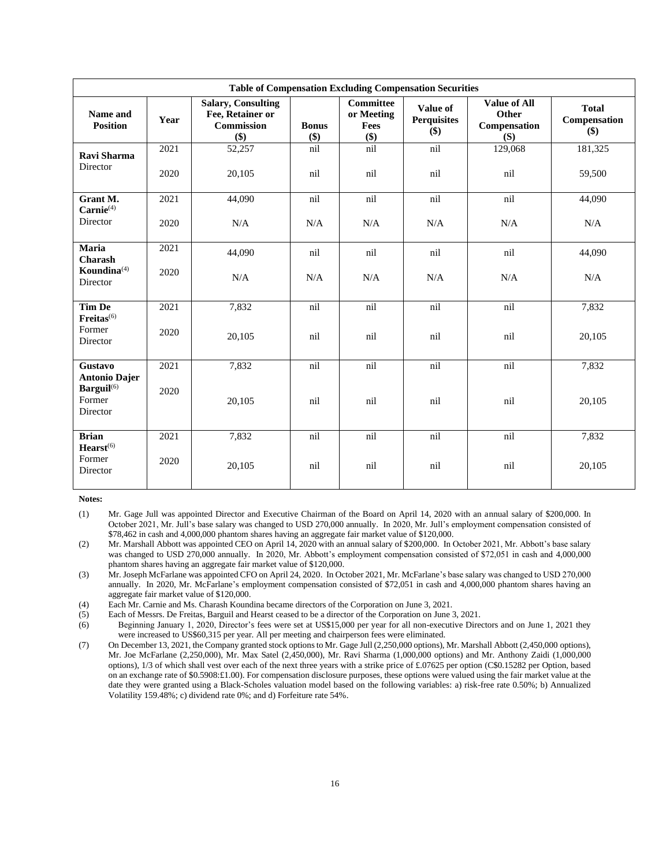| <b>Table of Compensation Excluding Compensation Securities</b>       |      |                                                                    |                       |                                               |                                         |                                                     |                                     |  |
|----------------------------------------------------------------------|------|--------------------------------------------------------------------|-----------------------|-----------------------------------------------|-----------------------------------------|-----------------------------------------------------|-------------------------------------|--|
| Name and<br><b>Position</b>                                          | Year | <b>Salary, Consulting</b><br>Fee, Retainer or<br>Commission<br>\$) | <b>Bonus</b><br>$($)$ | <b>Committee</b><br>or Meeting<br>Fees<br>\$) | Value of<br><b>Perquisites</b><br>$($)$ | <b>Value of All</b><br>Other<br>Compensation<br>(S) | <b>Total</b><br>Compensation<br>\$) |  |
| Ravi Sharma                                                          | 2021 | 52,257                                                             | nil                   | nil                                           | nil                                     | 129,068                                             | 181,325                             |  |
| Director                                                             | 2020 | 20,105                                                             | nil                   | nil                                           | nil                                     | nil                                                 | 59,500                              |  |
| Grant M.                                                             | 2021 | 44,090                                                             | nil                   | nil                                           | nil                                     | nil                                                 | 44,090                              |  |
| $Carnie^{(4)}$<br>Director                                           | 2020 | N/A                                                                | N/A                   | N/A                                           | N/A                                     | N/A                                                 | N/A                                 |  |
| Maria                                                                | 2021 | 44,090                                                             | nil                   | nil                                           | nil                                     | nil                                                 | 44,090                              |  |
| <b>Charash</b><br>Koundina $(4)$<br>Director                         | 2020 | N/A                                                                | N/A                   | N/A                                           | N/A                                     | N/A                                                 | N/A                                 |  |
| Tim De                                                               | 2021 | 7,832                                                              | nil                   | nil                                           | nil                                     | nil                                                 | 7,832                               |  |
| Freitas <sup>(6)</sup><br>Former<br>Director                         | 2020 | 20,105                                                             | nil                   | nil                                           | nil                                     | nil                                                 | 20,105                              |  |
| Gustavo                                                              | 2021 | $\overline{7,832}$                                                 | nil                   | nil                                           | nil                                     | nil                                                 | 7,832                               |  |
| <b>Antonio Dajer</b><br>Barguil <sup>(6)</sup><br>Former<br>Director | 2020 | 20,105                                                             | nil                   | nil                                           | nil                                     | nil                                                 | 20,105                              |  |
| <b>Brian</b>                                                         | 2021 | 7,832                                                              | nil                   | nil                                           | nil                                     | nil                                                 | 7,832                               |  |
| $Hearst^{(6)}$<br>Former<br>Director                                 | 2020 | 20,105                                                             | nil                   | nil                                           | nil                                     | nil                                                 | 20,105                              |  |

**Notes:** 

(1) Mr. Gage Jull was appointed Director and Executive Chairman of the Board on April 14, 2020 with an annual salary of \$200,000. In October 2021, Mr. Jull's base salary was changed to USD 270,000 annually. In 2020, Mr. Jull's employment compensation consisted of \$78,462 in cash and 4,000,000 phantom shares having an aggregate fair market value of \$120,000.

(2) Mr. Marshall Abbott was appointed CEO on April 14, 2020 with an annual salary of \$200,000. In October 2021, Mr. Abbott's base salary was changed to USD 270,000 annually. In 2020, Mr. Abbott's employment compensation consisted of \$72,051 in cash and 4,000,000 phantom shares having an aggregate fair market value of \$120,000.

(3) Mr. Joseph McFarlane was appointed CFO on April 24, 2020. In October 2021, Mr. McFarlane's base salary was changed to USD 270,000 annually. In 2020, Mr. McFarlane's employment compensation consisted of \$72,051 in cash and 4,000,000 phantom shares having an aggregate fair market value of \$120,000.

(4) Each Mr. Carnie and Ms. Charash Koundina became directors of the Corporation on June 3, 2021.

(5) Each of Messrs. De Freitas, Barguil and Hearst ceased to be a director of the Corporation on June 3, 2021.

(6) Beginning January 1, 2020, Director's fees were set at US\$15,000 per year for all non-executive Directors and on June 1, 2021 they were increased to US\$60,315 per year. All per meeting and chairperson fees were eliminated.

(7) On December 13, 2021, the Company granted stock options to Mr. Gage Jull (2,250,000 options), Mr. Marshall Abbott (2,450,000 options), Mr. Joe McFarlane (2,250,000), Mr. Max Satel (2,450,000), Mr. Ravi Sharma (1,000,000 options) and Mr. Anthony Zaidi (1,000,000 options), 1/3 of which shall vest over each of the next three years with a strike price of £.07625 per option (C\$0.15282 per Option, based on an exchange rate of \$0.5908:£1.00). For compensation disclosure purposes, these options were valued using the fair market value at the date they were granted using a Black-Scholes valuation model based on the following variables: a) risk-free rate 0.50%; b) Annualized Volatility 159.48%; c) dividend rate 0%; and d) Forfeiture rate 54%.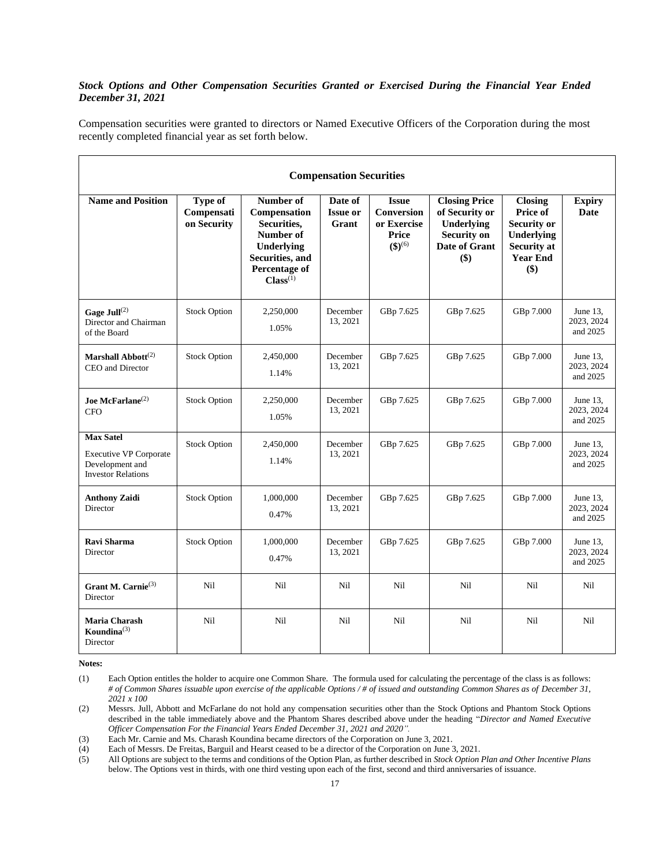## *Stock Options and Other Compensation Securities Granted or Exercised During the Financial Year Ended December 31, 2021*

Compensation securities were granted to directors or Named Executive Officers of the Corporation during the most recently completed financial year as set forth below.

| <b>Compensation Securities</b>                                                                    |                                             |                                                                                                                          |                                     |                                                                                |                                                                                                    |                                                                                                                |                                       |
|---------------------------------------------------------------------------------------------------|---------------------------------------------|--------------------------------------------------------------------------------------------------------------------------|-------------------------------------|--------------------------------------------------------------------------------|----------------------------------------------------------------------------------------------------|----------------------------------------------------------------------------------------------------------------|---------------------------------------|
| <b>Name and Position</b>                                                                          | <b>Type of</b><br>Compensati<br>on Security | Number of<br>Compensation<br>Securities,<br>Number of<br>Underlying<br>Securities, and<br>Percentage of<br>$Class^{(1)}$ | Date of<br><b>Issue or</b><br>Grant | <b>Issue</b><br><b>Conversion</b><br>or Exercise<br>Price<br>$({\bf 3})^{(6)}$ | <b>Closing Price</b><br>of Security or<br>Underlying<br><b>Security on</b><br>Date of Grant<br>\$) | <b>Closing</b><br>Price of<br><b>Security or</b><br>Underlying<br><b>Security at</b><br><b>Year End</b><br>\$) | <b>Expiry</b><br><b>Date</b>          |
| Gage Jull $^{(2)}$<br>Director and Chairman<br>of the Board                                       | <b>Stock Option</b>                         | 2,250,000<br>1.05%                                                                                                       | December<br>13, 2021                | GBp 7.625                                                                      | GBp 7.625                                                                                          | GBp 7.000                                                                                                      | June $13$ ,<br>2023, 2024<br>and 2025 |
| Marshall Abbott <sup>(2)</sup><br>CEO and Director                                                | <b>Stock Option</b>                         | 2,450,000<br>1.14%                                                                                                       | December<br>13, 2021                | GBp 7.625                                                                      | GBp 7.625                                                                                          | GBp 7.000                                                                                                      | June $13$ ,<br>2023, 2024<br>and 2025 |
| Joe McFarlane <sup><math>(2)</math></sup><br><b>CFO</b>                                           | <b>Stock Option</b>                         | 2,250,000<br>1.05%                                                                                                       | December<br>13, 2021                | GBp 7.625                                                                      | GBp 7.625                                                                                          | GBp 7.000                                                                                                      | June 13.<br>2023, 2024<br>and 2025    |
| <b>Max Satel</b><br><b>Executive VP Corporate</b><br>Development and<br><b>Investor Relations</b> | <b>Stock Option</b>                         | 2,450,000<br>1.14%                                                                                                       | December<br>13, 2021                | GBp 7.625                                                                      | GBp 7.625                                                                                          | GBp 7.000                                                                                                      | June $13$ ,<br>2023, 2024<br>and 2025 |
| <b>Anthony Zaidi</b><br>Director                                                                  | <b>Stock Option</b>                         | 1,000,000<br>0.47%                                                                                                       | December<br>13, 2021                | GBp 7.625                                                                      | GBp 7.625                                                                                          | GBp 7.000                                                                                                      | June $13$ ,<br>2023, 2024<br>and 2025 |
| Ravi Sharma<br>Director                                                                           | <b>Stock Option</b>                         | 1,000,000<br>0.47%                                                                                                       | December<br>13, 2021                | GBp 7.625                                                                      | GBp 7.625                                                                                          | GBp 7.000                                                                                                      | June $13$ ,<br>2023, 2024<br>and 2025 |
| Grant M. Carnie <sup>(3)</sup><br>Director                                                        | Nil                                         | Nil                                                                                                                      | Nil                                 | N <sub>i</sub> l                                                               | Nil                                                                                                | Ni1                                                                                                            | <b>Nil</b>                            |
| Maria Charash<br>Koundina $^{(3)}$<br>Director                                                    | Nil                                         | Nil                                                                                                                      | Nil                                 | Nil                                                                            | Nil                                                                                                | Nil                                                                                                            | <b>Nil</b>                            |

**Notes:** 

<sup>(1)</sup> Each Option entitles the holder to acquire one Common Share. The formula used for calculating the percentage of the class is as follows: *# of Common Shares issuable upon exercise of the applicable Options / # of issued and outstanding Common Shares as of December 31, 2021 x 100* 

<sup>(2)</sup> Messrs. Jull, Abbott and McFarlane do not hold any compensation securities other than the Stock Options and Phantom Stock Options described in the table immediately above and the Phantom Shares described above under the heading "*Director and Named Executive Officer Compensation For the Financial Years Ended December 31, 2021 and 2020".*

<sup>(3)</sup> Each Mr. Carnie and Ms. Charash Koundina became directors of the Corporation on June 3, 2021.

<sup>(4)</sup> Each of Messrs. De Freitas, Barguil and Hearst ceased to be a director of the Corporation on June 3, 2021.<br>(5) All Options are subject to the terms and conditions of the Option Plan, as further described in *Stock Opti* 

<sup>(5)</sup> All Options are subject to the terms and conditions of the Option Plan, as further described in *Stock Option Plan and Other Incentive Plans* below. The Options vest in thirds, with one third vesting upon each of the first, second and third anniversaries of issuance.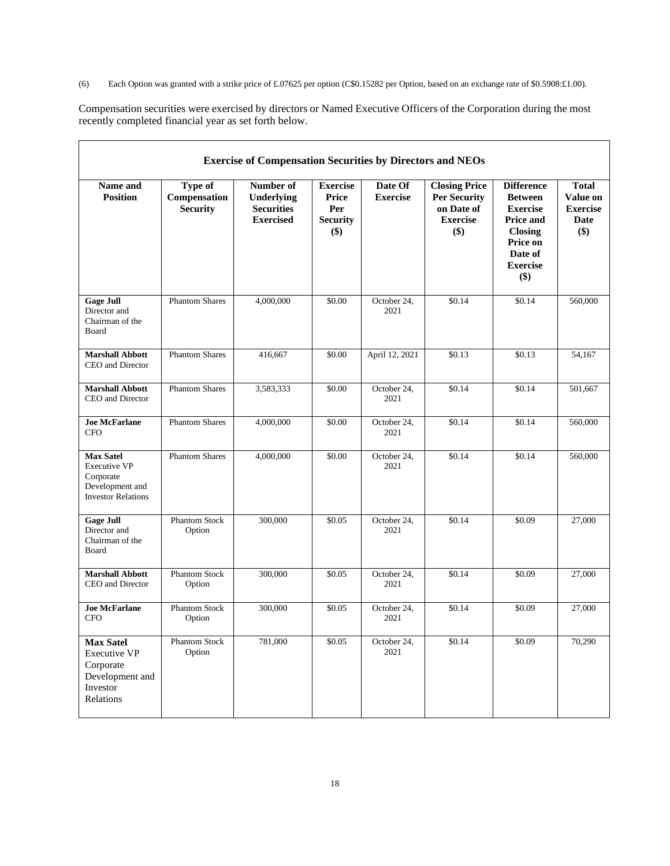(6) Each Option was granted with a strike price of £.07625 per option (C\$0.15282 per Option, based on an exchange rate of \$0.5908:£1.00).

Compensation securities were exercised by directors or Named Executive Officers of the Corporation during the most recently completed financial year as set forth below.

| <b>Exercise of Compensation Securities by Directors and NEOs</b>                                 |                                            |                                                                  |                                                           |                            |                                                                                     |                                                                                                                                               |                                                            |
|--------------------------------------------------------------------------------------------------|--------------------------------------------|------------------------------------------------------------------|-----------------------------------------------------------|----------------------------|-------------------------------------------------------------------------------------|-----------------------------------------------------------------------------------------------------------------------------------------------|------------------------------------------------------------|
| Name and<br><b>Position</b>                                                                      | Type of<br>Compensation<br><b>Security</b> | Number of<br>Underlying<br><b>Securities</b><br><b>Exercised</b> | <b>Exercise</b><br>Price<br>Per<br><b>Security</b><br>\$) | Date Of<br><b>Exercise</b> | <b>Closing Price</b><br><b>Per Security</b><br>on Date of<br><b>Exercise</b><br>\$) | <b>Difference</b><br><b>Between</b><br><b>Exercise</b><br><b>Price and</b><br><b>Closing</b><br>Price on<br>Date of<br><b>Exercise</b><br>\$) | <b>Total</b><br>Value on<br><b>Exercise</b><br>Date<br>\$) |
| <b>Gage Jull</b><br>Director and<br>Chairman of the<br>Board                                     | <b>Phantom Shares</b>                      | 4,000,000                                                        | \$0.00                                                    | October 24,<br>2021        | \$0.14                                                                              | \$0.14                                                                                                                                        | 560,000                                                    |
| <b>Marshall Abbott</b><br>CEO and Director                                                       | <b>Phantom Shares</b>                      | 416,667                                                          | \$0.00                                                    | April 12, 2021             | \$0.13                                                                              | \$0.13                                                                                                                                        | 54,167                                                     |
| <b>Marshall Abbott</b><br>CEO and Director                                                       | <b>Phantom Shares</b>                      | 3,583,333                                                        | \$0.00                                                    | October 24,<br>2021        | \$0.14                                                                              | \$0.14                                                                                                                                        | 501,667                                                    |
| <b>Joe McFarlane</b><br><b>CFO</b>                                                               | <b>Phantom Shares</b>                      | 4,000,000                                                        | \$0.00                                                    | October 24,<br>2021        | \$0.14                                                                              | \$0.14                                                                                                                                        | 560,000                                                    |
| <b>Max Satel</b><br>Executive VP<br>Corporate<br>Development and<br><b>Investor Relations</b>    | <b>Phantom Shares</b>                      | 4,000,000                                                        | \$0.00                                                    | October 24,<br>2021        | \$0.14                                                                              | \$0.14                                                                                                                                        | 560,000                                                    |
| <b>Gage Jull</b><br>Director and<br>Chairman of the<br>Board                                     | <b>Phantom Stock</b><br>Option             | 300,000                                                          | \$0.05                                                    | October 24,<br>2021        | \$0.14                                                                              | \$0.09                                                                                                                                        | 27,000                                                     |
| <b>Marshall Abbott</b><br>CEO and Director                                                       | <b>Phantom Stock</b><br>Option             | 300,000                                                          | \$0.05                                                    | October 24,<br>2021        | \$0.14                                                                              | \$0.09                                                                                                                                        | 27,000                                                     |
| <b>Joe McFarlane</b><br><b>CFO</b>                                                               | <b>Phantom Stock</b><br>Option             | 300,000                                                          | \$0.05                                                    | October 24,<br>2021        | \$0.14                                                                              | \$0.09                                                                                                                                        | 27,000                                                     |
| <b>Max Satel</b><br><b>Executive VP</b><br>Corporate<br>Development and<br>Investor<br>Relations | <b>Phantom Stock</b><br>Option             | 781,000                                                          | \$0.05                                                    | October 24,<br>2021        | \$0.14                                                                              | \$0.09                                                                                                                                        | 70,290                                                     |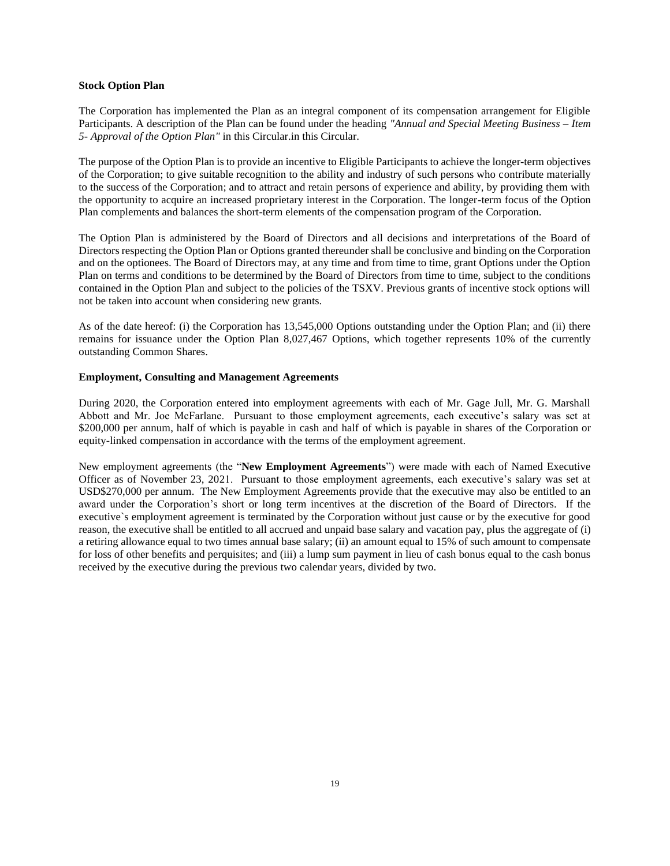#### **Stock Option Plan**

The Corporation has implemented the Plan as an integral component of its compensation arrangement for Eligible Participants. A description of the Plan can be found under the heading *"Annual and Special Meeting Business – Item 5- Approval of the Option Plan"* in this Circular.in this Circular.

The purpose of the Option Plan is to provide an incentive to Eligible Participants to achieve the longer-term objectives of the Corporation; to give suitable recognition to the ability and industry of such persons who contribute materially to the success of the Corporation; and to attract and retain persons of experience and ability, by providing them with the opportunity to acquire an increased proprietary interest in the Corporation. The longer-term focus of the Option Plan complements and balances the short-term elements of the compensation program of the Corporation.

The Option Plan is administered by the Board of Directors and all decisions and interpretations of the Board of Directors respecting the Option Plan or Options granted thereunder shall be conclusive and binding on the Corporation and on the optionees. The Board of Directors may, at any time and from time to time, grant Options under the Option Plan on terms and conditions to be determined by the Board of Directors from time to time, subject to the conditions contained in the Option Plan and subject to the policies of the TSXV. Previous grants of incentive stock options will not be taken into account when considering new grants.

As of the date hereof: (i) the Corporation has 13,545,000 Options outstanding under the Option Plan; and (ii) there remains for issuance under the Option Plan 8,027,467 Options, which together represents 10% of the currently outstanding Common Shares.

## **Employment, Consulting and Management Agreements**

During 2020, the Corporation entered into employment agreements with each of Mr. Gage Jull, Mr. G. Marshall Abbott and Mr. Joe McFarlane. Pursuant to those employment agreements, each executive's salary was set at \$200,000 per annum, half of which is payable in cash and half of which is payable in shares of the Corporation or equity-linked compensation in accordance with the terms of the employment agreement.

New employment agreements (the "**New Employment Agreements**") were made with each of Named Executive Officer as of November 23, 2021. Pursuant to those employment agreements, each executive's salary was set at USD\$270,000 per annum. The New Employment Agreements provide that the executive may also be entitled to an award under the Corporation's short or long term incentives at the discretion of the Board of Directors. If the executive`s employment agreement is terminated by the Corporation without just cause or by the executive for good reason, the executive shall be entitled to all accrued and unpaid base salary and vacation pay, plus the aggregate of (i) a retiring allowance equal to two times annual base salary; (ii) an amount equal to 15% of such amount to compensate for loss of other benefits and perquisites; and (iii) a lump sum payment in lieu of cash bonus equal to the cash bonus received by the executive during the previous two calendar years, divided by two.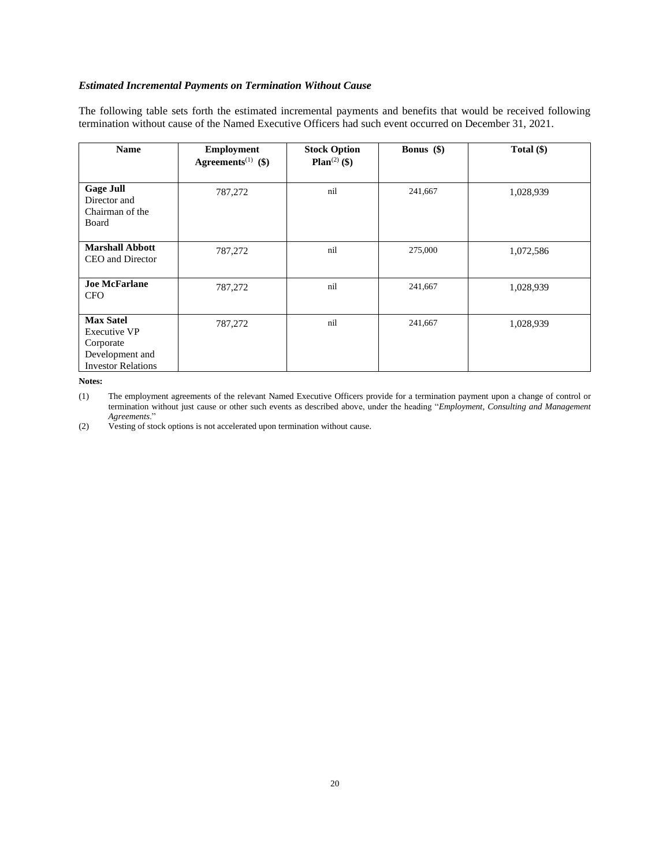## *Estimated Incremental Payments on Termination Without Cause*

The following table sets forth the estimated incremental payments and benefits that would be received following termination without cause of the Named Executive Officers had such event occurred on December 31, 2021.

| <b>Name</b>                                                                                          | <b>Employment</b><br>Agreements <sup>(1)</sup> (\$) | <b>Stock Option</b><br>Plan $^{(2)}$ (\$) | <b>Bonus</b> $(\$)$ | Total (\$) |
|------------------------------------------------------------------------------------------------------|-----------------------------------------------------|-------------------------------------------|---------------------|------------|
| <b>Gage Jull</b><br>Director and<br>Chairman of the<br>Board                                         | 787,272                                             | nil                                       | 241,667             | 1,028,939  |
| <b>Marshall Abbott</b><br>CEO and Director                                                           | 787,272                                             | nil                                       | 275,000             | 1,072,586  |
| <b>Joe McFarlane</b><br><b>CFO</b>                                                                   | 787,272                                             | nil                                       | 241,667             | 1,028,939  |
| <b>Max Satel</b><br><b>Executive VP</b><br>Corporate<br>Development and<br><b>Investor Relations</b> | 787,272                                             | nil                                       | 241,667             | 1,028,939  |

**Notes:**

(1) The employment agreements of the relevant Named Executive Officers provide for a termination payment upon a change of control or termination without just cause or other such events as described above, under the heading "*Employment, Consulting and Management Agreements*."

(2) Vesting of stock options is not accelerated upon termination without cause.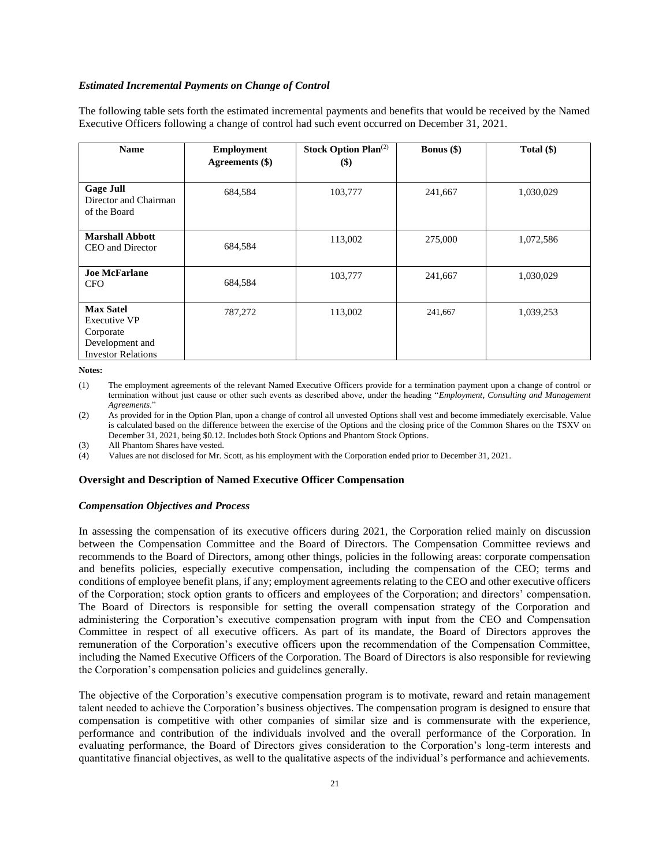#### *Estimated Incremental Payments on Change of Control*

The following table sets forth the estimated incremental payments and benefits that would be received by the Named Executive Officers following a change of control had such event occurred on December 31, 2021.

| <b>Name</b>                                                                                          | <b>Employment</b><br>Agreements (\$) | <b>Stock Option Plan</b> <sup>(2)</sup><br>$\left( \mathbb{S}\right)$ | <b>Bonus</b> $(\$)$ | Total $(\$)$ |
|------------------------------------------------------------------------------------------------------|--------------------------------------|-----------------------------------------------------------------------|---------------------|--------------|
| <b>Gage Juli</b><br>Director and Chairman<br>of the Board                                            | 684,584                              | 103,777                                                               | 241,667             | 1,030,029    |
| <b>Marshall Abbott</b><br>CEO and Director                                                           | 684,584                              | 113,002                                                               | 275,000             | 1,072,586    |
| <b>Joe McFarlane</b><br><b>CFO</b>                                                                   | 684,584                              | 103,777                                                               | 241,667             | 1,030,029    |
| <b>Max Satel</b><br><b>Executive VP</b><br>Corporate<br>Development and<br><b>Investor Relations</b> | 787,272                              | 113,002                                                               | 241,667             | 1,039,253    |

**Notes:**

(1) The employment agreements of the relevant Named Executive Officers provide for a termination payment upon a change of control or termination without just cause or other such events as described above, under the heading "*Employment, Consulting and Management Agreements*."

(2) As provided for in the Option Plan, upon a change of control all unvested Options shall vest and become immediately exercisable. Value is calculated based on the difference between the exercise of the Options and the closing price of the Common Shares on the TSXV on December 31, 2021, being \$0.12. Includes both Stock Options and Phantom Stock Options.

(3) All Phantom Shares have vested.

(4) Values are not disclosed for Mr. Scott, as his employment with the Corporation ended prior to December 31, 2021.

## **Oversight and Description of Named Executive Officer Compensation**

#### *Compensation Objectives and Process*

In assessing the compensation of its executive officers during 2021, the Corporation relied mainly on discussion between the Compensation Committee and the Board of Directors. The Compensation Committee reviews and recommends to the Board of Directors, among other things, policies in the following areas: corporate compensation and benefits policies, especially executive compensation, including the compensation of the CEO; terms and conditions of employee benefit plans, if any; employment agreements relating to the CEO and other executive officers of the Corporation; stock option grants to officers and employees of the Corporation; and directors' compensation. The Board of Directors is responsible for setting the overall compensation strategy of the Corporation and administering the Corporation's executive compensation program with input from the CEO and Compensation Committee in respect of all executive officers. As part of its mandate, the Board of Directors approves the remuneration of the Corporation's executive officers upon the recommendation of the Compensation Committee, including the Named Executive Officers of the Corporation. The Board of Directors is also responsible for reviewing the Corporation's compensation policies and guidelines generally.

The objective of the Corporation's executive compensation program is to motivate, reward and retain management talent needed to achieve the Corporation's business objectives. The compensation program is designed to ensure that compensation is competitive with other companies of similar size and is commensurate with the experience, performance and contribution of the individuals involved and the overall performance of the Corporation. In evaluating performance, the Board of Directors gives consideration to the Corporation's long-term interests and quantitative financial objectives, as well to the qualitative aspects of the individual's performance and achievements.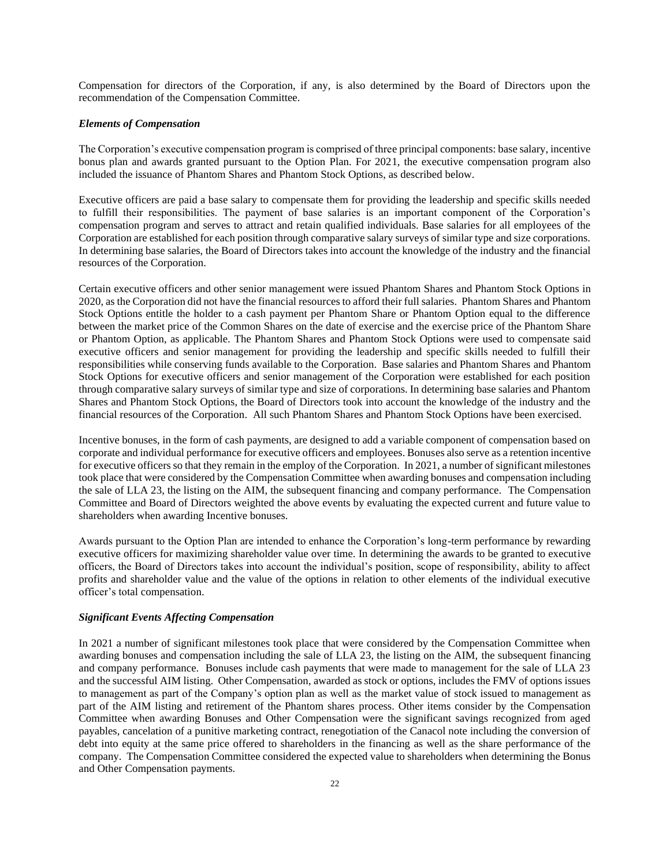Compensation for directors of the Corporation, if any, is also determined by the Board of Directors upon the recommendation of the Compensation Committee.

#### *Elements of Compensation*

The Corporation's executive compensation program is comprised of three principal components: base salary, incentive bonus plan and awards granted pursuant to the Option Plan. For 2021, the executive compensation program also included the issuance of Phantom Shares and Phantom Stock Options, as described below.

Executive officers are paid a base salary to compensate them for providing the leadership and specific skills needed to fulfill their responsibilities. The payment of base salaries is an important component of the Corporation's compensation program and serves to attract and retain qualified individuals. Base salaries for all employees of the Corporation are established for each position through comparative salary surveys of similar type and size corporations. In determining base salaries, the Board of Directors takes into account the knowledge of the industry and the financial resources of the Corporation.

Certain executive officers and other senior management were issued Phantom Shares and Phantom Stock Options in 2020, as the Corporation did not have the financial resources to afford their full salaries. Phantom Shares and Phantom Stock Options entitle the holder to a cash payment per Phantom Share or Phantom Option equal to the difference between the market price of the Common Shares on the date of exercise and the exercise price of the Phantom Share or Phantom Option, as applicable. The Phantom Shares and Phantom Stock Options were used to compensate said executive officers and senior management for providing the leadership and specific skills needed to fulfill their responsibilities while conserving funds available to the Corporation. Base salaries and Phantom Shares and Phantom Stock Options for executive officers and senior management of the Corporation were established for each position through comparative salary surveys of similar type and size of corporations. In determining base salaries and Phantom Shares and Phantom Stock Options, the Board of Directors took into account the knowledge of the industry and the financial resources of the Corporation. All such Phantom Shares and Phantom Stock Options have been exercised.

Incentive bonuses, in the form of cash payments, are designed to add a variable component of compensation based on corporate and individual performance for executive officers and employees. Bonuses also serve as a retention incentive for executive officers so that they remain in the employ of the Corporation. In 2021, a number of significant milestones took place that were considered by the Compensation Committee when awarding bonuses and compensation including the sale of LLA 23, the listing on the AIM, the subsequent financing and company performance. The Compensation Committee and Board of Directors weighted the above events by evaluating the expected current and future value to shareholders when awarding Incentive bonuses.

Awards pursuant to the Option Plan are intended to enhance the Corporation's long-term performance by rewarding executive officers for maximizing shareholder value over time. In determining the awards to be granted to executive officers, the Board of Directors takes into account the individual's position, scope of responsibility, ability to affect profits and shareholder value and the value of the options in relation to other elements of the individual executive officer's total compensation.

### *Significant Events Affecting Compensation*

In 2021 a number of significant milestones took place that were considered by the Compensation Committee when awarding bonuses and compensation including the sale of LLA 23, the listing on the AIM, the subsequent financing and company performance. Bonuses include cash payments that were made to management for the sale of LLA 23 and the successful AIM listing. Other Compensation, awarded as stock or options, includes the FMV of options issues to management as part of the Company's option plan as well as the market value of stock issued to management as part of the AIM listing and retirement of the Phantom shares process. Other items consider by the Compensation Committee when awarding Bonuses and Other Compensation were the significant savings recognized from aged payables, cancelation of a punitive marketing contract, renegotiation of the Canacol note including the conversion of debt into equity at the same price offered to shareholders in the financing as well as the share performance of the company. The Compensation Committee considered the expected value to shareholders when determining the Bonus and Other Compensation payments.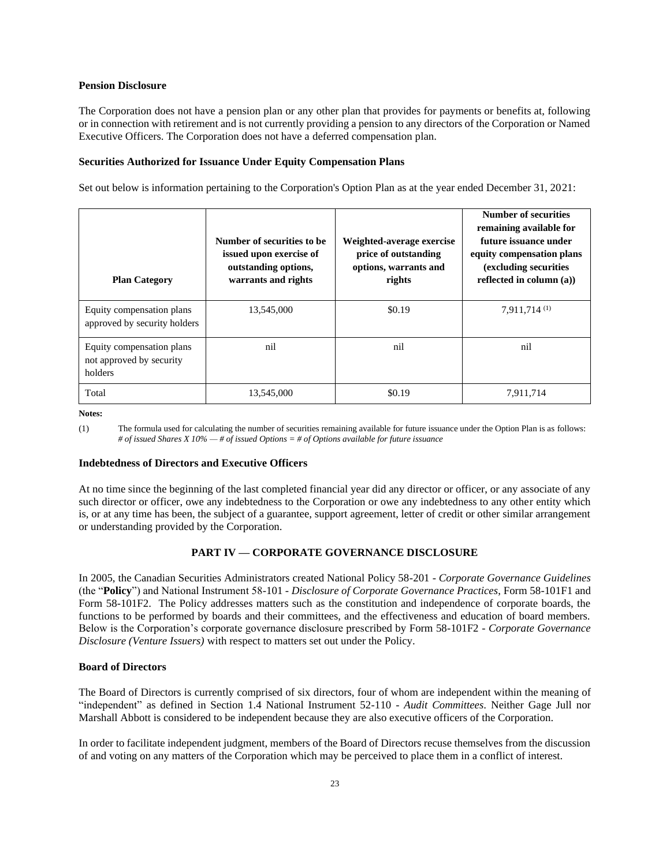#### **Pension Disclosure**

The Corporation does not have a pension plan or any other plan that provides for payments or benefits at, following or in connection with retirement and is not currently providing a pension to any directors of the Corporation or Named Executive Officers. The Corporation does not have a deferred compensation plan.

### **Securities Authorized for Issuance Under Equity Compensation Plans**

Set out below is information pertaining to the Corporation's Option Plan as at the year ended December 31, 2021:

| <b>Plan Category</b>                                             | Number of securities to be<br>issued upon exercise of<br>outstanding options,<br>warrants and rights | Weighted-average exercise<br>price of outstanding<br>options, warrants and<br>rights | <b>Number of securities</b><br>remaining available for<br>future issuance under<br>equity compensation plans<br>(excluding securities)<br>reflected in column $(a)$ ) |
|------------------------------------------------------------------|------------------------------------------------------------------------------------------------------|--------------------------------------------------------------------------------------|-----------------------------------------------------------------------------------------------------------------------------------------------------------------------|
| Equity compensation plans<br>approved by security holders        | 13,545,000                                                                                           | \$0.19                                                                               | 7.911.714(1)                                                                                                                                                          |
| Equity compensation plans<br>not approved by security<br>holders | nil                                                                                                  | nil                                                                                  | nil                                                                                                                                                                   |
| Total                                                            | 13,545,000                                                                                           | \$0.19                                                                               | 7,911,714                                                                                                                                                             |

**Notes:**

(1) The formula used for calculating the number of securities remaining available for future issuance under the Option Plan is as follows: *# of issued Shares X 10% — # of issued Options = # of Options available for future issuance*

#### **Indebtedness of Directors and Executive Officers**

At no time since the beginning of the last completed financial year did any director or officer, or any associate of any such director or officer, owe any indebtedness to the Corporation or owe any indebtedness to any other entity which is, or at any time has been, the subject of a guarantee, support agreement, letter of credit or other similar arrangement or understanding provided by the Corporation.

## **PART IV — CORPORATE GOVERNANCE DISCLOSURE**

In 2005, the Canadian Securities Administrators created National Policy 58-201 - *Corporate Governance Guidelines*  (the "**Policy**") and National Instrument 58-101 - *Disclosure of Corporate Governance Practices*, Form 58-101F1 and Form 58-101F2. The Policy addresses matters such as the constitution and independence of corporate boards, the functions to be performed by boards and their committees, and the effectiveness and education of board members. Below is the Corporation's corporate governance disclosure prescribed by Form 58-101F2 - *Corporate Governance Disclosure (Venture Issuers)* with respect to matters set out under the Policy.

## **Board of Directors**

The Board of Directors is currently comprised of six directors, four of whom are independent within the meaning of "independent" as defined in Section 1.4 National Instrument 52-110 - *Audit Committees*. Neither Gage Jull nor Marshall Abbott is considered to be independent because they are also executive officers of the Corporation.

In order to facilitate independent judgment, members of the Board of Directors recuse themselves from the discussion of and voting on any matters of the Corporation which may be perceived to place them in a conflict of interest.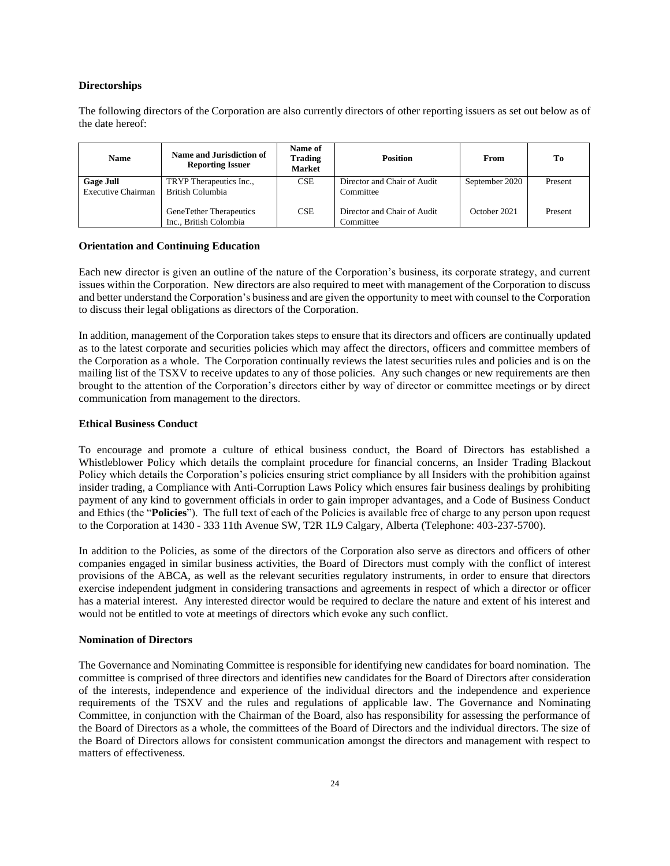#### **Directorships**

The following directors of the Corporation are also currently directors of other reporting issuers as set out below as of the date hereof:

| <b>Name</b>                                   | Name and Jurisdiction of<br><b>Reporting Issuer</b> | Name of<br>Trading<br><b>Market</b> | <b>Position</b>                          | From           | To      |
|-----------------------------------------------|-----------------------------------------------------|-------------------------------------|------------------------------------------|----------------|---------|
| <b>Gage Juli</b><br><b>Executive Chairman</b> | TRYP Therapeutics Inc.,<br>British Columbia         | <b>CSE</b>                          | Director and Chair of Audit<br>Committee | September 2020 | Present |
|                                               | GeneTether Therapeutics<br>Inc., British Colombia   | <b>CSE</b>                          | Director and Chair of Audit<br>Committee | October 2021   | Present |

## **Orientation and Continuing Education**

Each new director is given an outline of the nature of the Corporation's business, its corporate strategy, and current issues within the Corporation. New directors are also required to meet with management of the Corporation to discuss and better understand the Corporation's business and are given the opportunity to meet with counsel to the Corporation to discuss their legal obligations as directors of the Corporation.

In addition, management of the Corporation takes steps to ensure that its directors and officers are continually updated as to the latest corporate and securities policies which may affect the directors, officers and committee members of the Corporation as a whole. The Corporation continually reviews the latest securities rules and policies and is on the mailing list of the TSXV to receive updates to any of those policies. Any such changes or new requirements are then brought to the attention of the Corporation's directors either by way of director or committee meetings or by direct communication from management to the directors.

#### **Ethical Business Conduct**

To encourage and promote a culture of ethical business conduct, the Board of Directors has established a Whistleblower Policy which details the complaint procedure for financial concerns, an Insider Trading Blackout Policy which details the Corporation's policies ensuring strict compliance by all Insiders with the prohibition against insider trading, a Compliance with Anti-Corruption Laws Policy which ensures fair business dealings by prohibiting payment of any kind to government officials in order to gain improper advantages, and a Code of Business Conduct and Ethics (the "**Policies**"). The full text of each of the Policies is available free of charge to any person upon request to the Corporation at 1430 - 333 11th Avenue SW, T2R 1L9 Calgary, Alberta (Telephone: 403-237-5700).

In addition to the Policies, as some of the directors of the Corporation also serve as directors and officers of other companies engaged in similar business activities, the Board of Directors must comply with the conflict of interest provisions of the ABCA, as well as the relevant securities regulatory instruments, in order to ensure that directors exercise independent judgment in considering transactions and agreements in respect of which a director or officer has a material interest. Any interested director would be required to declare the nature and extent of his interest and would not be entitled to vote at meetings of directors which evoke any such conflict.

#### **Nomination of Directors**

The Governance and Nominating Committee is responsible for identifying new candidates for board nomination. The committee is comprised of three directors and identifies new candidates for the Board of Directors after consideration of the interests, independence and experience of the individual directors and the independence and experience requirements of the TSXV and the rules and regulations of applicable law. The Governance and Nominating Committee, in conjunction with the Chairman of the Board, also has responsibility for assessing the performance of the Board of Directors as a whole, the committees of the Board of Directors and the individual directors. The size of the Board of Directors allows for consistent communication amongst the directors and management with respect to matters of effectiveness.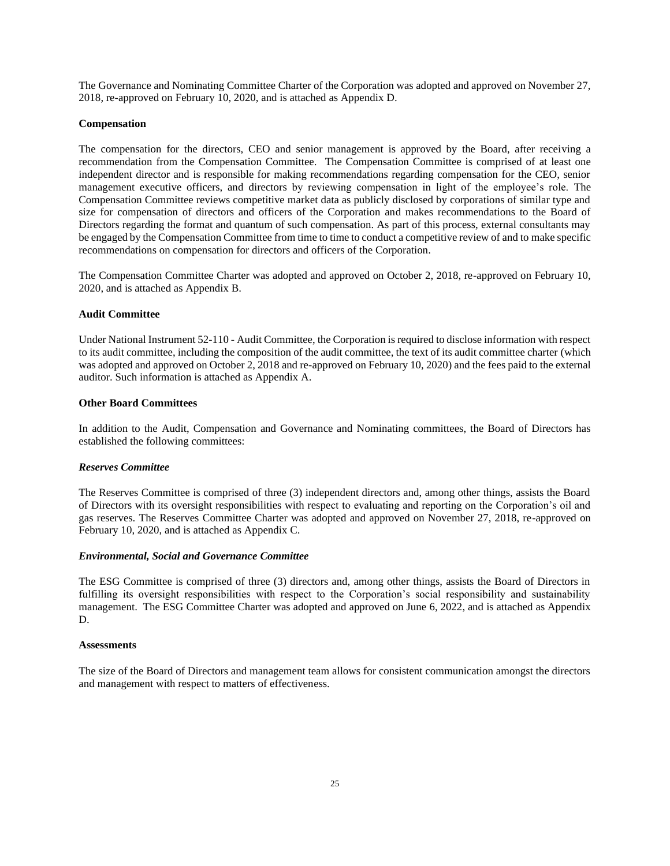The Governance and Nominating Committee Charter of the Corporation was adopted and approved on November 27, 2018, re-approved on February 10, 2020, and is attached as Appendix D.

### **Compensation**

The compensation for the directors, CEO and senior management is approved by the Board, after receiving a recommendation from the Compensation Committee. The Compensation Committee is comprised of at least one independent director and is responsible for making recommendations regarding compensation for the CEO, senior management executive officers, and directors by reviewing compensation in light of the employee's role. The Compensation Committee reviews competitive market data as publicly disclosed by corporations of similar type and size for compensation of directors and officers of the Corporation and makes recommendations to the Board of Directors regarding the format and quantum of such compensation. As part of this process, external consultants may be engaged by the Compensation Committee from time to time to conduct a competitive review of and to make specific recommendations on compensation for directors and officers of the Corporation.

The Compensation Committee Charter was adopted and approved on October 2, 2018, re-approved on February 10, 2020, and is attached as Appendix B.

#### **Audit Committee**

Under National Instrument 52-110 - Audit Committee, the Corporation is required to disclose information with respect to its audit committee, including the composition of the audit committee, the text of its audit committee charter (which was adopted and approved on October 2, 2018 and re-approved on February 10, 2020) and the fees paid to the external auditor. Such information is attached as Appendix A.

#### **Other Board Committees**

In addition to the Audit, Compensation and Governance and Nominating committees, the Board of Directors has established the following committees:

#### *Reserves Committee*

The Reserves Committee is comprised of three (3) independent directors and, among other things, assists the Board of Directors with its oversight responsibilities with respect to evaluating and reporting on the Corporation's oil and gas reserves. The Reserves Committee Charter was adopted and approved on November 27, 2018, re-approved on February 10, 2020, and is attached as Appendix C.

#### *Environmental, Social and Governance Committee*

The ESG Committee is comprised of three (3) directors and, among other things, assists the Board of Directors in fulfilling its oversight responsibilities with respect to the Corporation's social responsibility and sustainability management. The ESG Committee Charter was adopted and approved on June 6, 2022, and is attached as Appendix D.

#### **Assessments**

The size of the Board of Directors and management team allows for consistent communication amongst the directors and management with respect to matters of effectiveness.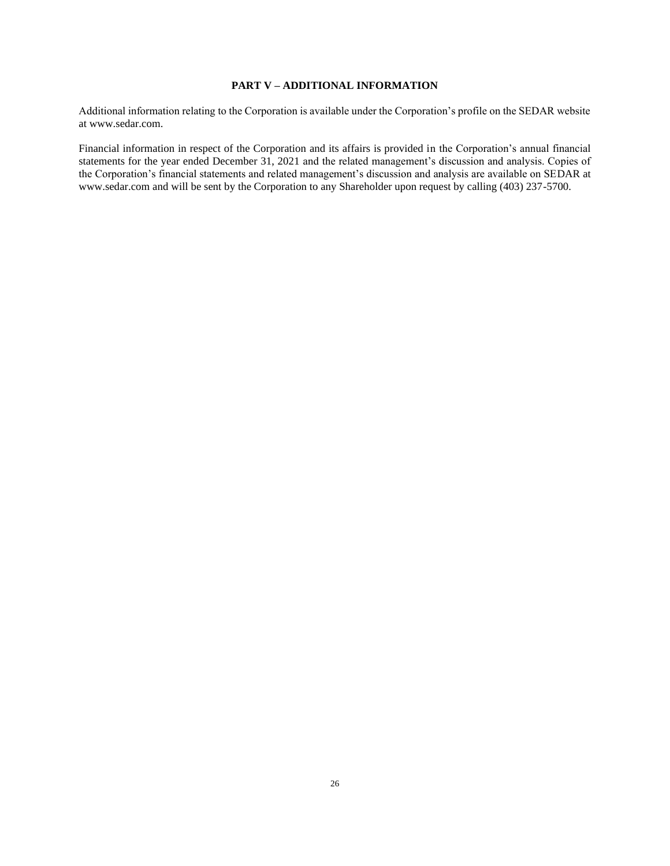## **PART V – ADDITIONAL INFORMATION**

Additional information relating to the Corporation is available under the Corporation's profile on the SEDAR website at www.sedar.com.

Financial information in respect of the Corporation and its affairs is provided in the Corporation's annual financial statements for the year ended December 31, 2021 and the related management's discussion and analysis. Copies of the Corporation's financial statements and related management's discussion and analysis are available on SEDAR at www.sedar.com and will be sent by the Corporation to any Shareholder upon request by calling (403) 237-5700.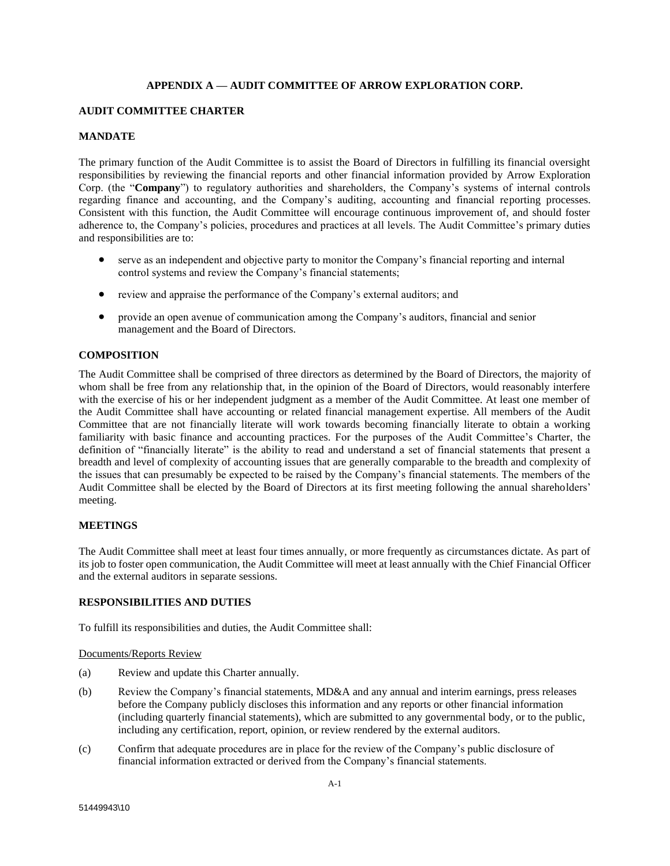## **APPENDIX A — AUDIT COMMITTEE OF ARROW EXPLORATION CORP.**

## **AUDIT COMMITTEE CHARTER**

## **MANDATE**

The primary function of the Audit Committee is to assist the Board of Directors in fulfilling its financial oversight responsibilities by reviewing the financial reports and other financial information provided by Arrow Exploration Corp. (the "**Company**") to regulatory authorities and shareholders, the Company's systems of internal controls regarding finance and accounting, and the Company's auditing, accounting and financial reporting processes. Consistent with this function, the Audit Committee will encourage continuous improvement of, and should foster adherence to, the Company's policies, procedures and practices at all levels. The Audit Committee's primary duties and responsibilities are to:

- serve as an independent and objective party to monitor the Company's financial reporting and internal control systems and review the Company's financial statements;
- review and appraise the performance of the Company's external auditors; and
- provide an open avenue of communication among the Company's auditors, financial and senior management and the Board of Directors.

## **COMPOSITION**

The Audit Committee shall be comprised of three directors as determined by the Board of Directors, the majority of whom shall be free from any relationship that, in the opinion of the Board of Directors, would reasonably interfere with the exercise of his or her independent judgment as a member of the Audit Committee. At least one member of the Audit Committee shall have accounting or related financial management expertise. All members of the Audit Committee that are not financially literate will work towards becoming financially literate to obtain a working familiarity with basic finance and accounting practices. For the purposes of the Audit Committee's Charter, the definition of "financially literate" is the ability to read and understand a set of financial statements that present a breadth and level of complexity of accounting issues that are generally comparable to the breadth and complexity of the issues that can presumably be expected to be raised by the Company's financial statements. The members of the Audit Committee shall be elected by the Board of Directors at its first meeting following the annual shareholders' meeting.

## **MEETINGS**

The Audit Committee shall meet at least four times annually, or more frequently as circumstances dictate. As part of its job to foster open communication, the Audit Committee will meet at least annually with the Chief Financial Officer and the external auditors in separate sessions.

## **RESPONSIBILITIES AND DUTIES**

To fulfill its responsibilities and duties, the Audit Committee shall:

## Documents/Reports Review

- (a) Review and update this Charter annually.
- (b) Review the Company's financial statements, MD&A and any annual and interim earnings, press releases before the Company publicly discloses this information and any reports or other financial information (including quarterly financial statements), which are submitted to any governmental body, or to the public, including any certification, report, opinion, or review rendered by the external auditors.
- (c) Confirm that adequate procedures are in place for the review of the Company's public disclosure of financial information extracted or derived from the Company's financial statements.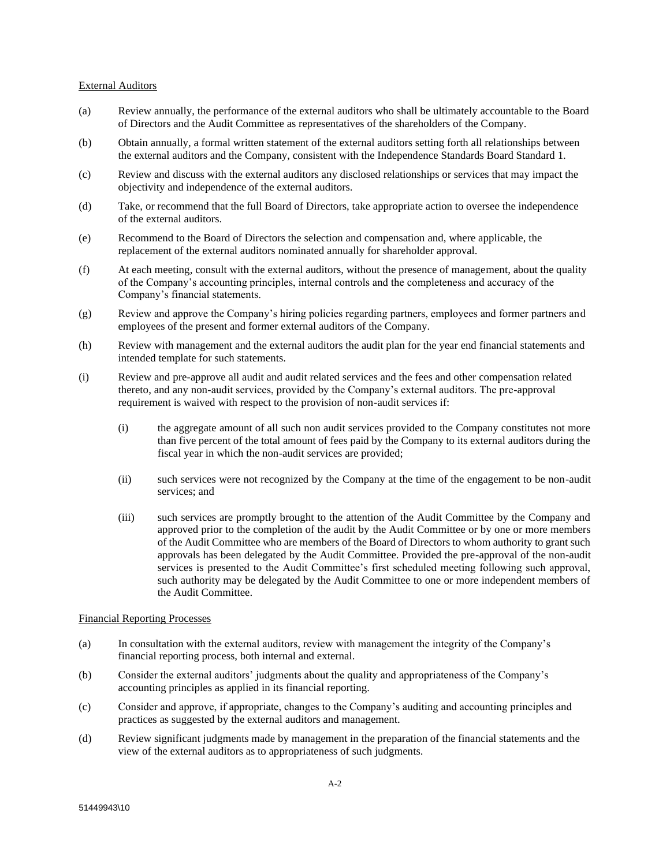#### External Auditors

- (a) Review annually, the performance of the external auditors who shall be ultimately accountable to the Board of Directors and the Audit Committee as representatives of the shareholders of the Company.
- (b) Obtain annually, a formal written statement of the external auditors setting forth all relationships between the external auditors and the Company, consistent with the Independence Standards Board Standard 1.
- (c) Review and discuss with the external auditors any disclosed relationships or services that may impact the objectivity and independence of the external auditors.
- (d) Take, or recommend that the full Board of Directors, take appropriate action to oversee the independence of the external auditors.
- (e) Recommend to the Board of Directors the selection and compensation and, where applicable, the replacement of the external auditors nominated annually for shareholder approval.
- (f) At each meeting, consult with the external auditors, without the presence of management, about the quality of the Company's accounting principles, internal controls and the completeness and accuracy of the Company's financial statements.
- (g) Review and approve the Company's hiring policies regarding partners, employees and former partners and employees of the present and former external auditors of the Company.
- (h) Review with management and the external auditors the audit plan for the year end financial statements and intended template for such statements.
- (i) Review and pre-approve all audit and audit related services and the fees and other compensation related thereto, and any non-audit services, provided by the Company's external auditors. The pre-approval requirement is waived with respect to the provision of non-audit services if:
	- (i) the aggregate amount of all such non audit services provided to the Company constitutes not more than five percent of the total amount of fees paid by the Company to its external auditors during the fiscal year in which the non-audit services are provided;
	- (ii) such services were not recognized by the Company at the time of the engagement to be non-audit services; and
	- (iii) such services are promptly brought to the attention of the Audit Committee by the Company and approved prior to the completion of the audit by the Audit Committee or by one or more members of the Audit Committee who are members of the Board of Directors to whom authority to grant such approvals has been delegated by the Audit Committee. Provided the pre-approval of the non-audit services is presented to the Audit Committee's first scheduled meeting following such approval, such authority may be delegated by the Audit Committee to one or more independent members of the Audit Committee.

## Financial Reporting Processes

- (a) In consultation with the external auditors, review with management the integrity of the Company's financial reporting process, both internal and external.
- (b) Consider the external auditors' judgments about the quality and appropriateness of the Company's accounting principles as applied in its financial reporting.
- (c) Consider and approve, if appropriate, changes to the Company's auditing and accounting principles and practices as suggested by the external auditors and management.
- (d) Review significant judgments made by management in the preparation of the financial statements and the view of the external auditors as to appropriateness of such judgments.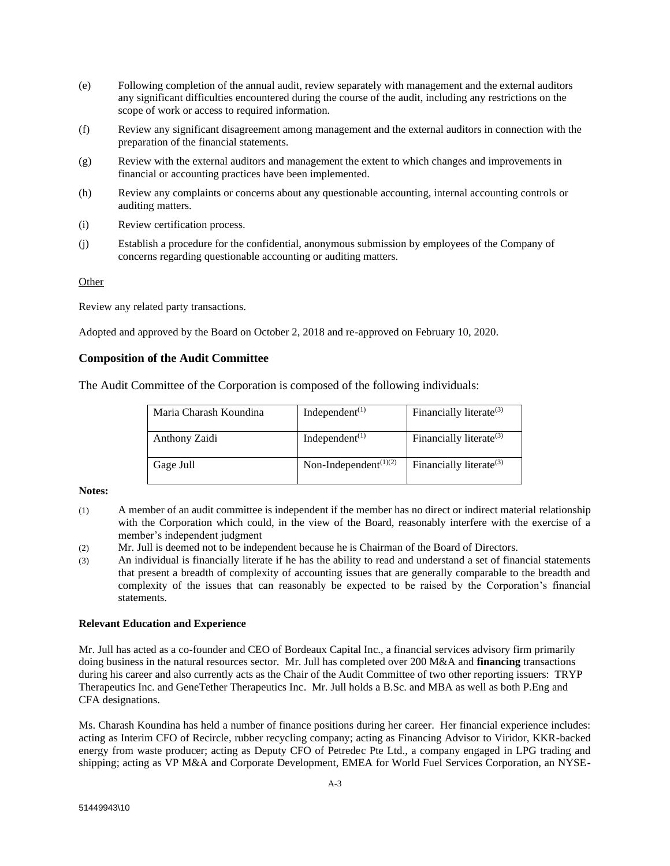- (e) Following completion of the annual audit, review separately with management and the external auditors any significant difficulties encountered during the course of the audit, including any restrictions on the scope of work or access to required information.
- (f) Review any significant disagreement among management and the external auditors in connection with the preparation of the financial statements.
- (g) Review with the external auditors and management the extent to which changes and improvements in financial or accounting practices have been implemented.
- (h) Review any complaints or concerns about any questionable accounting, internal accounting controls or auditing matters.
- (i) Review certification process.
- (j) Establish a procedure for the confidential, anonymous submission by employees of the Company of concerns regarding questionable accounting or auditing matters.

## **Other**

Review any related party transactions.

Adopted and approved by the Board on October 2, 2018 and re-approved on February 10, 2020.

## **Composition of the Audit Committee**

The Audit Committee of the Corporation is composed of the following individuals:

| Maria Charash Koundina | Independent <sup><math>(1)</math></sup> | Financially literate $(3)$ |
|------------------------|-----------------------------------------|----------------------------|
| Anthony Zaidi          | Independent $(1)$                       | Financially literate $(3)$ |
| Gage Jull              | Non-Independent $(1)(2)$                | Financially literate $(3)$ |

## **Notes:**

- (1) A member of an audit committee is independent if the member has no direct or indirect material relationship with the Corporation which could, in the view of the Board, reasonably interfere with the exercise of a member's independent judgment
- (2) Mr. Jull is deemed not to be independent because he is Chairman of the Board of Directors.
- (3) An individual is financially literate if he has the ability to read and understand a set of financial statements that present a breadth of complexity of accounting issues that are generally comparable to the breadth and complexity of the issues that can reasonably be expected to be raised by the Corporation's financial statements.

#### **Relevant Education and Experience**

Mr. Jull has acted as a co-founder and CEO of Bordeaux Capital Inc., a financial services advisory firm primarily doing business in the natural resources sector. Mr. Jull has completed over 200 M&A and **financing** transactions during his career and also currently acts as the Chair of the Audit Committee of two other reporting issuers: TRYP Therapeutics Inc. and GeneTether Therapeutics Inc. Mr. Jull holds a B.Sc. and MBA as well as both P.Eng and CFA designations.

Ms. Charash Koundina has held a number of finance positions during her career. Her financial experience includes: acting as Interim CFO of Recircle, rubber recycling company; acting as Financing Advisor to Viridor, KKR-backed energy from waste producer; acting as Deputy CFO of Petredec Pte Ltd., a company engaged in LPG trading and shipping; acting as VP M&A and Corporate Development, EMEA for World Fuel Services Corporation, an NYSE-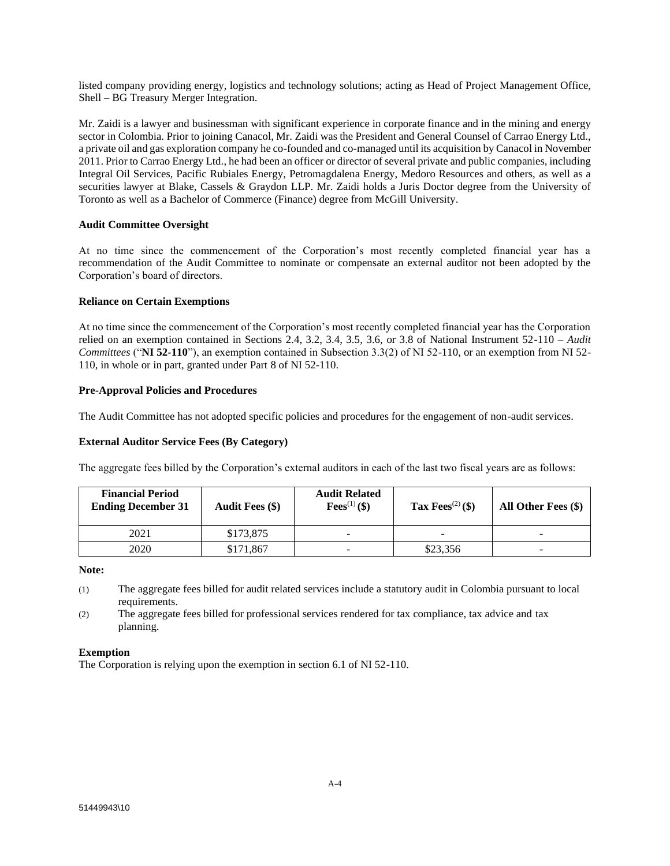listed company providing energy, logistics and technology solutions; acting as Head of Project Management Office, Shell – BG Treasury Merger Integration.

Mr. Zaidi is a lawyer and businessman with significant experience in corporate finance and in the mining and energy sector in Colombia. Prior to joining Canacol, Mr. Zaidi was the President and General Counsel of Carrao Energy Ltd., a private oil and gas exploration company he co-founded and co-managed until its acquisition by Canacol in November 2011. Prior to Carrao Energy Ltd., he had been an officer or director of several private and public companies, including Integral Oil Services, Pacific Rubiales Energy, Petromagdalena Energy, Medoro Resources and others, as well as a securities lawyer at Blake, Cassels & Graydon LLP. Mr. Zaidi holds a Juris Doctor degree from the University of Toronto as well as a Bachelor of Commerce (Finance) degree from McGill University.

## **Audit Committee Oversight**

At no time since the commencement of the Corporation's most recently completed financial year has a recommendation of the Audit Committee to nominate or compensate an external auditor not been adopted by the Corporation's board of directors.

## **Reliance on Certain Exemptions**

At no time since the commencement of the Corporation's most recently completed financial year has the Corporation relied on an exemption contained in Sections 2.4, 3.2, 3.4, 3.5, 3.6, or 3.8 of National Instrument 52-110 – *Audit Committees* ("**NI 52-110**"), an exemption contained in Subsection 3.3(2) of NI 52-110, or an exemption from NI 52- 110, in whole or in part, granted under Part 8 of NI 52-110.

## **Pre-Approval Policies and Procedures**

The Audit Committee has not adopted specific policies and procedures for the engagement of non-audit services.

## **External Auditor Service Fees (By Category)**

The aggregate fees billed by the Corporation's external auditors in each of the last two fiscal years are as follows:

| <b>Financial Period</b><br><b>Ending December 31</b> | <b>Audit Fees (\$)</b> | <b>Audit Related</b><br><b>Fees</b> <sup>(1)</sup> (\$) | Tax Fees <sup>(2)</sup> (\$) | All Other Fees (\$) |
|------------------------------------------------------|------------------------|---------------------------------------------------------|------------------------------|---------------------|
| 2021                                                 | \$173,875              | -                                                       |                              | -                   |
| 2020                                                 | \$171,867              | -                                                       | \$23,356                     | ۰                   |

## **Note:**

- (1) The aggregate fees billed for audit related services include a statutory audit in Colombia pursuant to local requirements.
- (2) The aggregate fees billed for professional services rendered for tax compliance, tax advice and tax planning.

## **Exemption**

The Corporation is relying upon the exemption in section 6.1 of NI 52-110.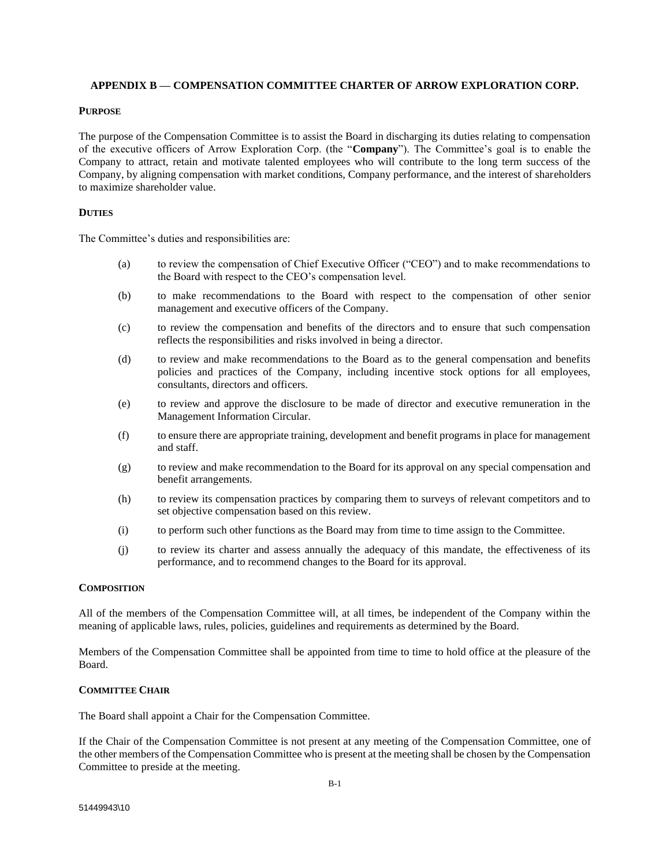## **APPENDIX B — COMPENSATION COMMITTEE CHARTER OF ARROW EXPLORATION CORP.**

## **PURPOSE**

The purpose of the Compensation Committee is to assist the Board in discharging its duties relating to compensation of the executive officers of Arrow Exploration Corp. (the "**Company**"). The Committee's goal is to enable the Company to attract, retain and motivate talented employees who will contribute to the long term success of the Company, by aligning compensation with market conditions, Company performance, and the interest of shareholders to maximize shareholder value.

### **DUTIES**

The Committee's duties and responsibilities are:

- (a) to review the compensation of Chief Executive Officer ("CEO") and to make recommendations to the Board with respect to the CEO's compensation level.
- (b) to make recommendations to the Board with respect to the compensation of other senior management and executive officers of the Company.
- (c) to review the compensation and benefits of the directors and to ensure that such compensation reflects the responsibilities and risks involved in being a director.
- (d) to review and make recommendations to the Board as to the general compensation and benefits policies and practices of the Company, including incentive stock options for all employees, consultants, directors and officers.
- (e) to review and approve the disclosure to be made of director and executive remuneration in the Management Information Circular.
- (f) to ensure there are appropriate training, development and benefit programs in place for management and staff.
- (g) to review and make recommendation to the Board for its approval on any special compensation and benefit arrangements.
- (h) to review its compensation practices by comparing them to surveys of relevant competitors and to set objective compensation based on this review.
- (i) to perform such other functions as the Board may from time to time assign to the Committee.
- (j) to review its charter and assess annually the adequacy of this mandate, the effectiveness of its performance, and to recommend changes to the Board for its approval.

#### **COMPOSITION**

All of the members of the Compensation Committee will, at all times, be independent of the Company within the meaning of applicable laws, rules, policies, guidelines and requirements as determined by the Board.

Members of the Compensation Committee shall be appointed from time to time to hold office at the pleasure of the Board.

#### **COMMITTEE CHAIR**

The Board shall appoint a Chair for the Compensation Committee.

If the Chair of the Compensation Committee is not present at any meeting of the Compensation Committee, one of the other members of the Compensation Committee who is present at the meeting shall be chosen by the Compensation Committee to preside at the meeting.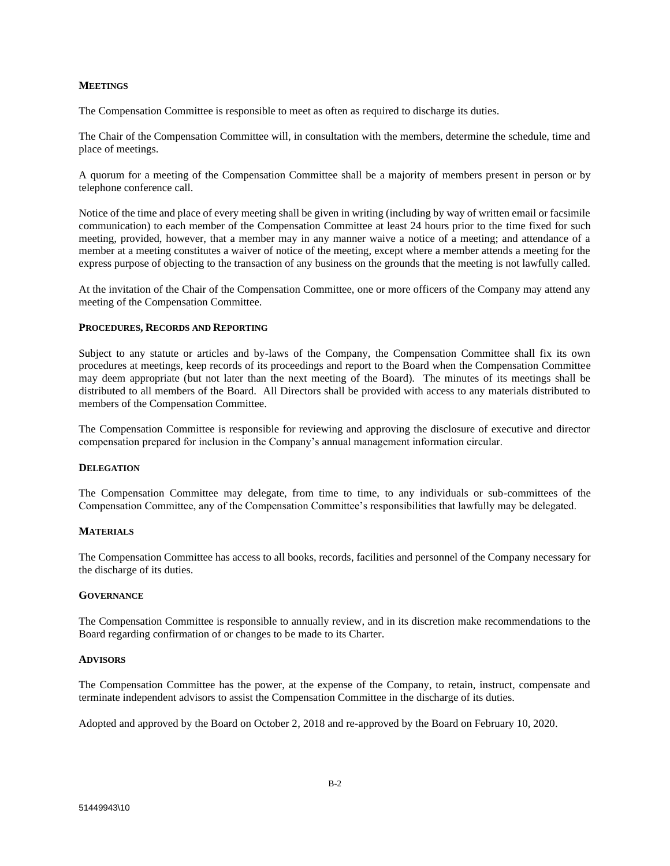#### **MEETINGS**

The Compensation Committee is responsible to meet as often as required to discharge its duties.

The Chair of the Compensation Committee will, in consultation with the members, determine the schedule, time and place of meetings.

A quorum for a meeting of the Compensation Committee shall be a majority of members present in person or by telephone conference call.

Notice of the time and place of every meeting shall be given in writing (including by way of written email or facsimile communication) to each member of the Compensation Committee at least 24 hours prior to the time fixed for such meeting, provided, however, that a member may in any manner waive a notice of a meeting; and attendance of a member at a meeting constitutes a waiver of notice of the meeting, except where a member attends a meeting for the express purpose of objecting to the transaction of any business on the grounds that the meeting is not lawfully called.

At the invitation of the Chair of the Compensation Committee, one or more officers of the Company may attend any meeting of the Compensation Committee.

#### **PROCEDURES, RECORDS AND REPORTING**

Subject to any statute or articles and by-laws of the Company, the Compensation Committee shall fix its own procedures at meetings, keep records of its proceedings and report to the Board when the Compensation Committee may deem appropriate (but not later than the next meeting of the Board). The minutes of its meetings shall be distributed to all members of the Board. All Directors shall be provided with access to any materials distributed to members of the Compensation Committee.

The Compensation Committee is responsible for reviewing and approving the disclosure of executive and director compensation prepared for inclusion in the Company's annual management information circular.

## **DELEGATION**

The Compensation Committee may delegate, from time to time, to any individuals or sub-committees of the Compensation Committee, any of the Compensation Committee's responsibilities that lawfully may be delegated.

## **MATERIALS**

The Compensation Committee has access to all books, records, facilities and personnel of the Company necessary for the discharge of its duties.

## **GOVERNANCE**

The Compensation Committee is responsible to annually review, and in its discretion make recommendations to the Board regarding confirmation of or changes to be made to its Charter.

#### **ADVISORS**

The Compensation Committee has the power, at the expense of the Company, to retain, instruct, compensate and terminate independent advisors to assist the Compensation Committee in the discharge of its duties.

Adopted and approved by the Board on October 2, 2018 and re-approved by the Board on February 10, 2020.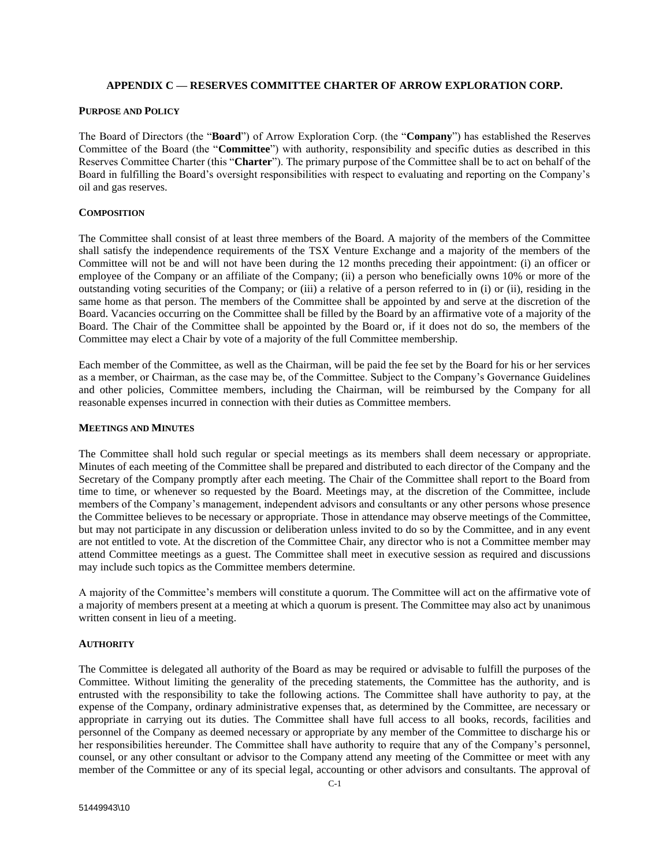## **APPENDIX C — RESERVES COMMITTEE CHARTER OF ARROW EXPLORATION CORP.**

### **PURPOSE AND POLICY**

The Board of Directors (the "**Board**") of Arrow Exploration Corp. (the "**Company**") has established the Reserves Committee of the Board (the "**Committee**") with authority, responsibility and specific duties as described in this Reserves Committee Charter (this "**Charter**"). The primary purpose of the Committee shall be to act on behalf of the Board in fulfilling the Board's oversight responsibilities with respect to evaluating and reporting on the Company's oil and gas reserves.

### **COMPOSITION**

The Committee shall consist of at least three members of the Board. A majority of the members of the Committee shall satisfy the independence requirements of the TSX Venture Exchange and a majority of the members of the Committee will not be and will not have been during the 12 months preceding their appointment: (i) an officer or employee of the Company or an affiliate of the Company; (ii) a person who beneficially owns 10% or more of the outstanding voting securities of the Company; or (iii) a relative of a person referred to in (i) or (ii), residing in the same home as that person. The members of the Committee shall be appointed by and serve at the discretion of the Board. Vacancies occurring on the Committee shall be filled by the Board by an affirmative vote of a majority of the Board. The Chair of the Committee shall be appointed by the Board or, if it does not do so, the members of the Committee may elect a Chair by vote of a majority of the full Committee membership.

Each member of the Committee, as well as the Chairman, will be paid the fee set by the Board for his or her services as a member, or Chairman, as the case may be, of the Committee. Subject to the Company's Governance Guidelines and other policies, Committee members, including the Chairman, will be reimbursed by the Company for all reasonable expenses incurred in connection with their duties as Committee members.

## **MEETINGS AND MINUTES**

The Committee shall hold such regular or special meetings as its members shall deem necessary or appropriate. Minutes of each meeting of the Committee shall be prepared and distributed to each director of the Company and the Secretary of the Company promptly after each meeting. The Chair of the Committee shall report to the Board from time to time, or whenever so requested by the Board. Meetings may, at the discretion of the Committee, include members of the Company's management, independent advisors and consultants or any other persons whose presence the Committee believes to be necessary or appropriate. Those in attendance may observe meetings of the Committee, but may not participate in any discussion or deliberation unless invited to do so by the Committee, and in any event are not entitled to vote. At the discretion of the Committee Chair, any director who is not a Committee member may attend Committee meetings as a guest. The Committee shall meet in executive session as required and discussions may include such topics as the Committee members determine.

A majority of the Committee's members will constitute a quorum. The Committee will act on the affirmative vote of a majority of members present at a meeting at which a quorum is present. The Committee may also act by unanimous written consent in lieu of a meeting.

## **AUTHORITY**

The Committee is delegated all authority of the Board as may be required or advisable to fulfill the purposes of the Committee. Without limiting the generality of the preceding statements, the Committee has the authority, and is entrusted with the responsibility to take the following actions. The Committee shall have authority to pay, at the expense of the Company, ordinary administrative expenses that, as determined by the Committee, are necessary or appropriate in carrying out its duties. The Committee shall have full access to all books, records, facilities and personnel of the Company as deemed necessary or appropriate by any member of the Committee to discharge his or her responsibilities hereunder. The Committee shall have authority to require that any of the Company's personnel, counsel, or any other consultant or advisor to the Company attend any meeting of the Committee or meet with any member of the Committee or any of its special legal, accounting or other advisors and consultants. The approval of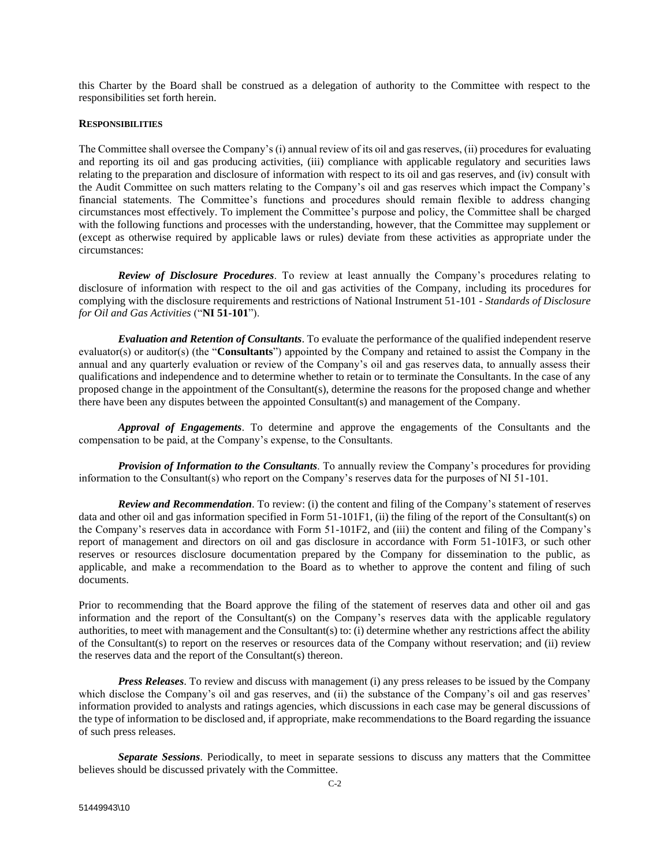this Charter by the Board shall be construed as a delegation of authority to the Committee with respect to the responsibilities set forth herein.

#### **RESPONSIBILITIES**

The Committee shall oversee the Company's (i) annual review of its oil and gas reserves, (ii) procedures for evaluating and reporting its oil and gas producing activities, (iii) compliance with applicable regulatory and securities laws relating to the preparation and disclosure of information with respect to its oil and gas reserves, and (iv) consult with the Audit Committee on such matters relating to the Company's oil and gas reserves which impact the Company's financial statements. The Committee's functions and procedures should remain flexible to address changing circumstances most effectively. To implement the Committee's purpose and policy, the Committee shall be charged with the following functions and processes with the understanding, however, that the Committee may supplement or (except as otherwise required by applicable laws or rules) deviate from these activities as appropriate under the circumstances:

*Review of Disclosure Procedures*. To review at least annually the Company's procedures relating to disclosure of information with respect to the oil and gas activities of the Company, including its procedures for complying with the disclosure requirements and restrictions of National Instrument 51-101 - *Standards of Disclosure for Oil and Gas Activities* ("**NI 51-101**").

*Evaluation and Retention of Consultants*. To evaluate the performance of the qualified independent reserve evaluator(s) or auditor(s) (the "**Consultants**") appointed by the Company and retained to assist the Company in the annual and any quarterly evaluation or review of the Company's oil and gas reserves data, to annually assess their qualifications and independence and to determine whether to retain or to terminate the Consultants. In the case of any proposed change in the appointment of the Consultant(s), determine the reasons for the proposed change and whether there have been any disputes between the appointed Consultant(s) and management of the Company.

*Approval of Engagements*. To determine and approve the engagements of the Consultants and the compensation to be paid, at the Company's expense, to the Consultants.

*Provision of Information to the Consultants*. To annually review the Company's procedures for providing information to the Consultant(s) who report on the Company's reserves data for the purposes of NI 51-101.

*Review and Recommendation*. To review: (i) the content and filing of the Company's statement of reserves data and other oil and gas information specified in Form 51-101F1, (ii) the filing of the report of the Consultant(s) on the Company's reserves data in accordance with Form 51-101F2, and (iii) the content and filing of the Company's report of management and directors on oil and gas disclosure in accordance with Form 51-101F3, or such other reserves or resources disclosure documentation prepared by the Company for dissemination to the public, as applicable, and make a recommendation to the Board as to whether to approve the content and filing of such documents.

Prior to recommending that the Board approve the filing of the statement of reserves data and other oil and gas information and the report of the Consultant(s) on the Company's reserves data with the applicable regulatory authorities, to meet with management and the Consultant(s) to: (i) determine whether any restrictions affect the ability of the Consultant(s) to report on the reserves or resources data of the Company without reservation; and (ii) review the reserves data and the report of the Consultant(s) thereon.

*Press Releases*. To review and discuss with management (i) any press releases to be issued by the Company which disclose the Company's oil and gas reserves, and (ii) the substance of the Company's oil and gas reserves' information provided to analysts and ratings agencies, which discussions in each case may be general discussions of the type of information to be disclosed and, if appropriate, make recommendations to the Board regarding the issuance of such press releases.

*Separate Sessions*. Periodically, to meet in separate sessions to discuss any matters that the Committee believes should be discussed privately with the Committee.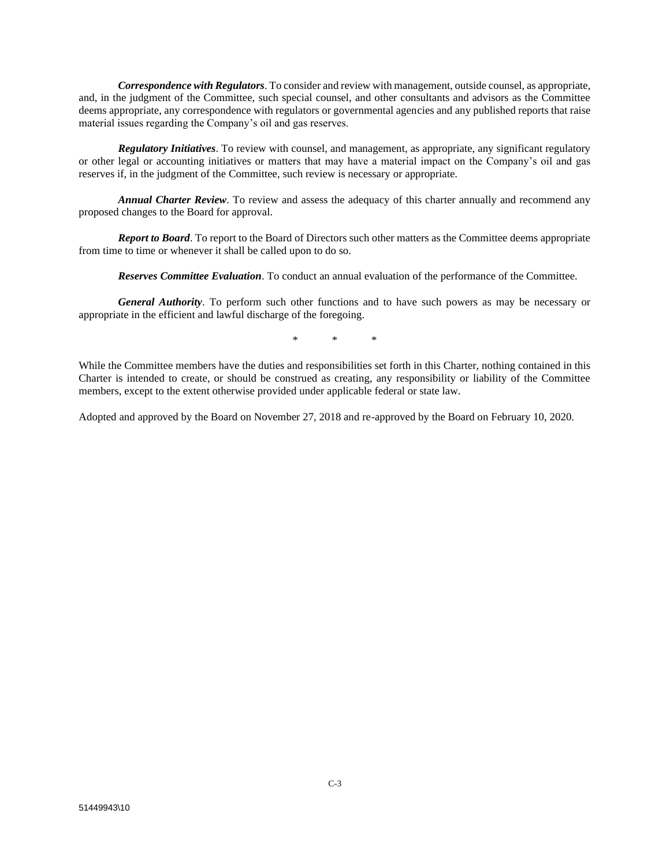*Correspondence with Regulators*. To consider and review with management, outside counsel, as appropriate, and, in the judgment of the Committee, such special counsel, and other consultants and advisors as the Committee deems appropriate, any correspondence with regulators or governmental agencies and any published reports that raise material issues regarding the Company's oil and gas reserves.

*Regulatory Initiatives*. To review with counsel, and management, as appropriate, any significant regulatory or other legal or accounting initiatives or matters that may have a material impact on the Company's oil and gas reserves if, in the judgment of the Committee, such review is necessary or appropriate.

*Annual Charter Review*. To review and assess the adequacy of this charter annually and recommend any proposed changes to the Board for approval.

*Report to Board*. To report to the Board of Directors such other matters as the Committee deems appropriate from time to time or whenever it shall be called upon to do so.

*Reserves Committee Evaluation*. To conduct an annual evaluation of the performance of the Committee.

*General Authority*. To perform such other functions and to have such powers as may be necessary or appropriate in the efficient and lawful discharge of the foregoing.

\* \* \*

While the Committee members have the duties and responsibilities set forth in this Charter, nothing contained in this Charter is intended to create, or should be construed as creating, any responsibility or liability of the Committee members, except to the extent otherwise provided under applicable federal or state law.

Adopted and approved by the Board on November 27, 2018 and re-approved by the Board on February 10, 2020.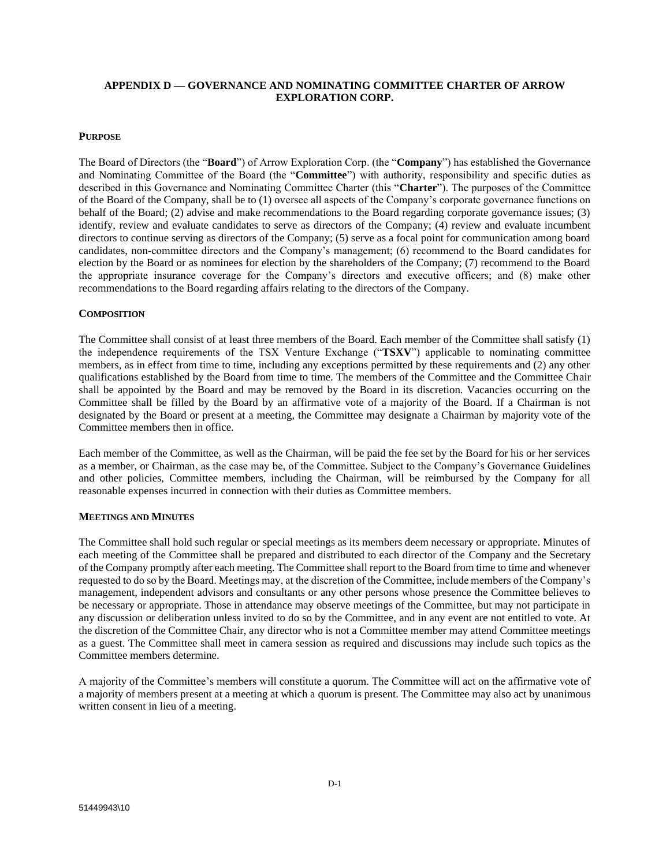## **APPENDIX D — GOVERNANCE AND NOMINATING COMMITTEE CHARTER OF ARROW EXPLORATION CORP.**

### **PURPOSE**

The Board of Directors (the "**Board**") of Arrow Exploration Corp. (the "**Company**") has established the Governance and Nominating Committee of the Board (the "**Committee**") with authority, responsibility and specific duties as described in this Governance and Nominating Committee Charter (this "**Charter**"). The purposes of the Committee of the Board of the Company, shall be to (1) oversee all aspects of the Company's corporate governance functions on behalf of the Board; (2) advise and make recommendations to the Board regarding corporate governance issues; (3) identify, review and evaluate candidates to serve as directors of the Company; (4) review and evaluate incumbent directors to continue serving as directors of the Company; (5) serve as a focal point for communication among board candidates, non-committee directors and the Company's management; (6) recommend to the Board candidates for election by the Board or as nominees for election by the shareholders of the Company; (7) recommend to the Board the appropriate insurance coverage for the Company's directors and executive officers; and (8) make other recommendations to the Board regarding affairs relating to the directors of the Company.

## **COMPOSITION**

The Committee shall consist of at least three members of the Board. Each member of the Committee shall satisfy (1) the independence requirements of the TSX Venture Exchange ("**TSXV**") applicable to nominating committee members, as in effect from time to time, including any exceptions permitted by these requirements and (2) any other qualifications established by the Board from time to time. The members of the Committee and the Committee Chair shall be appointed by the Board and may be removed by the Board in its discretion. Vacancies occurring on the Committee shall be filled by the Board by an affirmative vote of a majority of the Board. If a Chairman is not designated by the Board or present at a meeting, the Committee may designate a Chairman by majority vote of the Committee members then in office.

Each member of the Committee, as well as the Chairman, will be paid the fee set by the Board for his or her services as a member, or Chairman, as the case may be, of the Committee. Subject to the Company's Governance Guidelines and other policies, Committee members, including the Chairman, will be reimbursed by the Company for all reasonable expenses incurred in connection with their duties as Committee members.

#### **MEETINGS AND MINUTES**

The Committee shall hold such regular or special meetings as its members deem necessary or appropriate. Minutes of each meeting of the Committee shall be prepared and distributed to each director of the Company and the Secretary of the Company promptly after each meeting. The Committee shall report to the Board from time to time and whenever requested to do so by the Board. Meetings may, at the discretion of the Committee, include members of the Company's management, independent advisors and consultants or any other persons whose presence the Committee believes to be necessary or appropriate. Those in attendance may observe meetings of the Committee, but may not participate in any discussion or deliberation unless invited to do so by the Committee, and in any event are not entitled to vote. At the discretion of the Committee Chair, any director who is not a Committee member may attend Committee meetings as a guest. The Committee shall meet in camera session as required and discussions may include such topics as the Committee members determine.

A majority of the Committee's members will constitute a quorum. The Committee will act on the affirmative vote of a majority of members present at a meeting at which a quorum is present. The Committee may also act by unanimous written consent in lieu of a meeting.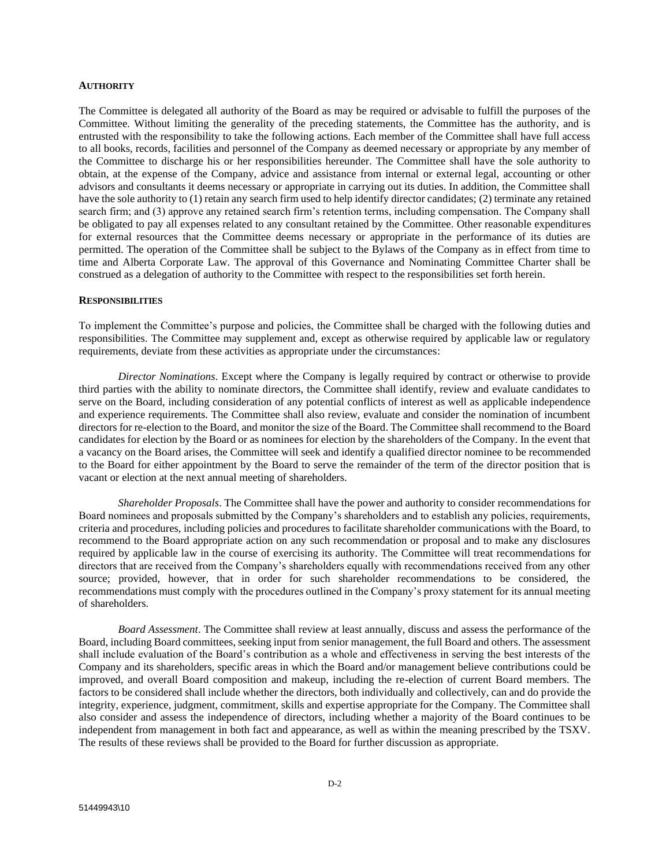#### **AUTHORITY**

The Committee is delegated all authority of the Board as may be required or advisable to fulfill the purposes of the Committee. Without limiting the generality of the preceding statements, the Committee has the authority, and is entrusted with the responsibility to take the following actions. Each member of the Committee shall have full access to all books, records, facilities and personnel of the Company as deemed necessary or appropriate by any member of the Committee to discharge his or her responsibilities hereunder. The Committee shall have the sole authority to obtain, at the expense of the Company, advice and assistance from internal or external legal, accounting or other advisors and consultants it deems necessary or appropriate in carrying out its duties. In addition, the Committee shall have the sole authority to (1) retain any search firm used to help identify director candidates; (2) terminate any retained search firm; and (3) approve any retained search firm's retention terms, including compensation. The Company shall be obligated to pay all expenses related to any consultant retained by the Committee. Other reasonable expenditures for external resources that the Committee deems necessary or appropriate in the performance of its duties are permitted. The operation of the Committee shall be subject to the Bylaws of the Company as in effect from time to time and Alberta Corporate Law. The approval of this Governance and Nominating Committee Charter shall be construed as a delegation of authority to the Committee with respect to the responsibilities set forth herein.

#### **RESPONSIBILITIES**

To implement the Committee's purpose and policies, the Committee shall be charged with the following duties and responsibilities. The Committee may supplement and, except as otherwise required by applicable law or regulatory requirements, deviate from these activities as appropriate under the circumstances:

*Director Nominations*. Except where the Company is legally required by contract or otherwise to provide third parties with the ability to nominate directors, the Committee shall identify, review and evaluate candidates to serve on the Board, including consideration of any potential conflicts of interest as well as applicable independence and experience requirements. The Committee shall also review, evaluate and consider the nomination of incumbent directors for re-election to the Board, and monitor the size of the Board. The Committee shall recommend to the Board candidates for election by the Board or as nominees for election by the shareholders of the Company. In the event that a vacancy on the Board arises, the Committee will seek and identify a qualified director nominee to be recommended to the Board for either appointment by the Board to serve the remainder of the term of the director position that is vacant or election at the next annual meeting of shareholders.

*Shareholder Proposals*. The Committee shall have the power and authority to consider recommendations for Board nominees and proposals submitted by the Company's shareholders and to establish any policies, requirements, criteria and procedures, including policies and procedures to facilitate shareholder communications with the Board, to recommend to the Board appropriate action on any such recommendation or proposal and to make any disclosures required by applicable law in the course of exercising its authority. The Committee will treat recommendations for directors that are received from the Company's shareholders equally with recommendations received from any other source; provided, however, that in order for such shareholder recommendations to be considered, the recommendations must comply with the procedures outlined in the Company's proxy statement for its annual meeting of shareholders.

*Board Assessment*. The Committee shall review at least annually, discuss and assess the performance of the Board, including Board committees, seeking input from senior management, the full Board and others. The assessment shall include evaluation of the Board's contribution as a whole and effectiveness in serving the best interests of the Company and its shareholders, specific areas in which the Board and/or management believe contributions could be improved, and overall Board composition and makeup, including the re-election of current Board members. The factors to be considered shall include whether the directors, both individually and collectively, can and do provide the integrity, experience, judgment, commitment, skills and expertise appropriate for the Company. The Committee shall also consider and assess the independence of directors, including whether a majority of the Board continues to be independent from management in both fact and appearance, as well as within the meaning prescribed by the TSXV. The results of these reviews shall be provided to the Board for further discussion as appropriate.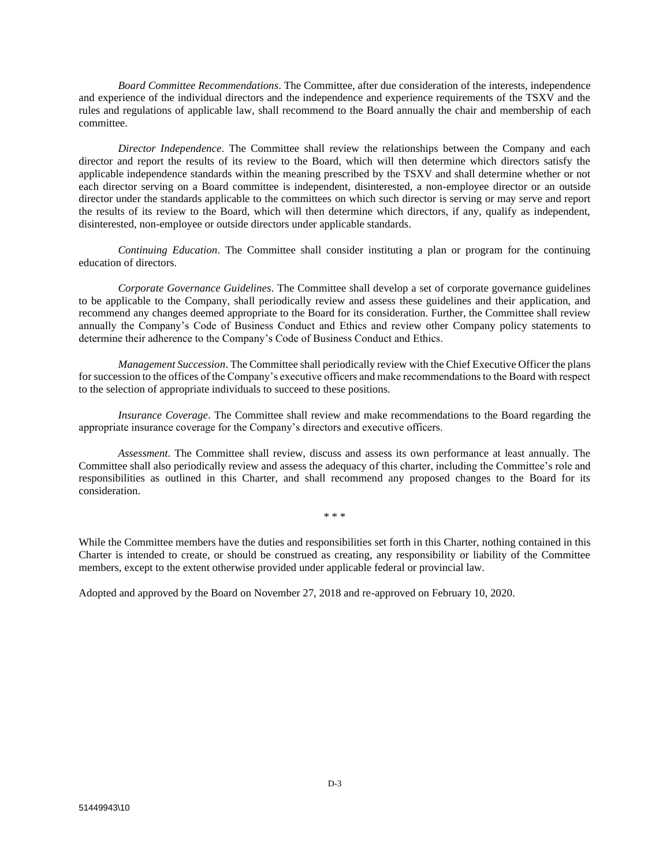*Board Committee Recommendations*. The Committee, after due consideration of the interests, independence and experience of the individual directors and the independence and experience requirements of the TSXV and the rules and regulations of applicable law, shall recommend to the Board annually the chair and membership of each committee.

*Director Independence*. The Committee shall review the relationships between the Company and each director and report the results of its review to the Board, which will then determine which directors satisfy the applicable independence standards within the meaning prescribed by the TSXV and shall determine whether or not each director serving on a Board committee is independent, disinterested, a non-employee director or an outside director under the standards applicable to the committees on which such director is serving or may serve and report the results of its review to the Board, which will then determine which directors, if any, qualify as independent, disinterested, non-employee or outside directors under applicable standards.

*Continuing Education*. The Committee shall consider instituting a plan or program for the continuing education of directors.

*Corporate Governance Guidelines*. The Committee shall develop a set of corporate governance guidelines to be applicable to the Company, shall periodically review and assess these guidelines and their application, and recommend any changes deemed appropriate to the Board for its consideration. Further, the Committee shall review annually the Company's Code of Business Conduct and Ethics and review other Company policy statements to determine their adherence to the Company's Code of Business Conduct and Ethics.

*Management Succession*. The Committee shall periodically review with the Chief Executive Officer the plans for succession to the offices of the Company's executive officers and make recommendations to the Board with respect to the selection of appropriate individuals to succeed to these positions.

*Insurance Coverage*. The Committee shall review and make recommendations to the Board regarding the appropriate insurance coverage for the Company's directors and executive officers.

*Assessment*. The Committee shall review, discuss and assess its own performance at least annually. The Committee shall also periodically review and assess the adequacy of this charter, including the Committee's role and responsibilities as outlined in this Charter, and shall recommend any proposed changes to the Board for its consideration.

\* \* \*

While the Committee members have the duties and responsibilities set forth in this Charter, nothing contained in this Charter is intended to create, or should be construed as creating, any responsibility or liability of the Committee members, except to the extent otherwise provided under applicable federal or provincial law.

Adopted and approved by the Board on November 27, 2018 and re-approved on February 10, 2020.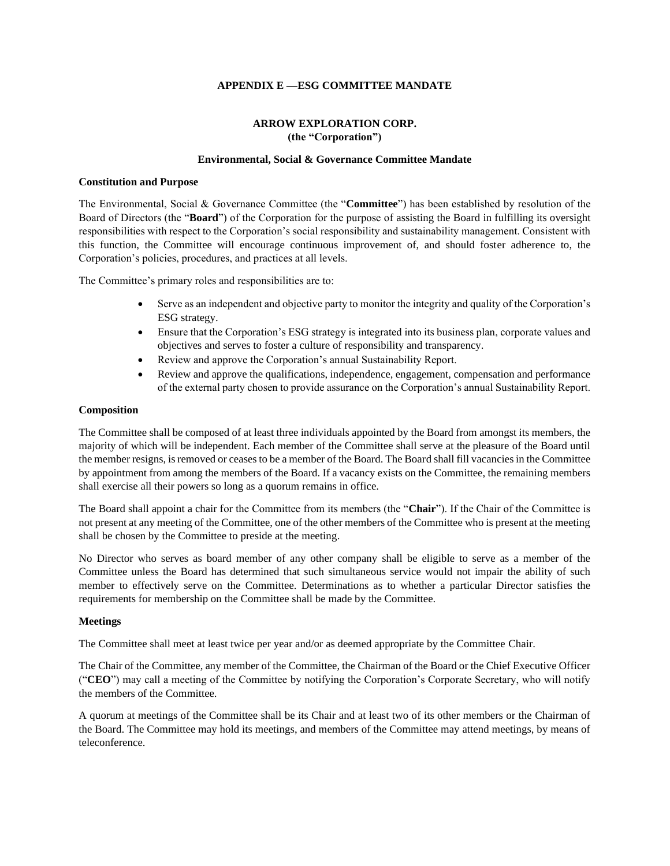## **APPENDIX E —ESG COMMITTEE MANDATE**

## **ARROW EXPLORATION CORP. (the "Corporation")**

## **Environmental, Social & Governance Committee Mandate**

#### **Constitution and Purpose**

The Environmental, Social & Governance Committee (the "**Committee**") has been established by resolution of the Board of Directors (the "**Board**") of the Corporation for the purpose of assisting the Board in fulfilling its oversight responsibilities with respect to the Corporation's social responsibility and sustainability management. Consistent with this function, the Committee will encourage continuous improvement of, and should foster adherence to, the Corporation's policies, procedures, and practices at all levels.

The Committee's primary roles and responsibilities are to:

- Serve as an independent and objective party to monitor the integrity and quality of the Corporation's ESG strategy.
- Ensure that the Corporation's ESG strategy is integrated into its business plan, corporate values and objectives and serves to foster a culture of responsibility and transparency.
- Review and approve the Corporation's annual Sustainability Report.
- Review and approve the qualifications, independence, engagement, compensation and performance of the external party chosen to provide assurance on the Corporation's annual Sustainability Report.

#### **Composition**

The Committee shall be composed of at least three individuals appointed by the Board from amongst its members, the majority of which will be independent. Each member of the Committee shall serve at the pleasure of the Board until the member resigns, is removed or ceases to be a member of the Board. The Board shall fill vacancies in the Committee by appointment from among the members of the Board. If a vacancy exists on the Committee, the remaining members shall exercise all their powers so long as a quorum remains in office.

The Board shall appoint a chair for the Committee from its members (the "**Chair**"). If the Chair of the Committee is not present at any meeting of the Committee, one of the other members of the Committee who is present at the meeting shall be chosen by the Committee to preside at the meeting.

No Director who serves as board member of any other company shall be eligible to serve as a member of the Committee unless the Board has determined that such simultaneous service would not impair the ability of such member to effectively serve on the Committee. Determinations as to whether a particular Director satisfies the requirements for membership on the Committee shall be made by the Committee.

## **Meetings**

The Committee shall meet at least twice per year and/or as deemed appropriate by the Committee Chair.

The Chair of the Committee, any member of the Committee, the Chairman of the Board or the Chief Executive Officer ("**CEO**") may call a meeting of the Committee by notifying the Corporation's Corporate Secretary, who will notify the members of the Committee.

A quorum at meetings of the Committee shall be its Chair and at least two of its other members or the Chairman of the Board. The Committee may hold its meetings, and members of the Committee may attend meetings, by means of teleconference.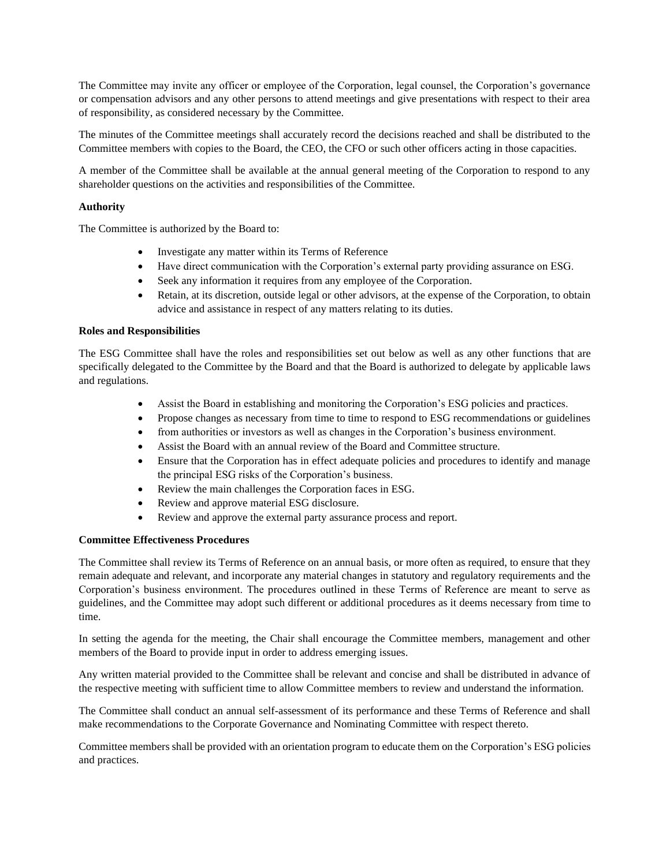The Committee may invite any officer or employee of the Corporation, legal counsel, the Corporation's governance or compensation advisors and any other persons to attend meetings and give presentations with respect to their area of responsibility, as considered necessary by the Committee.

The minutes of the Committee meetings shall accurately record the decisions reached and shall be distributed to the Committee members with copies to the Board, the CEO, the CFO or such other officers acting in those capacities.

A member of the Committee shall be available at the annual general meeting of the Corporation to respond to any shareholder questions on the activities and responsibilities of the Committee.

## **Authority**

The Committee is authorized by the Board to:

- Investigate any matter within its Terms of Reference
- Have direct communication with the Corporation's external party providing assurance on ESG.
- Seek any information it requires from any employee of the Corporation.
- Retain, at its discretion, outside legal or other advisors, at the expense of the Corporation, to obtain advice and assistance in respect of any matters relating to its duties.

## **Roles and Responsibilities**

The ESG Committee shall have the roles and responsibilities set out below as well as any other functions that are specifically delegated to the Committee by the Board and that the Board is authorized to delegate by applicable laws and regulations.

- Assist the Board in establishing and monitoring the Corporation's ESG policies and practices.
- Propose changes as necessary from time to time to respond to ESG recommendations or guidelines
- from authorities or investors as well as changes in the Corporation's business environment.
- Assist the Board with an annual review of the Board and Committee structure.
- Ensure that the Corporation has in effect adequate policies and procedures to identify and manage the principal ESG risks of the Corporation's business.
- Review the main challenges the Corporation faces in ESG.
- Review and approve material ESG disclosure.
- Review and approve the external party assurance process and report.

## **Committee Effectiveness Procedures**

The Committee shall review its Terms of Reference on an annual basis, or more often as required, to ensure that they remain adequate and relevant, and incorporate any material changes in statutory and regulatory requirements and the Corporation's business environment. The procedures outlined in these Terms of Reference are meant to serve as guidelines, and the Committee may adopt such different or additional procedures as it deems necessary from time to time.

In setting the agenda for the meeting, the Chair shall encourage the Committee members, management and other members of the Board to provide input in order to address emerging issues.

Any written material provided to the Committee shall be relevant and concise and shall be distributed in advance of the respective meeting with sufficient time to allow Committee members to review and understand the information.

The Committee shall conduct an annual self-assessment of its performance and these Terms of Reference and shall make recommendations to the Corporate Governance and Nominating Committee with respect thereto.

Committee members shall be provided with an orientation program to educate them on the Corporation's ESG policies and practices.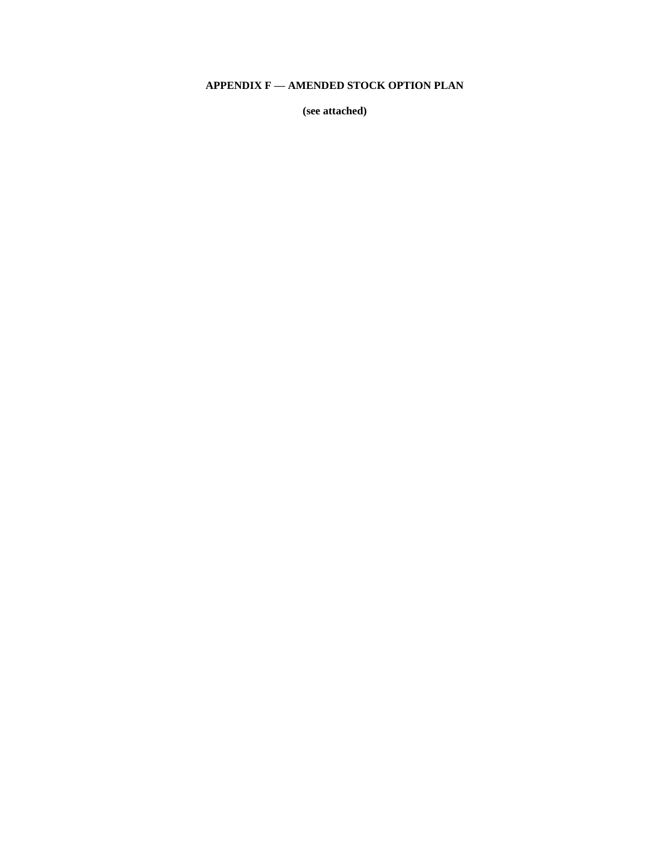# **APPENDIX F — AMENDED STOCK OPTION PLAN**

**(see attached)**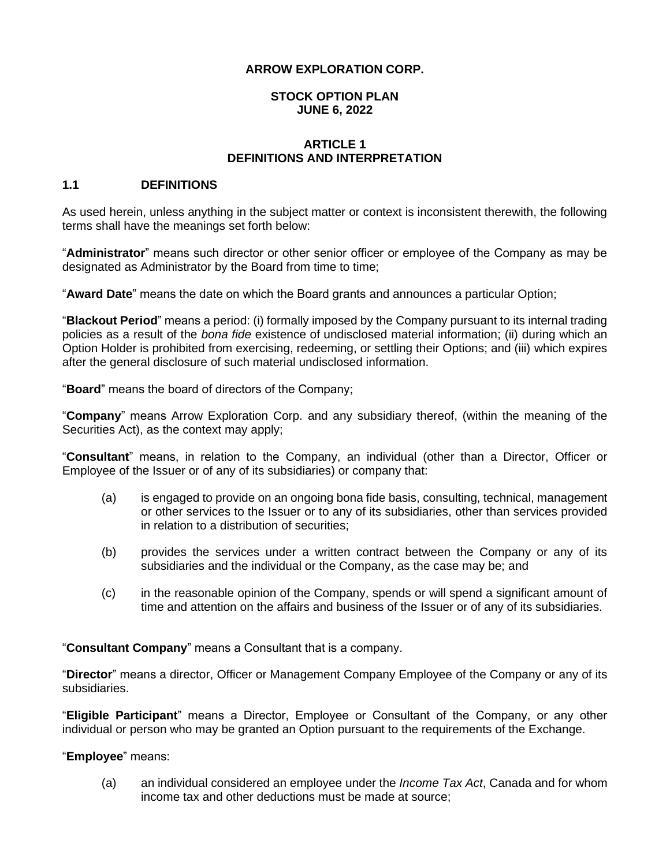## **ARROW EXPLORATION CORP.**

# **STOCK OPTION PLAN JUNE 6, 2022**

# **ARTICLE 1 DEFINITIONS AND INTERPRETATION**

## **1.1 DEFINITIONS**

As used herein, unless anything in the subject matter or context is inconsistent therewith, the following terms shall have the meanings set forth below:

"**Administrator**" means such director or other senior officer or employee of the Company as may be designated as Administrator by the Board from time to time;

"**Award Date**" means the date on which the Board grants and announces a particular Option;

"**Blackout Period**" means a period: (i) formally imposed by the Company pursuant to its internal trading policies as a result of the *bona fide* existence of undisclosed material information; (ii) during which an Option Holder is prohibited from exercising, redeeming, or settling their Options; and (iii) which expires after the general disclosure of such material undisclosed information.

"**Board**" means the board of directors of the Company;

"**Company**" means Arrow Exploration Corp. and any subsidiary thereof, (within the meaning of the Securities Act), as the context may apply;

"**Consultant**" means, in relation to the Company, an individual (other than a Director, Officer or Employee of the Issuer or of any of its subsidiaries) or company that:

- (a) is engaged to provide on an ongoing bona fide basis, consulting, technical, management or other services to the Issuer or to any of its subsidiaries, other than services provided in relation to a distribution of securities;
- (b) provides the services under a written contract between the Company or any of its subsidiaries and the individual or the Company, as the case may be; and
- (c) in the reasonable opinion of the Company, spends or will spend a significant amount of time and attention on the affairs and business of the Issuer or of any of its subsidiaries.

"**Consultant Company**" means a Consultant that is a company.

"**Director**" means a director, Officer or Management Company Employee of the Company or any of its subsidiaries.

"**Eligible Participant**" means a Director, Employee or Consultant of the Company, or any other individual or person who may be granted an Option pursuant to the requirements of the Exchange.

## "**Employee**" means:

(a) an individual considered an employee under the *Income Tax Act*, Canada and for whom income tax and other deductions must be made at source;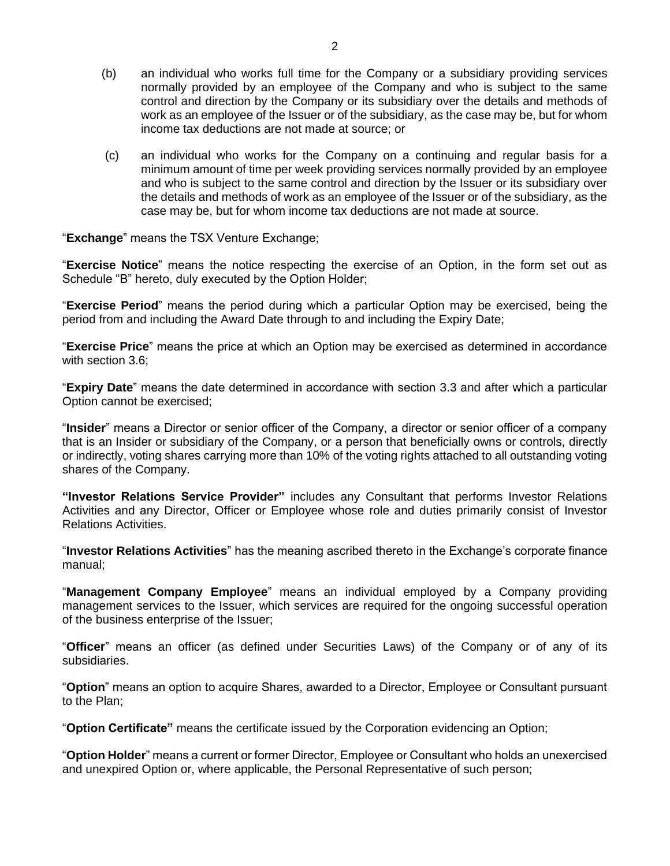- (b) an individual who works full time for the Company or a subsidiary providing services normally provided by an employee of the Company and who is subject to the same control and direction by the Company or its subsidiary over the details and methods of work as an employee of the Issuer or of the subsidiary, as the case may be, but for whom income tax deductions are not made at source; or
- (c) an individual who works for the Company on a continuing and regular basis for a minimum amount of time per week providing services normally provided by an employee and who is subject to the same control and direction by the Issuer or its subsidiary over the details and methods of work as an employee of the Issuer or of the subsidiary, as the case may be, but for whom income tax deductions are not made at source.

"**Exchange**" means the TSX Venture Exchange;

"**Exercise Notice**" means the notice respecting the exercise of an Option, in the form set out as Schedule "B" hereto, duly executed by the Option Holder;

"**Exercise Period**" means the period during which a particular Option may be exercised, being the period from and including the Award Date through to and including the Expiry Date;

"**Exercise Price**" means the price at which an Option may be exercised as determined in accordance with section [3.6;](#page-50-0)

"**Expiry Date**" means the date determined in accordance with section [3.3](#page-49-0) and after which a particular Option cannot be exercised;

"**Insider**" means a Director or senior officer of the Company, a director or senior officer of a company that is an Insider or subsidiary of the Company, or a person that beneficially owns or controls, directly or indirectly, voting shares carrying more than 10% of the voting rights attached to all outstanding voting shares of the Company.

**"Investor Relations Service Provider"** includes any Consultant that performs Investor Relations Activities and any Director, Officer or Employee whose role and duties primarily consist of Investor Relations Activities.

"**Investor Relations Activities**" has the meaning ascribed thereto in the Exchange's corporate finance manual;

"**Management Company Employee**" means an individual employed by a Company providing management services to the Issuer, which services are required for the ongoing successful operation of the business enterprise of the Issuer;

"**Officer**" means an officer (as defined under Securities Laws) of the Company or of any of its subsidiaries.

"**Option**" means an option to acquire Shares, awarded to a Director, Employee or Consultant pursuant to the Plan;

"**Option Certificate"** means the certificate issued by the Corporation evidencing an Option;

"**Option Holder**" means a current or former Director, Employee or Consultant who holds an unexercised and unexpired Option or, where applicable, the Personal Representative of such person;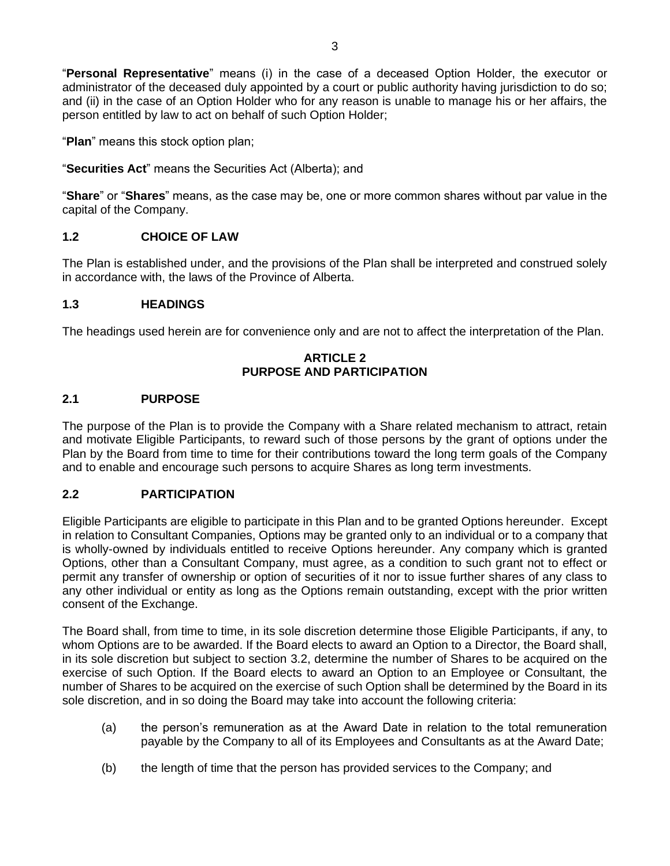"**Personal Representative**" means (i) in the case of a deceased Option Holder, the executor or administrator of the deceased duly appointed by a court or public authority having jurisdiction to do so; and (ii) in the case of an Option Holder who for any reason is unable to manage his or her affairs, the person entitled by law to act on behalf of such Option Holder;

"**Plan**" means this stock option plan;

"**Securities Act**" means the Securities Act (Alberta); and

"**Share**" or "**Shares**" means, as the case may be, one or more common shares without par value in the capital of the Company.

## **1.2 CHOICE OF LAW**

The Plan is established under, and the provisions of the Plan shall be interpreted and construed solely in accordance with, the laws of the Province of Alberta.

## **1.3 HEADINGS**

The headings used herein are for convenience only and are not to affect the interpretation of the Plan.

## **ARTICLE 2 PURPOSE AND PARTICIPATION**

# **2.1 PURPOSE**

The purpose of the Plan is to provide the Company with a Share related mechanism to attract, retain and motivate Eligible Participants, to reward such of those persons by the grant of options under the Plan by the Board from time to time for their contributions toward the long term goals of the Company and to enable and encourage such persons to acquire Shares as long term investments.

## **2.2 PARTICIPATION**

Eligible Participants are eligible to participate in this Plan and to be granted Options hereunder. Except in relation to Consultant Companies, Options may be granted only to an individual or to a company that is wholly-owned by individuals entitled to receive Options hereunder. Any company which is granted Options, other than a Consultant Company, must agree, as a condition to such grant not to effect or permit any transfer of ownership or option of securities of it nor to issue further shares of any class to any other individual or entity as long as the Options remain outstanding, except with the prior written consent of the Exchange.

The Board shall, from time to time, in its sole discretion determine those Eligible Participants, if any, to whom Options are to be awarded. If the Board elects to award an Option to a Director, the Board shall, in its sole discretion but subject to section [3.2,](#page-49-1) determine the number of Shares to be acquired on the exercise of such Option. If the Board elects to award an Option to an Employee or Consultant, the number of Shares to be acquired on the exercise of such Option shall be determined by the Board in its sole discretion, and in so doing the Board may take into account the following criteria:

- (a) the person's remuneration as at the Award Date in relation to the total remuneration payable by the Company to all of its Employees and Consultants as at the Award Date;
- (b) the length of time that the person has provided services to the Company; and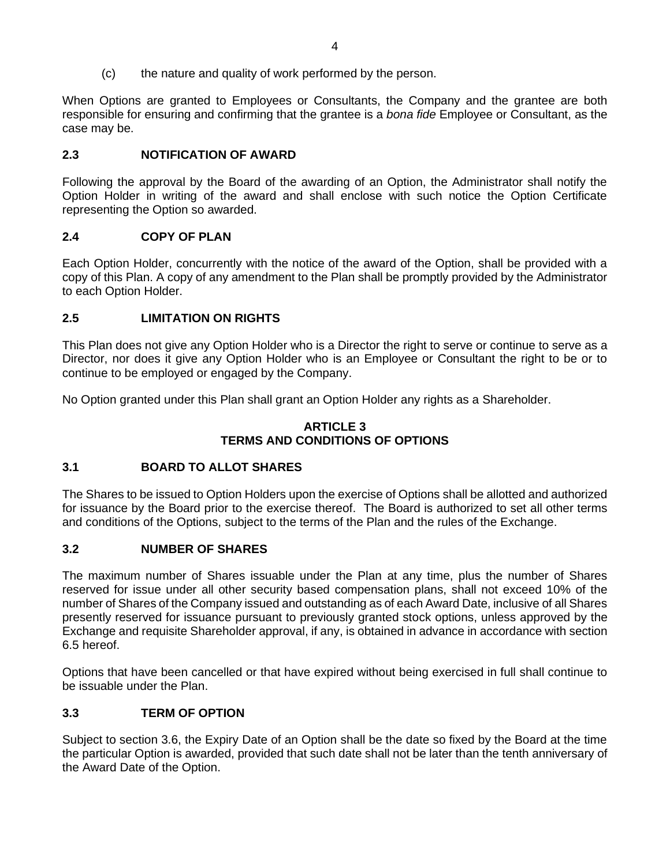(c) the nature and quality of work performed by the person.

When Options are granted to Employees or Consultants, the Company and the grantee are both responsible for ensuring and confirming that the grantee is a *bona fide* Employee or Consultant, as the case may be.

# **2.3 NOTIFICATION OF AWARD**

Following the approval by the Board of the awarding of an Option, the Administrator shall notify the Option Holder in writing of the award and shall enclose with such notice the Option Certificate representing the Option so awarded.

# **2.4 COPY OF PLAN**

Each Option Holder, concurrently with the notice of the award of the Option, shall be provided with a copy of this Plan. A copy of any amendment to the Plan shall be promptly provided by the Administrator to each Option Holder.

# **2.5 LIMITATION ON RIGHTS**

This Plan does not give any Option Holder who is a Director the right to serve or continue to serve as a Director, nor does it give any Option Holder who is an Employee or Consultant the right to be or to continue to be employed or engaged by the Company.

No Option granted under this Plan shall grant an Option Holder any rights as a Shareholder.

## **ARTICLE 3 TERMS AND CONDITIONS OF OPTIONS**

# **3.1 BOARD TO ALLOT SHARES**

The Shares to be issued to Option Holders upon the exercise of Options shall be allotted and authorized for issuance by the Board prior to the exercise thereof. The Board is authorized to set all other terms and conditions of the Options, subject to the terms of the Plan and the rules of the Exchange.

# <span id="page-49-1"></span>**3.2 NUMBER OF SHARES**

The maximum number of Shares issuable under the Plan at any time, plus the number of Shares reserved for issue under all other security based compensation plans, shall not exceed 10% of the number of Shares of the Company issued and outstanding as of each Award Date, inclusive of all Shares presently reserved for issuance pursuant to previously granted stock options, unless approved by the Exchange and requisite Shareholder approval, if any, is obtained in advance in accordance with section [6.5](#page-57-0) hereof.

Options that have been cancelled or that have expired without being exercised in full shall continue to be issuable under the Plan.

# <span id="page-49-0"></span>**3.3 TERM OF OPTION**

Subject to section [3.6,](#page-50-0) the Expiry Date of an Option shall be the date so fixed by the Board at the time the particular Option is awarded, provided that such date shall not be later than the tenth anniversary of the Award Date of the Option.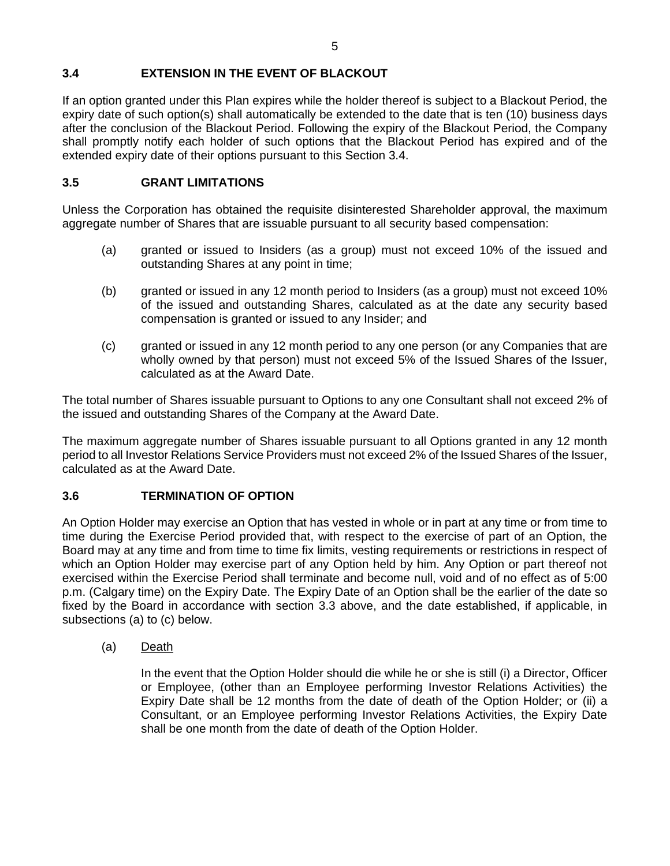# **3.4 EXTENSION IN THE EVENT OF BLACKOUT**

If an option granted under this Plan expires while the holder thereof is subject to a Blackout Period, the expiry date of such option(s) shall automatically be extended to the date that is ten (10) business days after the conclusion of the Blackout Period. Following the expiry of the Blackout Period, the Company shall promptly notify each holder of such options that the Blackout Period has expired and of the extended expiry date of their options pursuant to this Section 3.4.

# **3.5 GRANT LIMITATIONS**

Unless the Corporation has obtained the requisite disinterested Shareholder approval, the maximum aggregate number of Shares that are issuable pursuant to all security based compensation:

- (a) granted or issued to Insiders (as a group) must not exceed 10% of the issued and outstanding Shares at any point in time;
- (b) granted or issued in any 12 month period to Insiders (as a group) must not exceed 10% of the issued and outstanding Shares, calculated as at the date any security based compensation is granted or issued to any Insider; and
- (c) granted or issued in any 12 month period to any one person (or any Companies that are wholly owned by that person) must not exceed 5% of the Issued Shares of the Issuer, calculated as at the Award Date.

The total number of Shares issuable pursuant to Options to any one Consultant shall not exceed 2% of the issued and outstanding Shares of the Company at the Award Date.

The maximum aggregate number of Shares issuable pursuant to all Options granted in any 12 month period to all Investor Relations Service Providers must not exceed 2% of the Issued Shares of the Issuer, calculated as at the Award Date.

# <span id="page-50-0"></span>**3.6 TERMINATION OF OPTION**

An Option Holder may exercise an Option that has vested in whole or in part at any time or from time to time during the Exercise Period provided that, with respect to the exercise of part of an Option, the Board may at any time and from time to time fix limits, vesting requirements or restrictions in respect of which an Option Holder may exercise part of any Option held by him. Any Option or part thereof not exercised within the Exercise Period shall terminate and become null, void and of no effect as of 5:00 p.m. (Calgary time) on the Expiry Date. The Expiry Date of an Option shall be the earlier of the date so fixed by the Board in accordance with section [3.3](#page-49-0) above, and the date established, if applicable, in subsections (a) to (c) below.

(a) Death

In the event that the Option Holder should die while he or she is still (i) a Director, Officer or Employee, (other than an Employee performing Investor Relations Activities) the Expiry Date shall be 12 months from the date of death of the Option Holder; or (ii) a Consultant, or an Employee performing Investor Relations Activities, the Expiry Date shall be one month from the date of death of the Option Holder.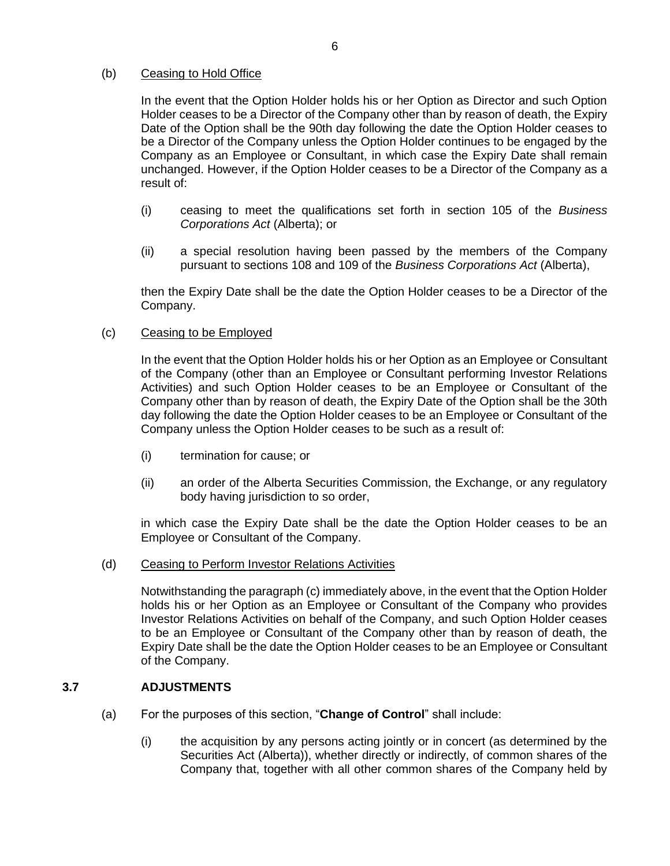## (b) Ceasing to Hold Office

In the event that the Option Holder holds his or her Option as Director and such Option Holder ceases to be a Director of the Company other than by reason of death, the Expiry Date of the Option shall be the 90th day following the date the Option Holder ceases to be a Director of the Company unless the Option Holder continues to be engaged by the Company as an Employee or Consultant, in which case the Expiry Date shall remain unchanged. However, if the Option Holder ceases to be a Director of the Company as a result of:

- (i) ceasing to meet the qualifications set forth in section 105 of the *Business Corporations Act* (Alberta); or
- (ii) a special resolution having been passed by the members of the Company pursuant to sections 108 and 109 of the *Business Corporations Act* (Alberta),

then the Expiry Date shall be the date the Option Holder ceases to be a Director of the Company.

## (c) Ceasing to be Employed

In the event that the Option Holder holds his or her Option as an Employee or Consultant of the Company (other than an Employee or Consultant performing Investor Relations Activities) and such Option Holder ceases to be an Employee or Consultant of the Company other than by reason of death, the Expiry Date of the Option shall be the 30th day following the date the Option Holder ceases to be an Employee or Consultant of the Company unless the Option Holder ceases to be such as a result of:

- (i) termination for cause; or
- (ii) an order of the Alberta Securities Commission, the Exchange, or any regulatory body having jurisdiction to so order,

in which case the Expiry Date shall be the date the Option Holder ceases to be an Employee or Consultant of the Company.

(d) Ceasing to Perform Investor Relations Activities

Notwithstanding the paragraph (c) immediately above, in the event that the Option Holder holds his or her Option as an Employee or Consultant of the Company who provides Investor Relations Activities on behalf of the Company, and such Option Holder ceases to be an Employee or Consultant of the Company other than by reason of death, the Expiry Date shall be the date the Option Holder ceases to be an Employee or Consultant of the Company.

# <span id="page-51-0"></span>**3.7 ADJUSTMENTS**

- (a) For the purposes of this section, "**Change of Control**" shall include:
	- (i) the acquisition by any persons acting jointly or in concert (as determined by the Securities Act (Alberta)), whether directly or indirectly, of common shares of the Company that, together with all other common shares of the Company held by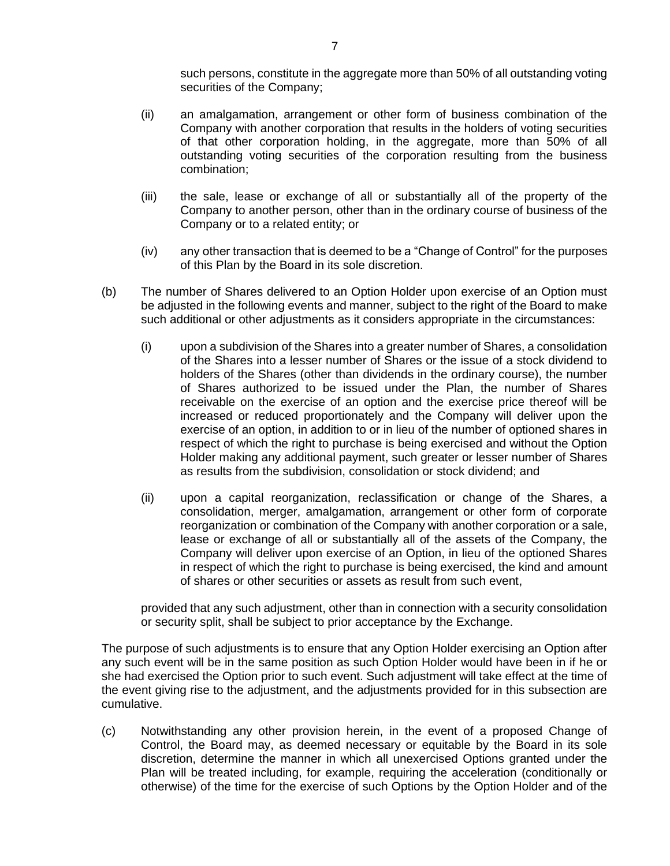such persons, constitute in the aggregate more than 50% of all outstanding voting securities of the Company;

- (ii) an amalgamation, arrangement or other form of business combination of the Company with another corporation that results in the holders of voting securities of that other corporation holding, in the aggregate, more than 50% of all outstanding voting securities of the corporation resulting from the business combination;
- (iii) the sale, lease or exchange of all or substantially all of the property of the Company to another person, other than in the ordinary course of business of the Company or to a related entity; or
- (iv) any other transaction that is deemed to be a "Change of Control" for the purposes of this Plan by the Board in its sole discretion.
- (b) The number of Shares delivered to an Option Holder upon exercise of an Option must be adjusted in the following events and manner, subject to the right of the Board to make such additional or other adjustments as it considers appropriate in the circumstances:
	- (i) upon a subdivision of the Shares into a greater number of Shares, a consolidation of the Shares into a lesser number of Shares or the issue of a stock dividend to holders of the Shares (other than dividends in the ordinary course), the number of Shares authorized to be issued under the Plan, the number of Shares receivable on the exercise of an option and the exercise price thereof will be increased or reduced proportionately and the Company will deliver upon the exercise of an option, in addition to or in lieu of the number of optioned shares in respect of which the right to purchase is being exercised and without the Option Holder making any additional payment, such greater or lesser number of Shares as results from the subdivision, consolidation or stock dividend; and
	- (ii) upon a capital reorganization, reclassification or change of the Shares, a consolidation, merger, amalgamation, arrangement or other form of corporate reorganization or combination of the Company with another corporation or a sale, lease or exchange of all or substantially all of the assets of the Company, the Company will deliver upon exercise of an Option, in lieu of the optioned Shares in respect of which the right to purchase is being exercised, the kind and amount of shares or other securities or assets as result from such event,

provided that any such adjustment, other than in connection with a security consolidation or security split, shall be subject to prior acceptance by the Exchange.

The purpose of such adjustments is to ensure that any Option Holder exercising an Option after any such event will be in the same position as such Option Holder would have been in if he or she had exercised the Option prior to such event. Such adjustment will take effect at the time of the event giving rise to the adjustment, and the adjustments provided for in this subsection are cumulative.

(c) Notwithstanding any other provision herein, in the event of a proposed Change of Control, the Board may, as deemed necessary or equitable by the Board in its sole discretion, determine the manner in which all unexercised Options granted under the Plan will be treated including, for example, requiring the acceleration (conditionally or otherwise) of the time for the exercise of such Options by the Option Holder and of the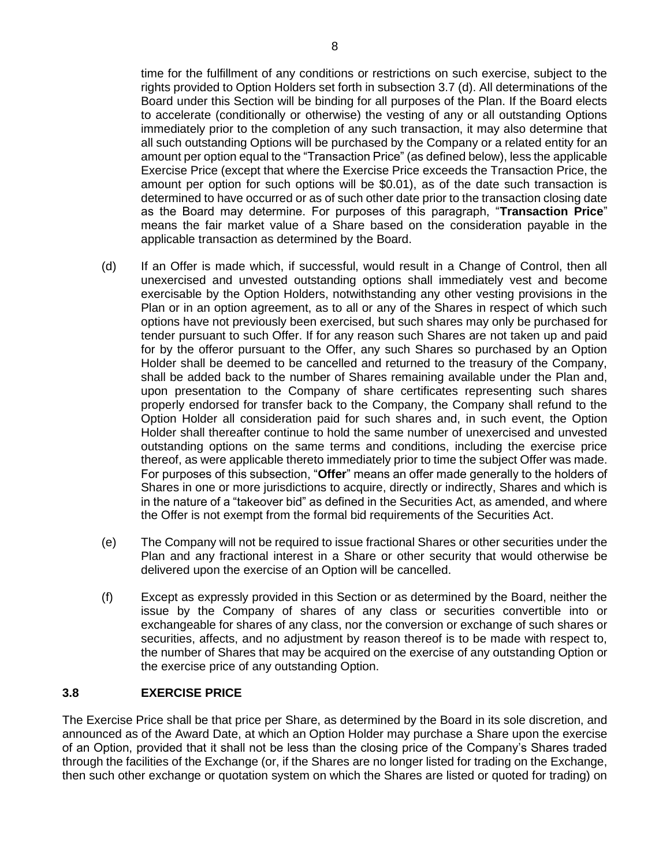time for the fulfillment of any conditions or restrictions on such exercise, subject to the rights provided to Option Holders set forth in subsection [3.7](#page-51-0) (d). All determinations of the Board under this Section will be binding for all purposes of the Plan. If the Board elects to accelerate (conditionally or otherwise) the vesting of any or all outstanding Options immediately prior to the completion of any such transaction, it may also determine that all such outstanding Options will be purchased by the Company or a related entity for an amount per option equal to the "Transaction Price" (as defined below), less the applicable Exercise Price (except that where the Exercise Price exceeds the Transaction Price, the amount per option for such options will be \$0.01), as of the date such transaction is determined to have occurred or as of such other date prior to the transaction closing date as the Board may determine. For purposes of this paragraph, "**Transaction Price**" means the fair market value of a Share based on the consideration payable in the applicable transaction as determined by the Board.

- (d) If an Offer is made which, if successful, would result in a Change of Control, then all unexercised and unvested outstanding options shall immediately vest and become exercisable by the Option Holders, notwithstanding any other vesting provisions in the Plan or in an option agreement, as to all or any of the Shares in respect of which such options have not previously been exercised, but such shares may only be purchased for tender pursuant to such Offer. If for any reason such Shares are not taken up and paid for by the offeror pursuant to the Offer, any such Shares so purchased by an Option Holder shall be deemed to be cancelled and returned to the treasury of the Company, shall be added back to the number of Shares remaining available under the Plan and, upon presentation to the Company of share certificates representing such shares properly endorsed for transfer back to the Company, the Company shall refund to the Option Holder all consideration paid for such shares and, in such event, the Option Holder shall thereafter continue to hold the same number of unexercised and unvested outstanding options on the same terms and conditions, including the exercise price thereof, as were applicable thereto immediately prior to time the subject Offer was made. For purposes of this subsection, "**Offer**" means an offer made generally to the holders of Shares in one or more jurisdictions to acquire, directly or indirectly, Shares and which is in the nature of a "takeover bid" as defined in the Securities Act, as amended, and where the Offer is not exempt from the formal bid requirements of the Securities Act.
- (e) The Company will not be required to issue fractional Shares or other securities under the Plan and any fractional interest in a Share or other security that would otherwise be delivered upon the exercise of an Option will be cancelled.
- (f) Except as expressly provided in this Section or as determined by the Board, neither the issue by the Company of shares of any class or securities convertible into or exchangeable for shares of any class, nor the conversion or exchange of such shares or securities, affects, and no adjustment by reason thereof is to be made with respect to, the number of Shares that may be acquired on the exercise of any outstanding Option or the exercise price of any outstanding Option.

# **3.8 EXERCISE PRICE**

The Exercise Price shall be that price per Share, as determined by the Board in its sole discretion, and announced as of the Award Date, at which an Option Holder may purchase a Share upon the exercise of an Option, provided that it shall not be less than the closing price of the Company's Shares traded through the facilities of the Exchange (or, if the Shares are no longer listed for trading on the Exchange, then such other exchange or quotation system on which the Shares are listed or quoted for trading) on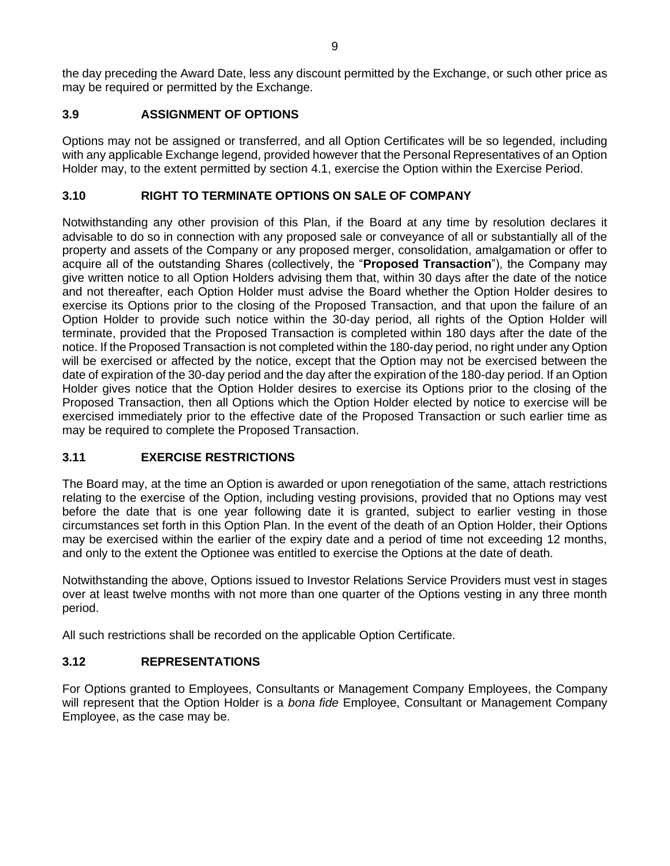the day preceding the Award Date, less any discount permitted by the Exchange, or such other price as may be required or permitted by the Exchange.

# **3.9 ASSIGNMENT OF OPTIONS**

Options may not be assigned or transferred, and all Option Certificates will be so legended, including with any applicable Exchange legend, provided however that the Personal Representatives of an Option Holder may, to the extent permitted by section [4.1,](#page-55-0) exercise the Option within the Exercise Period.

# **3.10 RIGHT TO TERMINATE OPTIONS ON SALE OF COMPANY**

Notwithstanding any other provision of this Plan, if the Board at any time by resolution declares it advisable to do so in connection with any proposed sale or conveyance of all or substantially all of the property and assets of the Company or any proposed merger, consolidation, amalgamation or offer to acquire all of the outstanding Shares (collectively, the "**Proposed Transaction**"), the Company may give written notice to all Option Holders advising them that, within 30 days after the date of the notice and not thereafter, each Option Holder must advise the Board whether the Option Holder desires to exercise its Options prior to the closing of the Proposed Transaction, and that upon the failure of an Option Holder to provide such notice within the 30-day period, all rights of the Option Holder will terminate, provided that the Proposed Transaction is completed within 180 days after the date of the notice. If the Proposed Transaction is not completed within the 180-day period, no right under any Option will be exercised or affected by the notice, except that the Option may not be exercised between the date of expiration of the 30-day period and the day after the expiration of the 180-day period. If an Option Holder gives notice that the Option Holder desires to exercise its Options prior to the closing of the Proposed Transaction, then all Options which the Option Holder elected by notice to exercise will be exercised immediately prior to the effective date of the Proposed Transaction or such earlier time as may be required to complete the Proposed Transaction.

# **3.11 EXERCISE RESTRICTIONS**

The Board may, at the time an Option is awarded or upon renegotiation of the same, attach restrictions relating to the exercise of the Option, including vesting provisions, provided that no Options may vest before the date that is one year following date it is granted, subject to earlier vesting in those circumstances set forth in this Option Plan. In the event of the death of an Option Holder, their Options may be exercised within the earlier of the expiry date and a period of time not exceeding 12 months, and only to the extent the Optionee was entitled to exercise the Options at the date of death.

Notwithstanding the above, Options issued to Investor Relations Service Providers must vest in stages over at least twelve months with not more than one quarter of the Options vesting in any three month period.

All such restrictions shall be recorded on the applicable Option Certificate.

# **3.12 REPRESENTATIONS**

For Options granted to Employees, Consultants or Management Company Employees, the Company will represent that the Option Holder is a *bona fide* Employee, Consultant or Management Company Employee, as the case may be.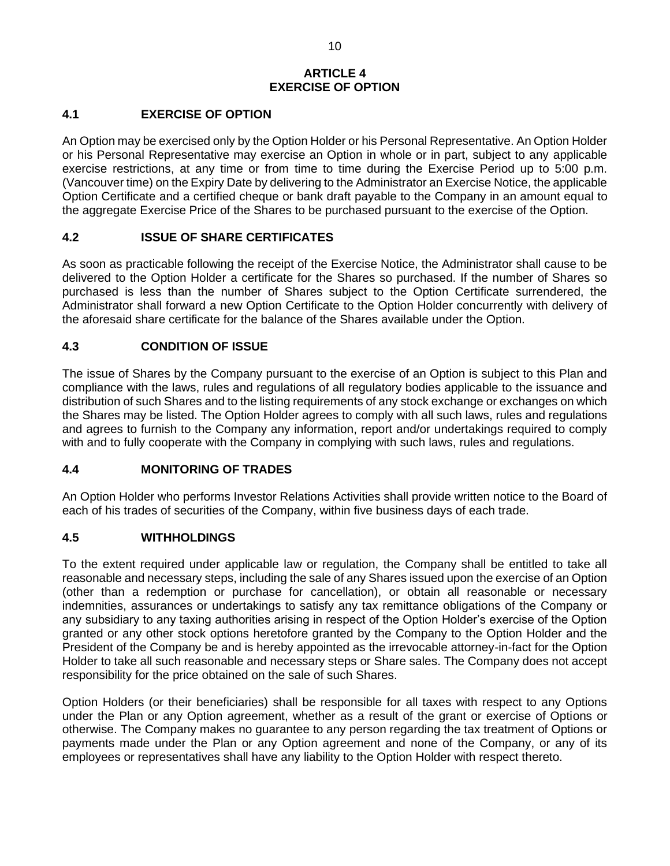# **ARTICLE 4 EXERCISE OF OPTION**

# <span id="page-55-0"></span>**4.1 EXERCISE OF OPTION**

An Option may be exercised only by the Option Holder or his Personal Representative. An Option Holder or his Personal Representative may exercise an Option in whole or in part, subject to any applicable exercise restrictions, at any time or from time to time during the Exercise Period up to 5:00 p.m. (Vancouver time) on the Expiry Date by delivering to the Administrator an Exercise Notice, the applicable Option Certificate and a certified cheque or bank draft payable to the Company in an amount equal to the aggregate Exercise Price of the Shares to be purchased pursuant to the exercise of the Option.

# **4.2 ISSUE OF SHARE CERTIFICATES**

As soon as practicable following the receipt of the Exercise Notice, the Administrator shall cause to be delivered to the Option Holder a certificate for the Shares so purchased. If the number of Shares so purchased is less than the number of Shares subject to the Option Certificate surrendered, the Administrator shall forward a new Option Certificate to the Option Holder concurrently with delivery of the aforesaid share certificate for the balance of the Shares available under the Option.

# **4.3 CONDITION OF ISSUE**

The issue of Shares by the Company pursuant to the exercise of an Option is subject to this Plan and compliance with the laws, rules and regulations of all regulatory bodies applicable to the issuance and distribution of such Shares and to the listing requirements of any stock exchange or exchanges on which the Shares may be listed. The Option Holder agrees to comply with all such laws, rules and regulations and agrees to furnish to the Company any information, report and/or undertakings required to comply with and to fully cooperate with the Company in complying with such laws, rules and regulations.

# **4.4 MONITORING OF TRADES**

An Option Holder who performs Investor Relations Activities shall provide written notice to the Board of each of his trades of securities of the Company, within five business days of each trade.

# **4.5 WITHHOLDINGS**

To the extent required under applicable law or regulation, the Company shall be entitled to take all reasonable and necessary steps, including the sale of any Shares issued upon the exercise of an Option (other than a redemption or purchase for cancellation), or obtain all reasonable or necessary indemnities, assurances or undertakings to satisfy any tax remittance obligations of the Company or any subsidiary to any taxing authorities arising in respect of the Option Holder's exercise of the Option granted or any other stock options heretofore granted by the Company to the Option Holder and the President of the Company be and is hereby appointed as the irrevocable attorney-in-fact for the Option Holder to take all such reasonable and necessary steps or Share sales. The Company does not accept responsibility for the price obtained on the sale of such Shares.

Option Holders (or their beneficiaries) shall be responsible for all taxes with respect to any Options under the Plan or any Option agreement, whether as a result of the grant or exercise of Options or otherwise. The Company makes no guarantee to any person regarding the tax treatment of Options or payments made under the Plan or any Option agreement and none of the Company, or any of its employees or representatives shall have any liability to the Option Holder with respect thereto.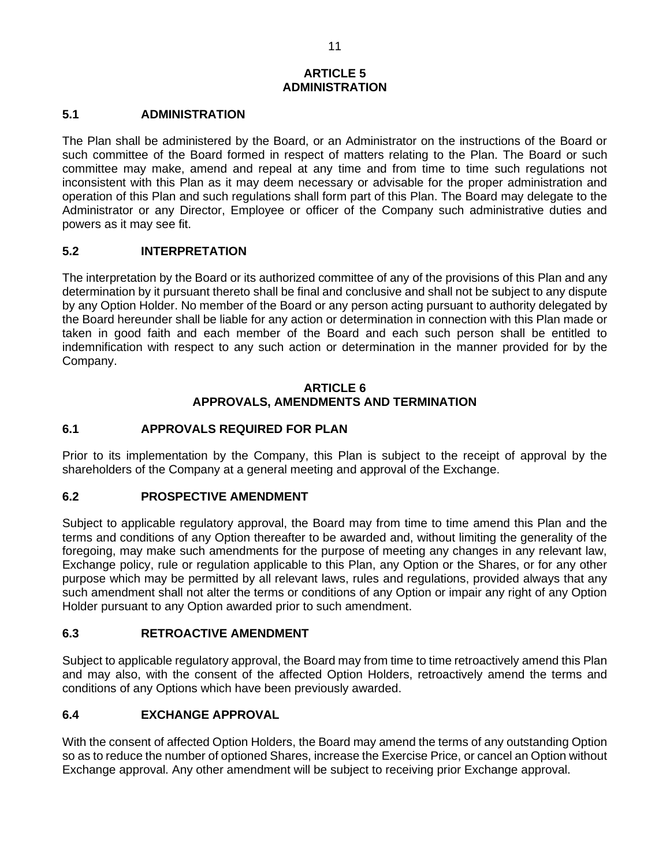# **ARTICLE 5 ADMINISTRATION**

## **5.1 ADMINISTRATION**

The Plan shall be administered by the Board, or an Administrator on the instructions of the Board or such committee of the Board formed in respect of matters relating to the Plan. The Board or such committee may make, amend and repeal at any time and from time to time such regulations not inconsistent with this Plan as it may deem necessary or advisable for the proper administration and operation of this Plan and such regulations shall form part of this Plan. The Board may delegate to the Administrator or any Director, Employee or officer of the Company such administrative duties and powers as it may see fit.

## **5.2 INTERPRETATION**

The interpretation by the Board or its authorized committee of any of the provisions of this Plan and any determination by it pursuant thereto shall be final and conclusive and shall not be subject to any dispute by any Option Holder. No member of the Board or any person acting pursuant to authority delegated by the Board hereunder shall be liable for any action or determination in connection with this Plan made or taken in good faith and each member of the Board and each such person shall be entitled to indemnification with respect to any such action or determination in the manner provided for by the Company.

## **ARTICLE 6 APPROVALS, AMENDMENTS AND TERMINATION**

## **6.1 APPROVALS REQUIRED FOR PLAN**

Prior to its implementation by the Company, this Plan is subject to the receipt of approval by the shareholders of the Company at a general meeting and approval of the Exchange.

## **6.2 PROSPECTIVE AMENDMENT**

Subject to applicable regulatory approval, the Board may from time to time amend this Plan and the terms and conditions of any Option thereafter to be awarded and, without limiting the generality of the foregoing, may make such amendments for the purpose of meeting any changes in any relevant law, Exchange policy, rule or regulation applicable to this Plan, any Option or the Shares, or for any other purpose which may be permitted by all relevant laws, rules and regulations, provided always that any such amendment shall not alter the terms or conditions of any Option or impair any right of any Option Holder pursuant to any Option awarded prior to such amendment.

## **6.3 RETROACTIVE AMENDMENT**

Subject to applicable regulatory approval, the Board may from time to time retroactively amend this Plan and may also, with the consent of the affected Option Holders, retroactively amend the terms and conditions of any Options which have been previously awarded.

## **6.4 EXCHANGE APPROVAL**

With the consent of affected Option Holders, the Board may amend the terms of any outstanding Option so as to reduce the number of optioned Shares, increase the Exercise Price, or cancel an Option without Exchange approval. Any other amendment will be subject to receiving prior Exchange approval.